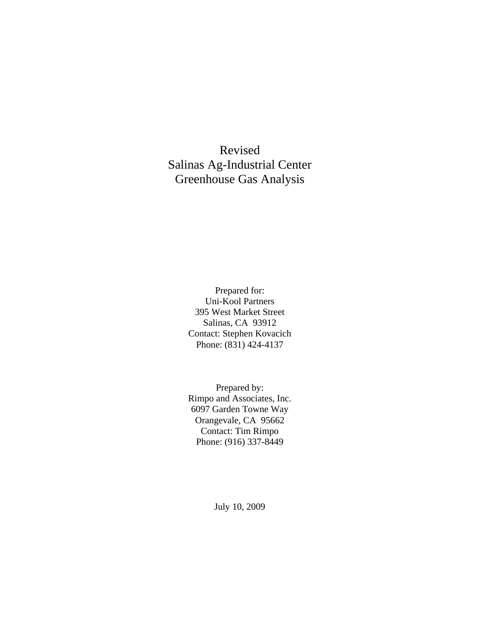Revised Salinas Ag-Industrial Center Greenhouse Gas Analysis

> Prepared for: Uni-Kool Partners 395 West Market Street Salinas, CA 93912 Contact: Stephen Kovacich Phone: (831) 424-4137

> Prepared by: Rimpo and Associates, Inc. 6097 Garden Towne Way Orangevale, CA 95662 Contact: Tim Rimpo Phone: (916) 337-8449

> > July 10, 2009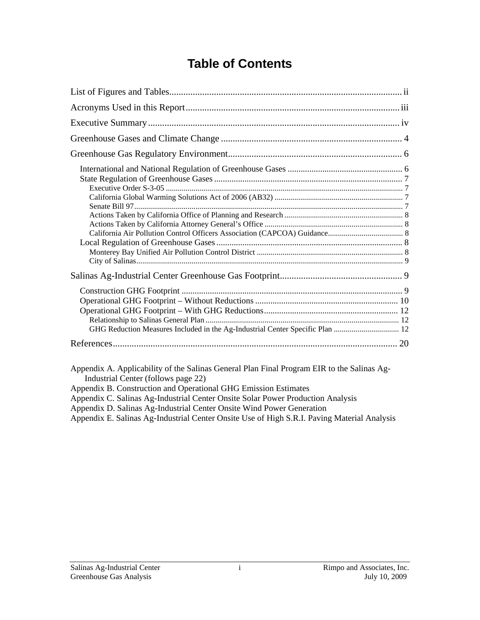# **Table of Contents**

| GHG Reduction Measures Included in the Ag-Industrial Center Specific Plan  12              |
|--------------------------------------------------------------------------------------------|
|                                                                                            |
| Appendix A. Applicability of the Salinas General Plan Final Program EIR to the Salinas Ag- |

Industrial Center (follows page 22)

- Appendix B. Construction and Operational GHG Emission Estimates
- Appendix C. Salinas Ag-Industrial Center Onsite Solar Power Production Analysis

Appendix D. Salinas Ag-Industrial Center Onsite Wind Power Generation

Appendix E. Salinas Ag-Industrial Center Onsite Use of High S.R.I. Paving Material Analysis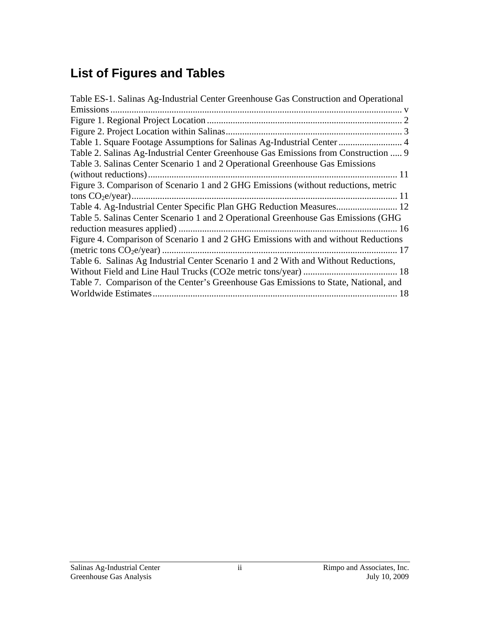# **List of Figures and Tables**

| Table ES-1. Salinas Ag-Industrial Center Greenhouse Gas Construction and Operational |
|--------------------------------------------------------------------------------------|
| Emissions                                                                            |
|                                                                                      |
|                                                                                      |
| Table 1. Square Footage Assumptions for Salinas Ag-Industrial Center  4              |
| Table 2. Salinas Ag-Industrial Center Greenhouse Gas Emissions from Construction  9  |
| Table 3. Salinas Center Scenario 1 and 2 Operational Greenhouse Gas Emissions        |
|                                                                                      |
| Figure 3. Comparison of Scenario 1 and 2 GHG Emissions (without reductions, metric   |
|                                                                                      |
| Table 4. Ag-Industrial Center Specific Plan GHG Reduction Measures 12                |
| Table 5. Salinas Center Scenario 1 and 2 Operational Greenhouse Gas Emissions (GHG   |
|                                                                                      |
| Figure 4. Comparison of Scenario 1 and 2 GHG Emissions with and without Reductions   |
|                                                                                      |
| Table 6. Salinas Ag Industrial Center Scenario 1 and 2 With and Without Reductions,  |
|                                                                                      |
| Table 7. Comparison of the Center's Greenhouse Gas Emissions to State, National, and |
|                                                                                      |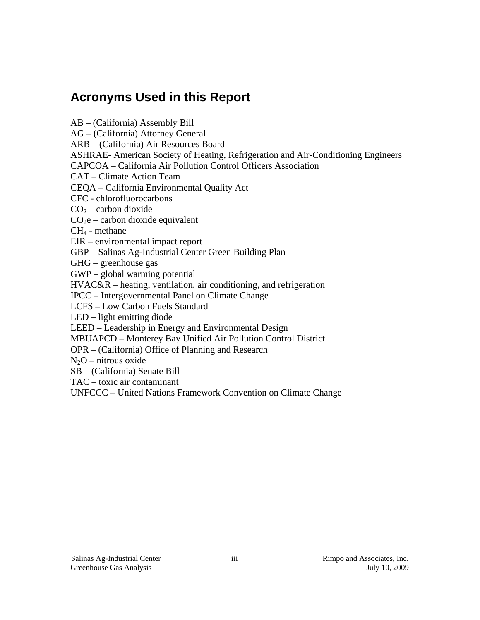## **Acronyms Used in this Report**

AB – (California) Assembly Bill

AG – (California) Attorney General

ARB – (California) Air Resources Board

ASHRAE- American Society of Heating, Refrigeration and Air-Conditioning Engineers

CAPCOA – California Air Pollution Control Officers Association

CAT – Climate Action Team

CEQA – California Environmental Quality Act

CFC - chlorofluorocarbons

 $CO<sub>2</sub> -$  carbon dioxide

 $CO<sub>2</sub>e$  – carbon dioxide equivalent

CH4 - methane

EIR – environmental impact report

GBP – Salinas Ag-Industrial Center Green Building Plan

GHG – greenhouse gas

GWP – global warming potential

HVAC&R – heating, ventilation, air conditioning, and refrigeration

IPCC – Intergovernmental Panel on Climate Change

LCFS – Low Carbon Fuels Standard

LED – light emitting diode

LEED – Leadership in Energy and Environmental Design

MBUAPCD – Monterey Bay Unified Air Pollution Control District

OPR – (California) Office of Planning and Research

 $N_2O$  – nitrous oxide

SB – (California) Senate Bill

TAC – toxic air contaminant

UNFCCC – United Nations Framework Convention on Climate Change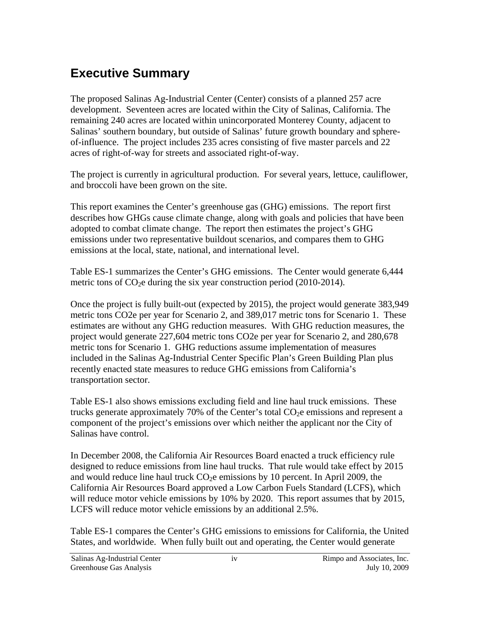# **Executive Summary**

The proposed Salinas Ag-Industrial Center (Center) consists of a planned 257 acre development. Seventeen acres are located within the City of Salinas, California. The remaining 240 acres are located within unincorporated Monterey County, adjacent to Salinas' southern boundary, but outside of Salinas' future growth boundary and sphereof-influence. The project includes 235 acres consisting of five master parcels and 22 acres of right-of-way for streets and associated right-of-way.

The project is currently in agricultural production. For several years, lettuce, cauliflower, and broccoli have been grown on the site.

This report examines the Center's greenhouse gas (GHG) emissions. The report first describes how GHGs cause climate change, along with goals and policies that have been adopted to combat climate change. The report then estimates the project's GHG emissions under two representative buildout scenarios, and compares them to GHG emissions at the local, state, national, and international level.

Table ES-1 summarizes the Center's GHG emissions. The Center would generate 6,444 metric tons of  $CO<sub>2</sub>e$  during the six year construction period (2010-2014).

Once the project is fully built-out (expected by 2015), the project would generate 383,949 metric tons CO2e per year for Scenario 2, and 389,017 metric tons for Scenario 1. These estimates are without any GHG reduction measures. With GHG reduction measures, the project would generate 227,604 metric tons CO2e per year for Scenario 2, and 280,678 metric tons for Scenario 1. GHG reductions assume implementation of measures included in the Salinas Ag-Industrial Center Specific Plan's Green Building Plan plus recently enacted state measures to reduce GHG emissions from California's transportation sector.

Table ES-1 also shows emissions excluding field and line haul truck emissions. These trucks generate approximately 70% of the Center's total  $CO<sub>2</sub>e$  emissions and represent a component of the project's emissions over which neither the applicant nor the City of Salinas have control.

In December 2008, the California Air Resources Board enacted a truck efficiency rule designed to reduce emissions from line haul trucks. That rule would take effect by 2015 and would reduce line haul truck  $CO<sub>2</sub>e$  emissions by 10 percent. In April 2009, the California Air Resources Board approved a Low Carbon Fuels Standard (LCFS), which will reduce motor vehicle emissions by 10% by 2020. This report assumes that by 2015, LCFS will reduce motor vehicle emissions by an additional 2.5%.

Table ES-1 compares the Center's GHG emissions to emissions for California, the United States, and worldwide. When fully built out and operating, the Center would generate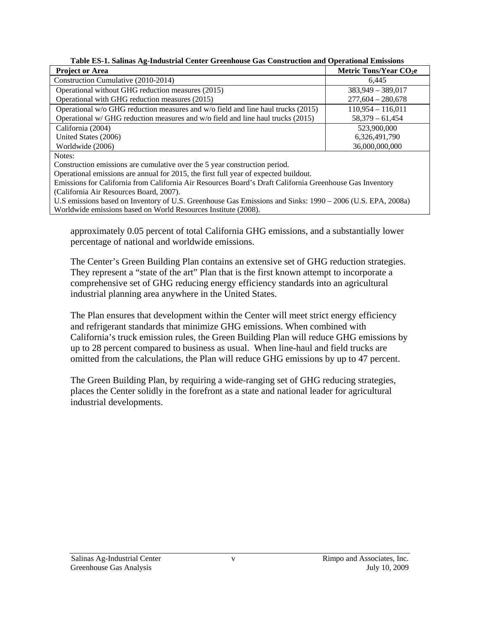**Table ES-1. Salinas Ag-Industrial Center Greenhouse Gas Construction and Operational Emissions** 

| <b>Project or Area</b>                                                                                                 | Metric Tons/Year $CO2e$ |
|------------------------------------------------------------------------------------------------------------------------|-------------------------|
| Construction Cumulative (2010-2014)                                                                                    | 6.445                   |
| Operational without GHG reduction measures (2015)                                                                      | $383,949 - 389,017$     |
| Operational with GHG reduction measures (2015)                                                                         | $277,604 - 280,678$     |
| Operational w/o GHG reduction measures and w/o field and line haul trucks (2015)                                       | $110,954 - 116,011$     |
| Operational w/ GHG reduction measures and w/o field and line haul trucks (2015)                                        | $58,379 - 61,454$       |
| California (2004)                                                                                                      | 523,900,000             |
| United States (2006)                                                                                                   | 6,326,491,790           |
| Worldwide (2006)                                                                                                       | 36,000,000,000          |
| Notes:                                                                                                                 |                         |
| $\alpha$ constant the construction of the construction of the $\epsilon$ -constant state of the constant of $\epsilon$ |                         |

Construction emissions are cumulative over the 5 year construction period.

Operational emissions are annual for 2015, the first full year of expected buildout.

Emissions for California from California Air Resources Board's Draft California Greenhouse Gas Inventory (California Air Resources Board, 2007).

U.S emissions based on Inventory of U.S. Greenhouse Gas Emissions and Sinks: 1990 – 2006 (U.S. EPA, 2008a) Worldwide emissions based on World Resources Institute (2008).

approximately 0.05 percent of total California GHG emissions, and a substantially lower percentage of national and worldwide emissions.

The Center's Green Building Plan contains an extensive set of GHG reduction strategies. They represent a "state of the art" Plan that is the first known attempt to incorporate a comprehensive set of GHG reducing energy efficiency standards into an agricultural industrial planning area anywhere in the United States.

The Plan ensures that development within the Center will meet strict energy efficiency and refrigerant standards that minimize GHG emissions. When combined with California's truck emission rules, the Green Building Plan will reduce GHG emissions by up to 28 percent compared to business as usual. When line-haul and field trucks are omitted from the calculations, the Plan will reduce GHG emissions by up to 47 percent.

The Green Building Plan, by requiring a wide-ranging set of GHG reducing strategies, places the Center solidly in the forefront as a state and national leader for agricultural industrial developments.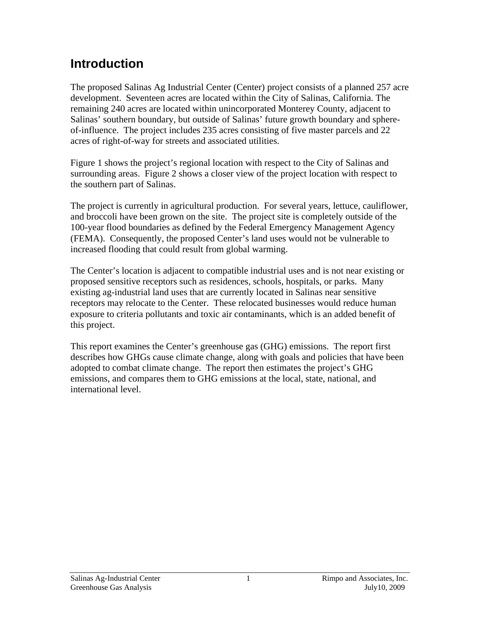# **Introduction**

The proposed Salinas Ag Industrial Center (Center) project consists of a planned 257 acre development. Seventeen acres are located within the City of Salinas, California. The remaining 240 acres are located within unincorporated Monterey County, adjacent to Salinas' southern boundary, but outside of Salinas' future growth boundary and sphereof-influence. The project includes 235 acres consisting of five master parcels and 22 acres of right-of-way for streets and associated utilities.

Figure 1 shows the project's regional location with respect to the City of Salinas and surrounding areas. Figure 2 shows a closer view of the project location with respect to the southern part of Salinas.

The project is currently in agricultural production. For several years, lettuce, cauliflower, and broccoli have been grown on the site. The project site is completely outside of the 100-year flood boundaries as defined by the Federal Emergency Management Agency (FEMA). Consequently, the proposed Center's land uses would not be vulnerable to increased flooding that could result from global warming.

The Center's location is adjacent to compatible industrial uses and is not near existing or proposed sensitive receptors such as residences, schools, hospitals, or parks. Many existing ag-industrial land uses that are currently located in Salinas near sensitive receptors may relocate to the Center. These relocated businesses would reduce human exposure to criteria pollutants and toxic air contaminants, which is an added benefit of this project.

This report examines the Center's greenhouse gas (GHG) emissions. The report first describes how GHGs cause climate change, along with goals and policies that have been adopted to combat climate change. The report then estimates the project's GHG emissions, and compares them to GHG emissions at the local, state, national, and international level.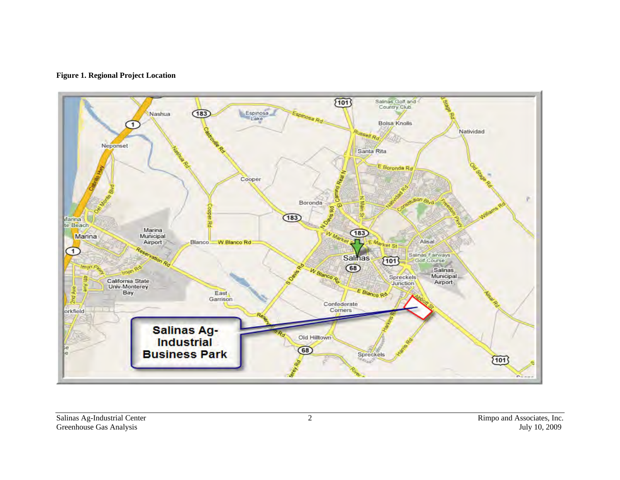

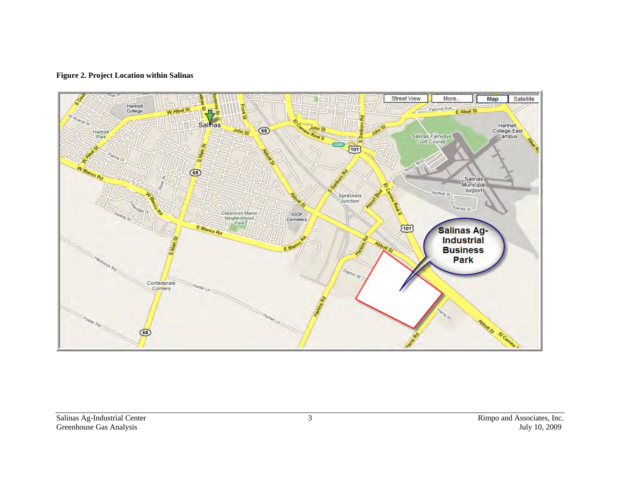#### **Figure 2. Project Location within Salinas**

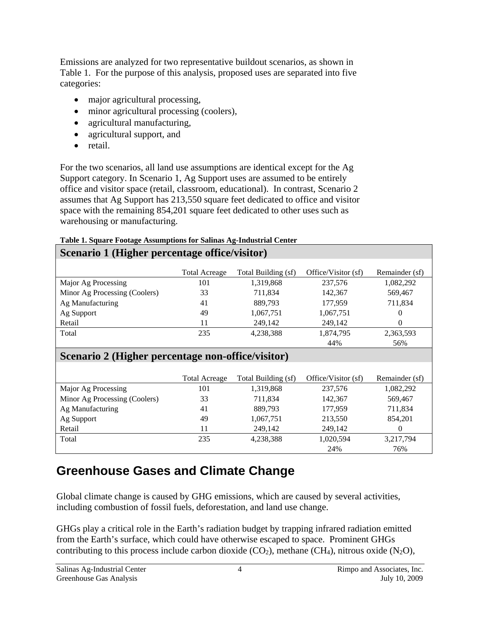Emissions are analyzed for two representative buildout scenarios, as shown in Table 1. For the purpose of this analysis, proposed uses are separated into five categories:

- major agricultural processing,
- minor agricultural processing (coolers),
- agricultural manufacturing,
- agricultural support, and
- retail.

For the two scenarios, all land use assumptions are identical except for the Ag Support category. In Scenario 1, Ag Support uses are assumed to be entirely office and visitor space (retail, classroom, educational). In contrast, Scenario 2 assumes that Ag Support has 213,550 square feet dedicated to office and visitor space with the remaining 854,201 square feet dedicated to other uses such as warehousing or manufacturing.

### **Table 1. Square Footage Assumptions for Salinas Ag-Industrial Center**

### **Scenario 1 (Higher percentage office/visitor)**

|                                                   | <b>Total Acreage</b> | Total Building (sf) | Office/Visitor (sf) | Remainder (sf) |
|---------------------------------------------------|----------------------|---------------------|---------------------|----------------|
| Major Ag Processing                               | 101                  | 1,319,868           | 237,576             | 1,082,292      |
| Minor Ag Processing (Coolers)                     | 33                   | 711,834             | 142,367             | 569,467        |
| Ag Manufacturing                                  | 41                   | 889,793             | 177,959             | 711,834        |
| Ag Support                                        | 49                   | 1,067,751           | 1,067,751           | 0              |
| Retail                                            | 11                   | 249,142             | 249,142             | $\Omega$       |
| Total                                             | 235                  | 4,238,388           | 1,874,795           | 2,363,593      |
|                                                   |                      |                     | 44%                 | 56%            |
| Scenario 2 (Higher percentage non-office/visitor) |                      |                     |                     |                |
|                                                   |                      |                     |                     |                |
|                                                   | <b>Total Acreage</b> | Total Building (sf) | Office/Visitor (sf) | Remainder (sf) |

|                               | Total Acreage | Total Building (sf) | Office/Visitor (sf) | Remainder (sf) |
|-------------------------------|---------------|---------------------|---------------------|----------------|
| Major Ag Processing           | 101           | 1,319,868           | 237,576             | 1,082,292      |
| Minor Ag Processing (Coolers) | 33            | 711,834             | 142.367             | 569,467        |
| Ag Manufacturing              | 41            | 889.793             | 177.959             | 711,834        |
| Ag Support                    | 49            | 1,067,751           | 213,550             | 854.201        |
| Retail                        | 11            | 249,142             | 249,142             | $\theta$       |
| Total                         | 235           | 4.238.388           | 1,020,594           | 3,217,794      |
|                               |               |                     | 24%                 | 76%            |

# **Greenhouse Gases and Climate Change**

Global climate change is caused by GHG emissions, which are caused by several activities, including combustion of fossil fuels, deforestation, and land use change.

GHGs play a critical role in the Earth's radiation budget by trapping infrared radiation emitted from the Earth's surface, which could have otherwise escaped to space. Prominent GHGs contributing to this process include carbon dioxide  $(CO_2)$ , methane  $(CH_4)$ , nitrous oxide  $(N_2O)$ ,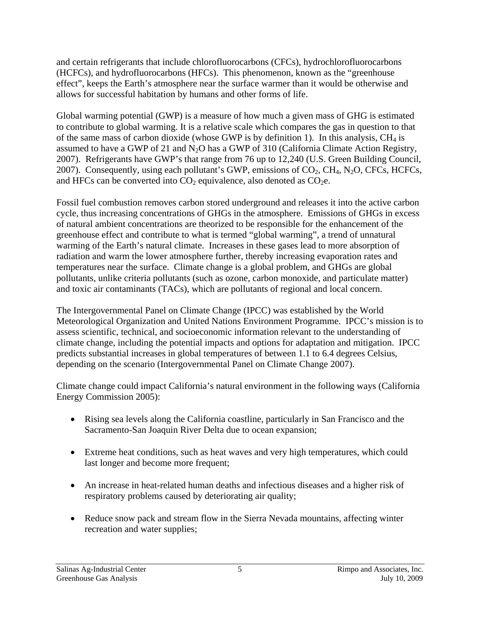and certain refrigerants that include chlorofluorocarbons (CFCs), hydrochlorofluorocarbons (HCFCs), and hydrofluorocarbons (HFCs). This phenomenon, known as the "greenhouse effect", keeps the Earth's atmosphere near the surface warmer than it would be otherwise and allows for successful habitation by humans and other forms of life.

Global warming potential (GWP) is a measure of how much a given mass of GHG is estimated to contribute to global warming. It is a relative scale which compares the gas in question to that of the same mass of carbon dioxide (whose GWP is by definition 1). In this analysis,  $CH_4$  is assumed to have a GWP of 21 and  $N_2O$  has a GWP of 310 (California Climate Action Registry, 2007). Refrigerants have GWP's that range from 76 up to 12,240 (U.S. Green Building Council, 2007). Consequently, using each pollutant's GWP, emissions of  $CO<sub>2</sub>$ , CH<sub>4</sub>, N<sub>2</sub>O, CFCs, HCFCs, and HFCs can be converted into  $CO<sub>2</sub>$  equivalence, also denoted as  $CO<sub>2</sub>e$ .

Fossil fuel combustion removes carbon stored underground and releases it into the active carbon cycle, thus increasing concentrations of GHGs in the atmosphere. Emissions of GHGs in excess of natural ambient concentrations are theorized to be responsible for the enhancement of the greenhouse effect and contribute to what is termed "global warming", a trend of unnatural warming of the Earth's natural climate. Increases in these gases lead to more absorption of radiation and warm the lower atmosphere further, thereby increasing evaporation rates and temperatures near the surface. Climate change is a global problem, and GHGs are global pollutants, unlike criteria pollutants (such as ozone, carbon monoxide, and particulate matter) and toxic air contaminants (TACs), which are pollutants of regional and local concern.

The Intergovernmental Panel on Climate Change (IPCC) was established by the World Meteorological Organization and United Nations Environment Programme. IPCC's mission is to assess scientific, technical, and socioeconomic information relevant to the understanding of climate change, including the potential impacts and options for adaptation and mitigation. IPCC predicts substantial increases in global temperatures of between 1.1 to 6.4 degrees Celsius, depending on the scenario (Intergovernmental Panel on Climate Change 2007).

Climate change could impact California's natural environment in the following ways (California Energy Commission 2005):

- Rising sea levels along the California coastline, particularly in San Francisco and the Sacramento-San Joaquin River Delta due to ocean expansion;
- Extreme heat conditions, such as heat waves and very high temperatures, which could last longer and become more frequent;
- An increase in heat-related human deaths and infectious diseases and a higher risk of respiratory problems caused by deteriorating air quality;
- Reduce snow pack and stream flow in the Sierra Nevada mountains, affecting winter recreation and water supplies;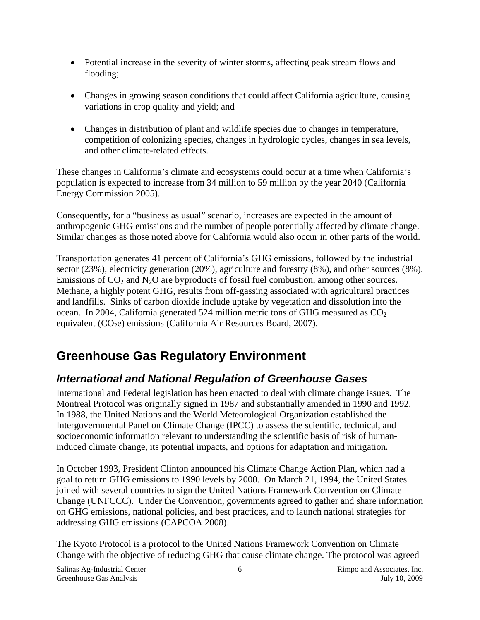- Potential increase in the severity of winter storms, affecting peak stream flows and flooding;
- Changes in growing season conditions that could affect California agriculture, causing variations in crop quality and yield; and
- Changes in distribution of plant and wildlife species due to changes in temperature, competition of colonizing species, changes in hydrologic cycles, changes in sea levels, and other climate-related effects.

These changes in California's climate and ecosystems could occur at a time when California's population is expected to increase from 34 million to 59 million by the year 2040 (California Energy Commission 2005).

Consequently, for a "business as usual" scenario, increases are expected in the amount of anthropogenic GHG emissions and the number of people potentially affected by climate change. Similar changes as those noted above for California would also occur in other parts of the world.

Transportation generates 41 percent of California's GHG emissions, followed by the industrial sector (23%), electricity generation (20%), agriculture and forestry (8%), and other sources (8%). Emissions of  $CO<sub>2</sub>$  and N<sub>2</sub>O are byproducts of fossil fuel combustion, among other sources. Methane, a highly potent GHG, results from off-gassing associated with agricultural practices and landfills. Sinks of carbon dioxide include uptake by vegetation and dissolution into the ocean. In 2004, California generated 524 million metric tons of GHG measured as  $CO<sub>2</sub>$ equivalent  $(CO<sub>2</sub>e)$  emissions (California Air Resources Board, 2007).

# **Greenhouse Gas Regulatory Environment**

## *International and National Regulation of Greenhouse Gases*

International and Federal legislation has been enacted to deal with climate change issues. The Montreal Protocol was originally signed in 1987 and substantially amended in 1990 and 1992. In 1988, the United Nations and the World Meteorological Organization established the Intergovernmental Panel on Climate Change (IPCC) to assess the scientific, technical, and socioeconomic information relevant to understanding the scientific basis of risk of humaninduced climate change, its potential impacts, and options for adaptation and mitigation.

In October 1993, President Clinton announced his Climate Change Action Plan, which had a goal to return GHG emissions to 1990 levels by 2000. On March 21, 1994, the United States joined with several countries to sign the United Nations Framework Convention on Climate Change (UNFCCC). Under the Convention, governments agreed to gather and share information on GHG emissions, national policies, and best practices, and to launch national strategies for addressing GHG emissions (CAPCOA 2008).

The Kyoto Protocol is a protocol to the United Nations Framework Convention on Climate Change with the objective of reducing GHG that cause climate change. The protocol was agreed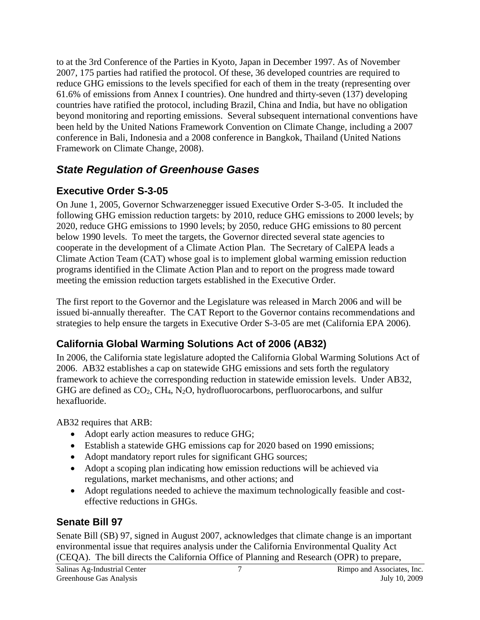to at the 3rd Conference of the Parties in Kyoto, Japan in December 1997. As of November 2007, 175 parties had ratified the protocol. Of these, 36 developed countries are required to reduce GHG emissions to the levels specified for each of them in the treaty (representing over 61.6% of emissions from Annex I countries). One hundred and thirty-seven (137) developing countries have ratified the protocol, including Brazil, China and India, but have no obligation beyond monitoring and reporting emissions. Several subsequent international conventions have been held by the United Nations Framework Convention on Climate Change, including a 2007 conference in Bali, Indonesia and a 2008 conference in Bangkok, Thailand (United Nations Framework on Climate Change, 2008).

### *State Regulation of Greenhouse Gases*

### **Executive Order S-3-05**

On June 1, 2005, Governor Schwarzenegger issued Executive Order S-3-05. It included the following GHG emission reduction targets: by 2010, reduce GHG emissions to 2000 levels; by 2020, reduce GHG emissions to 1990 levels; by 2050, reduce GHG emissions to 80 percent below 1990 levels. To meet the targets, the Governor directed several state agencies to cooperate in the development of a Climate Action Plan. The Secretary of CalEPA leads a Climate Action Team (CAT) whose goal is to implement global warming emission reduction programs identified in the Climate Action Plan and to report on the progress made toward meeting the emission reduction targets established in the Executive Order.

The first report to the Governor and the Legislature was released in March 2006 and will be issued bi-annually thereafter. The CAT Report to the Governor contains recommendations and strategies to help ensure the targets in Executive Order S-3-05 are met (California EPA 2006).

## **California Global Warming Solutions Act of 2006 (AB32)**

In 2006, the California state legislature adopted the California Global Warming Solutions Act of 2006. AB32 establishes a cap on statewide GHG emissions and sets forth the regulatory framework to achieve the corresponding reduction in statewide emission levels. Under AB32, GHG are defined as  $CO_2$ ,  $CH_4$ , N<sub>2</sub>O, hydrofluorocarbons, perfluorocarbons, and sulfur hexafluoride.

AB32 requires that ARB:

- Adopt early action measures to reduce GHG;
- Establish a statewide GHG emissions cap for 2020 based on 1990 emissions;
- Adopt mandatory report rules for significant GHG sources;
- Adopt a scoping plan indicating how emission reductions will be achieved via regulations, market mechanisms, and other actions; and
- Adopt regulations needed to achieve the maximum technologically feasible and costeffective reductions in GHGs.

## **Senate Bill 97**

Senate Bill (SB) 97, signed in August 2007, acknowledges that climate change is an important environmental issue that requires analysis under the California Environmental Quality Act (CEQA). The bill directs the California Office of Planning and Research (OPR) to prepare,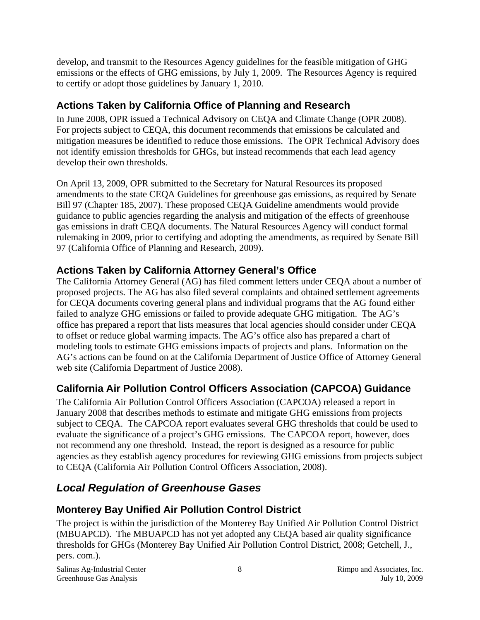develop, and transmit to the Resources Agency guidelines for the feasible mitigation of GHG emissions or the effects of GHG emissions, by July 1, 2009. The Resources Agency is required to certify or adopt those guidelines by January 1, 2010.

## **Actions Taken by California Office of Planning and Research**

In June 2008, OPR issued a Technical Advisory on CEQA and Climate Change (OPR 2008). For projects subject to CEQA, this document recommends that emissions be calculated and mitigation measures be identified to reduce those emissions. The OPR Technical Advisory does not identify emission thresholds for GHGs, but instead recommends that each lead agency develop their own thresholds.

On April 13, 2009, OPR submitted to the Secretary for Natural Resources its proposed amendments to the state CEQA Guidelines for greenhouse gas emissions, as required by Senate Bill 97 (Chapter 185, 2007). These proposed CEQA Guideline amendments would provide guidance to public agencies regarding the analysis and mitigation of the effects of greenhouse gas emissions in draft CEQA documents. The Natural Resources Agency will conduct formal rulemaking in 2009, prior to certifying and adopting the amendments, as required by Senate Bill 97 (California Office of Planning and Research, 2009).

## **Actions Taken by California Attorney General's Office**

The California Attorney General (AG) has filed comment letters under CEQA about a number of proposed projects. The AG has also filed several complaints and obtained settlement agreements for CEQA documents covering general plans and individual programs that the AG found either failed to analyze GHG emissions or failed to provide adequate GHG mitigation. The AG's office has prepared a report that lists measures that local agencies should consider under CEQA to offset or reduce global warming impacts. The AG's office also has prepared a chart of modeling tools to estimate GHG emissions impacts of projects and plans. Information on the AG's actions can be found on at the California Department of Justice Office of Attorney General web site (California Department of Justice 2008).

## **California Air Pollution Control Officers Association (CAPCOA) Guidance**

The California Air Pollution Control Officers Association (CAPCOA) released a report in January 2008 that describes methods to estimate and mitigate GHG emissions from projects subject to CEQA. The CAPCOA report evaluates several GHG thresholds that could be used to evaluate the significance of a project's GHG emissions. The CAPCOA report, however, does not recommend any one threshold. Instead, the report is designed as a resource for public agencies as they establish agency procedures for reviewing GHG emissions from projects subject to CEQA (California Air Pollution Control Officers Association, 2008).

# *Local Regulation of Greenhouse Gases*

## **Monterey Bay Unified Air Pollution Control District**

The project is within the jurisdiction of the Monterey Bay Unified Air Pollution Control District (MBUAPCD). The MBUAPCD has not yet adopted any CEQA based air quality significance thresholds for GHGs (Monterey Bay Unified Air Pollution Control District, 2008; Getchell, J., pers. com.).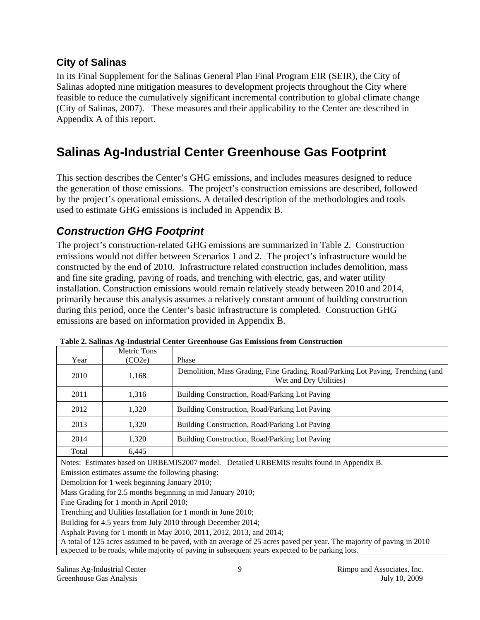### **City of Salinas**

In its Final Supplement for the Salinas General Plan Final Program EIR (SEIR), the City of Salinas adopted nine mitigation measures to development projects throughout the City where feasible to reduce the cumulatively significant incremental contribution to global climate change (City of Salinas, 2007). These measures and their applicability to the Center are described in Appendix A of this report.

# **Salinas Ag-Industrial Center Greenhouse Gas Footprint**

This section describes the Center's GHG emissions, and includes measures designed to reduce the generation of those emissions. The project's construction emissions are described, followed by the project's operational emissions. A detailed description of the methodologies and tools used to estimate GHG emissions is included in Appendix B.

## *Construction GHG Footprint*

The project's construction-related GHG emissions are summarized in Table 2. Construction emissions would not differ between Scenarios 1 and 2. The project's infrastructure would be constructed by the end of 2010. Infrastructure related construction includes demolition, mass and fine site grading, paving of roads, and trenching with electric, gas, and water utility installation. Construction emissions would remain relatively steady between 2010 and 2014, primarily because this analysis assumes a relatively constant amount of building construction during this period, once the Center's basic infrastructure is completed. Construction GHG emissions are based on information provided in Appendix B.

|                                                                                            | Metric Tons |                                                                                                           |
|--------------------------------------------------------------------------------------------|-------------|-----------------------------------------------------------------------------------------------------------|
| Year                                                                                       | (CO2e)      | Phase                                                                                                     |
| 2010                                                                                       | 1,168       | Demolition, Mass Grading, Fine Grading, Road/Parking Lot Paving, Trenching (and<br>Wet and Dry Utilities) |
| 2011                                                                                       | 1,316       | Building Construction, Road/Parking Lot Paving                                                            |
| 2012                                                                                       | 1,320       | Building Construction, Road/Parking Lot Paving                                                            |
| 2013                                                                                       | 1,320       | Building Construction, Road/Parking Lot Paving                                                            |
| 2014                                                                                       | 1,320       | Building Construction, Road/Parking Lot Paving                                                            |
| Total                                                                                      | 6.445       |                                                                                                           |
| Notes: Estimates based on URBEMIS2007 model. Detailed URBEMIS results found in Appendix B. |             |                                                                                                           |
| Emission estimates assume the following phasing:                                           |             |                                                                                                           |
| Demolition for 1 week beginning January 2010;                                              |             |                                                                                                           |
| Mass Grading for 2.5 months beginning in mid January 2010;                                 |             |                                                                                                           |
| Fine Grading for 1 month in April 2010;                                                    |             |                                                                                                           |
| Trenching and Utilities Installation for 1 month in June 2010;                             |             |                                                                                                           |
| Building for 4.5 years from July 2010 through December 2014;                               |             |                                                                                                           |
| $\lambda$ subsite Devine for 1 month in $M_{212}$ 0010, 0011, 0010, 0012, sn 4, 0014.      |             |                                                                                                           |

**Table 2. Salinas Ag-Industrial Center Greenhouse Gas Emissions from Construction** 

Asphalt Paving for 1 month in May 2010, 2011, 2012, 2013, and 2014;

A total of 125 acres assumed to be paved, with an average of 25 acres paved per year. The majority of paving in 2010 expected to be roads, while majority of paving in subsequent years expected to be parking lots.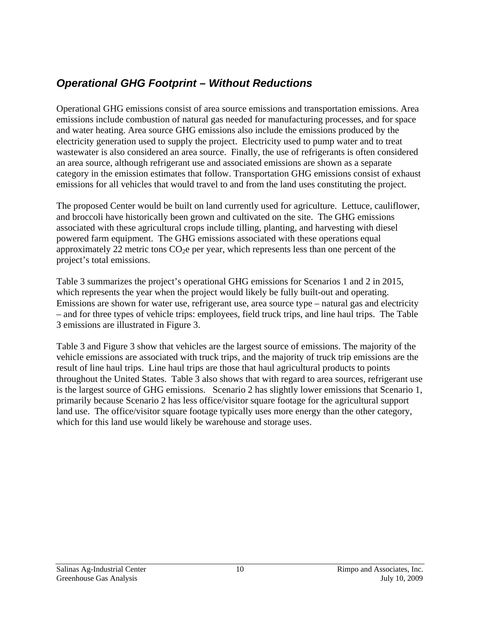### *Operational GHG Footprint – Without Reductions*

Operational GHG emissions consist of area source emissions and transportation emissions. Area emissions include combustion of natural gas needed for manufacturing processes, and for space and water heating. Area source GHG emissions also include the emissions produced by the electricity generation used to supply the project. Electricity used to pump water and to treat wastewater is also considered an area source. Finally, the use of refrigerants is often considered an area source, although refrigerant use and associated emissions are shown as a separate category in the emission estimates that follow. Transportation GHG emissions consist of exhaust emissions for all vehicles that would travel to and from the land uses constituting the project.

The proposed Center would be built on land currently used for agriculture. Lettuce, cauliflower, and broccoli have historically been grown and cultivated on the site. The GHG emissions associated with these agricultural crops include tilling, planting, and harvesting with diesel powered farm equipment. The GHG emissions associated with these operations equal approximately 22 metric tons  $CO<sub>2</sub>e$  per year, which represents less than one percent of the project's total emissions.

Table 3 summarizes the project's operational GHG emissions for Scenarios 1 and 2 in 2015, which represents the year when the project would likely be fully built-out and operating. Emissions are shown for water use, refrigerant use, area source type – natural gas and electricity – and for three types of vehicle trips: employees, field truck trips, and line haul trips. The Table 3 emissions are illustrated in Figure 3.

Table 3 and Figure 3 show that vehicles are the largest source of emissions. The majority of the vehicle emissions are associated with truck trips, and the majority of truck trip emissions are the result of line haul trips. Line haul trips are those that haul agricultural products to points throughout the United States. Table 3 also shows that with regard to area sources, refrigerant use is the largest source of GHG emissions. Scenario 2 has slightly lower emissions that Scenario 1, primarily because Scenario 2 has less office/visitor square footage for the agricultural support land use. The office/visitor square footage typically uses more energy than the other category, which for this land use would likely be warehouse and storage uses.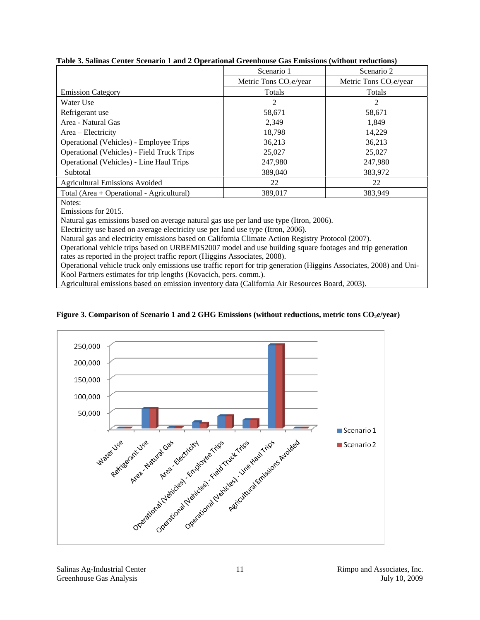|                                                   | Scenario 1              | Scenario 2              |
|---------------------------------------------------|-------------------------|-------------------------|
|                                                   | Metric Tons $CO2e/year$ | Metric Tons $CO2e/year$ |
| <b>Emission Category</b>                          | Totals                  | Totals                  |
| Water Use                                         | 2                       | $\overline{c}$          |
| Refrigerant use                                   | 58,671                  | 58,671                  |
| Area - Natural Gas                                | 2.349                   | 1.849                   |
| Area – Electricity                                | 18,798                  | 14.229                  |
| Operational (Vehicles) - Employee Trips           | 36,213                  | 36.213                  |
| <b>Operational (Vehicles) - Field Truck Trips</b> | 25,027                  | 25,027                  |
| Operational (Vehicles) - Line Haul Trips          | 247,980                 | 247,980                 |
| Subtotal                                          | 389,040                 | 383,972                 |
| <b>Agricultural Emissions Avoided</b>             | 22                      | 22                      |
| Total (Area + Operational - Agricultural)         | 389,017                 | 383.949                 |

#### **Table 3. Salinas Center Scenario 1 and 2 Operational Greenhouse Gas Emissions (without reductions)**

Notes:

Emissions for 2015.

Natural gas emissions based on average natural gas use per land use type (Itron, 2006).

Electricity use based on average electricity use per land use type (Itron, 2006).

Natural gas and electricity emissions based on California Climate Action Registry Protocol (2007).

Operational vehicle trips based on URBEMIS2007 model and use building square footages and trip generation rates as reported in the project traffic report (Higgins Associates, 2008).

Operational vehicle truck only emissions use traffic report for trip generation (Higgins Associates, 2008) and Uni-Kool Partners estimates for trip lengths (Kovacich, pers. comm.).

Agricultural emissions based on emission inventory data (California Air Resources Board, 2003).



#### Figure 3. Comparison of Scenario 1 and 2 GHG Emissions (without reductions, metric tons CO<sub>2</sub>e/year)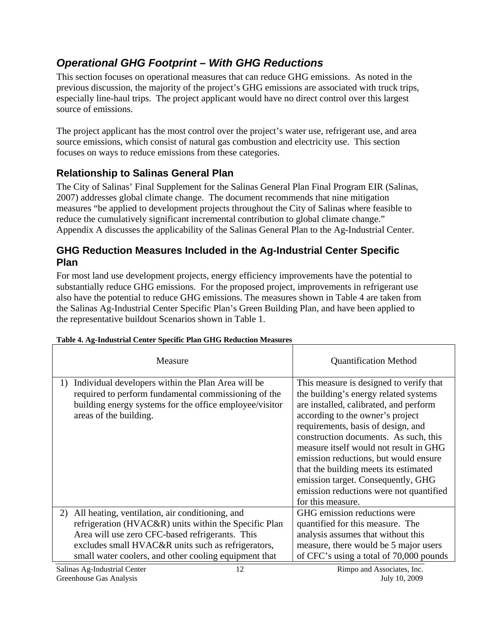## *Operational GHG Footprint – With GHG Reductions*

This section focuses on operational measures that can reduce GHG emissions. As noted in the previous discussion, the majority of the project's GHG emissions are associated with truck trips, especially line-haul trips. The project applicant would have no direct control over this largest source of emissions.

The project applicant has the most control over the project's water use, refrigerant use, and area source emissions, which consist of natural gas combustion and electricity use. This section focuses on ways to reduce emissions from these categories.

### **Relationship to Salinas General Plan**

The City of Salinas' Final Supplement for the Salinas General Plan Final Program EIR (Salinas, 2007) addresses global climate change. The document recommends that nine mitigation measures "be applied to development projects throughout the City of Salinas where feasible to reduce the cumulatively significant incremental contribution to global climate change." Appendix A discusses the applicability of the Salinas General Plan to the Ag-Industrial Center.

### **GHG Reduction Measures Included in the Ag-Industrial Center Specific Plan**

For most land use development projects, energy efficiency improvements have the potential to substantially reduce GHG emissions. For the proposed project, improvements in refrigerant use also have the potential to reduce GHG emissions. The measures shown in Table 4 are taken from the Salinas Ag-Industrial Center Specific Plan's Green Building Plan, and have been applied to the representative buildout Scenarios shown in Table 1.

| Measure                                                                                                                                                                                                                                                                          | <b>Quantification Method</b>                                                                                                                                                                                                                                                                                                                                                                                                                                                    |
|----------------------------------------------------------------------------------------------------------------------------------------------------------------------------------------------------------------------------------------------------------------------------------|---------------------------------------------------------------------------------------------------------------------------------------------------------------------------------------------------------------------------------------------------------------------------------------------------------------------------------------------------------------------------------------------------------------------------------------------------------------------------------|
| Individual developers within the Plan Area will be<br>1)<br>required to perform fundamental commissioning of the<br>building energy systems for the office employee/visitor<br>areas of the building.                                                                            | This measure is designed to verify that<br>the building's energy related systems<br>are installed, calibrated, and perform<br>according to the owner's project<br>requirements, basis of design, and<br>construction documents. As such, this<br>measure itself would not result in GHG<br>emission reductions, but would ensure<br>that the building meets its estimated<br>emission target. Consequently, GHG<br>emission reductions were not quantified<br>for this measure. |
| All heating, ventilation, air conditioning, and<br>2)<br>refrigeration (HVAC&R) units within the Specific Plan<br>Area will use zero CFC-based refrigerants. This<br>excludes small HVAC&R units such as refrigerators,<br>small water coolers, and other cooling equipment that | GHG emission reductions were<br>quantified for this measure. The<br>analysis assumes that without this<br>measure, there would be 5 major users<br>of CFC's using a total of 70,000 pounds                                                                                                                                                                                                                                                                                      |

#### **Table 4. Ag-Industrial Center Specific Plan GHG Reduction Measures**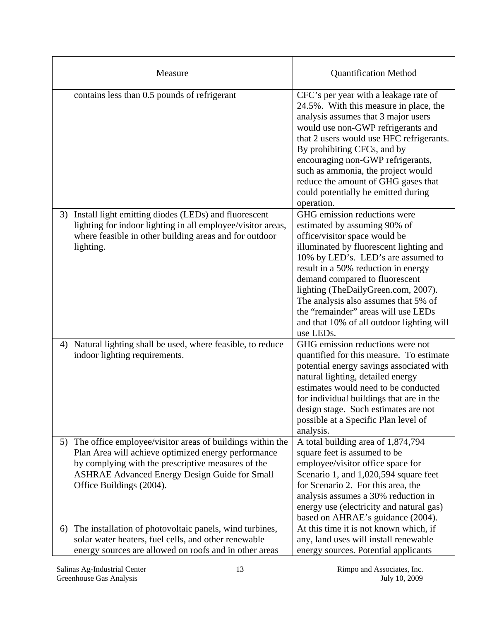| Measure                                                                                                                                                                                                                                                       | <b>Quantification Method</b>                                                                                                                                                                                                                                                                                                                                                                                                            |
|---------------------------------------------------------------------------------------------------------------------------------------------------------------------------------------------------------------------------------------------------------------|-----------------------------------------------------------------------------------------------------------------------------------------------------------------------------------------------------------------------------------------------------------------------------------------------------------------------------------------------------------------------------------------------------------------------------------------|
| contains less than 0.5 pounds of refrigerant                                                                                                                                                                                                                  | CFC's per year with a leakage rate of<br>24.5%. With this measure in place, the<br>analysis assumes that 3 major users<br>would use non-GWP refrigerants and<br>that 2 users would use HFC refrigerants.<br>By prohibiting CFCs, and by<br>encouraging non-GWP refrigerants,<br>such as ammonia, the project would<br>reduce the amount of GHG gases that<br>could potentially be emitted during<br>operation.                          |
| Install light emitting diodes (LEDs) and fluorescent<br>3)<br>lighting for indoor lighting in all employee/visitor areas,<br>where feasible in other building areas and for outdoor<br>lighting.                                                              | GHG emission reductions were<br>estimated by assuming 90% of<br>office/visitor space would be<br>illuminated by fluorescent lighting and<br>10% by LED's. LED's are assumed to<br>result in a 50% reduction in energy<br>demand compared to fluorescent<br>lighting (TheDailyGreen.com, 2007).<br>The analysis also assumes that 5% of<br>the "remainder" areas will use LEDs<br>and that 10% of all outdoor lighting will<br>use LEDs. |
| Natural lighting shall be used, where feasible, to reduce<br>4)<br>indoor lighting requirements.                                                                                                                                                              | GHG emission reductions were not<br>quantified for this measure. To estimate<br>potential energy savings associated with<br>natural lighting, detailed energy<br>estimates would need to be conducted<br>for individual buildings that are in the<br>design stage. Such estimates are not<br>possible at a Specific Plan level of<br>analysis.                                                                                          |
| 5) The office employee/visitor areas of buildings within the<br>Plan Area will achieve optimized energy performance<br>by complying with the prescriptive measures of the<br><b>ASHRAE Advanced Energy Design Guide for Small</b><br>Office Buildings (2004). | A total building area of 1,874,794<br>square feet is assumed to be<br>employee/visitor office space for<br>Scenario 1, and 1,020,594 square feet<br>for Scenario 2. For this area, the<br>analysis assumes a 30% reduction in<br>energy use (electricity and natural gas)<br>based on AHRAE's guidance (2004).                                                                                                                          |
| 6) The installation of photovoltaic panels, wind turbines,<br>solar water heaters, fuel cells, and other renewable<br>energy sources are allowed on roofs and in other areas                                                                                  | At this time it is not known which, if<br>any, land uses will install renewable<br>energy sources. Potential applicants                                                                                                                                                                                                                                                                                                                 |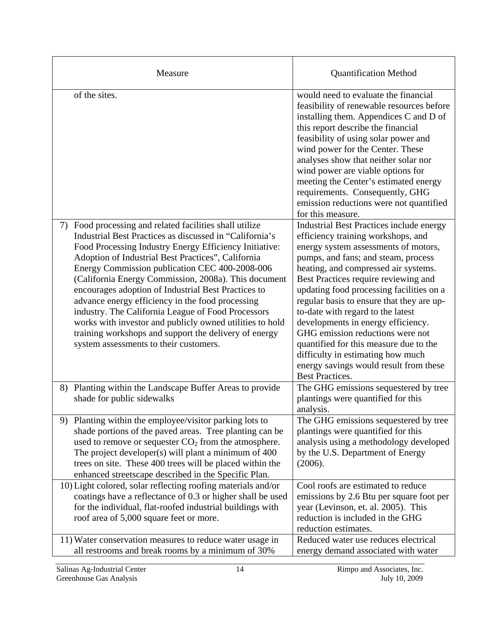| Measure                                                                                                                                                                                                                                                                                                                                                                                                                                                                                                                                                                                                                                                                         | <b>Quantification Method</b>                                                                                                                                                                                                                                                                                                                                                                                                                                                                                                                                                                                    |
|---------------------------------------------------------------------------------------------------------------------------------------------------------------------------------------------------------------------------------------------------------------------------------------------------------------------------------------------------------------------------------------------------------------------------------------------------------------------------------------------------------------------------------------------------------------------------------------------------------------------------------------------------------------------------------|-----------------------------------------------------------------------------------------------------------------------------------------------------------------------------------------------------------------------------------------------------------------------------------------------------------------------------------------------------------------------------------------------------------------------------------------------------------------------------------------------------------------------------------------------------------------------------------------------------------------|
| of the sites.                                                                                                                                                                                                                                                                                                                                                                                                                                                                                                                                                                                                                                                                   | would need to evaluate the financial<br>feasibility of renewable resources before<br>installing them. Appendices C and D of<br>this report describe the financial<br>feasibility of using solar power and<br>wind power for the Center. These<br>analyses show that neither solar nor<br>wind power are viable options for<br>meeting the Center's estimated energy<br>requirements. Consequently, GHG<br>emission reductions were not quantified<br>for this measure.                                                                                                                                          |
| Food processing and related facilities shall utilize<br>7)<br>Industrial Best Practices as discussed in "California's<br>Food Processing Industry Energy Efficiency Initiative:<br>Adoption of Industrial Best Practices", California<br>Energy Commission publication CEC 400-2008-006<br>(California Energy Commission, 2008a). This document<br>encourages adoption of Industrial Best Practices to<br>advance energy efficiency in the food processing<br>industry. The California League of Food Processors<br>works with investor and publicly owned utilities to hold<br>training workshops and support the delivery of energy<br>system assessments to their customers. | <b>Industrial Best Practices include energy</b><br>efficiency training workshops, and<br>energy system assessments of motors,<br>pumps, and fans; and steam, process<br>heating, and compressed air systems.<br>Best Practices require reviewing and<br>updating food processing facilities on a<br>regular basis to ensure that they are up-<br>to-date with regard to the latest<br>developments in energy efficiency.<br>GHG emission reductions were not<br>quantified for this measure due to the<br>difficulty in estimating how much<br>energy savings would result from these<br><b>Best Practices.</b> |
| 8) Planting within the Landscape Buffer Areas to provide<br>shade for public sidewalks                                                                                                                                                                                                                                                                                                                                                                                                                                                                                                                                                                                          | The GHG emissions sequestered by tree<br>plantings were quantified for this<br>analysis.                                                                                                                                                                                                                                                                                                                                                                                                                                                                                                                        |
| 9) Planting within the employee/visitor parking lots to<br>shade portions of the paved areas. Tree planting can be<br>used to remove or sequester $CO2$ from the atmosphere.<br>The project developer(s) will plant a minimum of 400<br>trees on site. These 400 trees will be placed within the<br>enhanced streetscape described in the Specific Plan.<br>10) Light colored, solar reflecting roofing materials and/or                                                                                                                                                                                                                                                        | The GHG emissions sequestered by tree<br>plantings were quantified for this<br>analysis using a methodology developed<br>by the U.S. Department of Energy<br>(2006).<br>Cool roofs are estimated to reduce                                                                                                                                                                                                                                                                                                                                                                                                      |
| coatings have a reflectance of 0.3 or higher shall be used<br>for the individual, flat-roofed industrial buildings with<br>roof area of 5,000 square feet or more.<br>11) Water conservation measures to reduce water usage in                                                                                                                                                                                                                                                                                                                                                                                                                                                  | emissions by 2.6 Btu per square foot per<br>year (Levinson, et. al. 2005). This<br>reduction is included in the GHG<br>reduction estimates.<br>Reduced water use reduces electrical                                                                                                                                                                                                                                                                                                                                                                                                                             |
| all restrooms and break rooms by a minimum of 30%                                                                                                                                                                                                                                                                                                                                                                                                                                                                                                                                                                                                                               | energy demand associated with water                                                                                                                                                                                                                                                                                                                                                                                                                                                                                                                                                                             |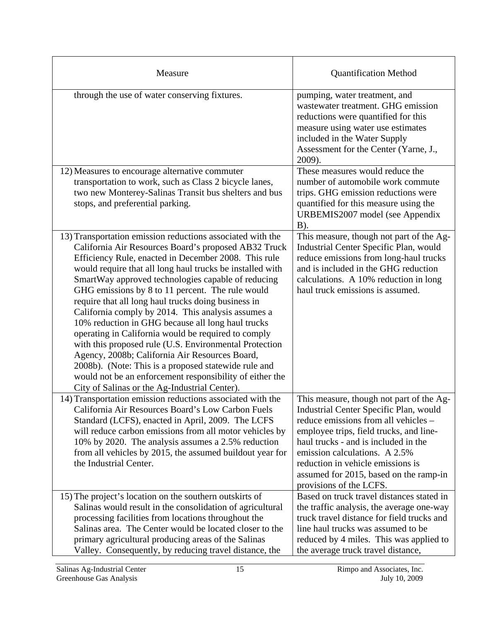| Measure                                                                                                                                                                                                                                                                                                                                                                                                                                                                                                                                                                                                                                                                                                                                                                                                                                                     | <b>Quantification Method</b>                                                                                                                                                                                                                                                                                                                             |
|-------------------------------------------------------------------------------------------------------------------------------------------------------------------------------------------------------------------------------------------------------------------------------------------------------------------------------------------------------------------------------------------------------------------------------------------------------------------------------------------------------------------------------------------------------------------------------------------------------------------------------------------------------------------------------------------------------------------------------------------------------------------------------------------------------------------------------------------------------------|----------------------------------------------------------------------------------------------------------------------------------------------------------------------------------------------------------------------------------------------------------------------------------------------------------------------------------------------------------|
| through the use of water conserving fixtures.                                                                                                                                                                                                                                                                                                                                                                                                                                                                                                                                                                                                                                                                                                                                                                                                               | pumping, water treatment, and<br>wastewater treatment. GHG emission<br>reductions were quantified for this<br>measure using water use estimates<br>included in the Water Supply<br>Assessment for the Center (Yarne, J.,<br>2009).                                                                                                                       |
| 12) Measures to encourage alternative commuter<br>transportation to work, such as Class 2 bicycle lanes,<br>two new Monterey-Salinas Transit bus shelters and bus<br>stops, and preferential parking.                                                                                                                                                                                                                                                                                                                                                                                                                                                                                                                                                                                                                                                       | These measures would reduce the<br>number of automobile work commute<br>trips. GHG emission reductions were<br>quantified for this measure using the<br>URBEMIS2007 model (see Appendix<br>B).                                                                                                                                                           |
| 13) Transportation emission reductions associated with the<br>California Air Resources Board's proposed AB32 Truck<br>Efficiency Rule, enacted in December 2008. This rule<br>would require that all long haul trucks be installed with<br>SmartWay approved technologies capable of reducing<br>GHG emissions by 8 to 11 percent. The rule would<br>require that all long haul trucks doing business in<br>California comply by 2014. This analysis assumes a<br>10% reduction in GHG because all long haul trucks<br>operating in California would be required to comply<br>with this proposed rule (U.S. Environmental Protection<br>Agency, 2008b; California Air Resources Board,<br>2008b). (Note: This is a proposed statewide rule and<br>would not be an enforcement responsibility of either the<br>City of Salinas or the Ag-Industrial Center). | This measure, though not part of the Ag-<br>Industrial Center Specific Plan, would<br>reduce emissions from long-haul trucks<br>and is included in the GHG reduction<br>calculations. A 10% reduction in long<br>haul truck emissions is assumed.                                                                                                        |
| 14) Transportation emission reductions associated with the<br>California Air Resources Board's Low Carbon Fuels<br>Standard (LCFS), enacted in April, 2009. The LCFS<br>will reduce carbon emissions from all motor vehicles by<br>10% by 2020. The analysis assumes a 2.5% reduction<br>from all vehicles by 2015, the assumed buildout year for<br>the Industrial Center.                                                                                                                                                                                                                                                                                                                                                                                                                                                                                 | This measure, though not part of the Ag-<br>Industrial Center Specific Plan, would<br>reduce emissions from all vehicles –<br>employee trips, field trucks, and line-<br>haul trucks - and is included in the<br>emission calculations. A 2.5%<br>reduction in vehicle emissions is<br>assumed for 2015, based on the ramp-in<br>provisions of the LCFS. |
| 15) The project's location on the southern outskirts of<br>Salinas would result in the consolidation of agricultural<br>processing facilities from locations throughout the<br>Salinas area. The Center would be located closer to the<br>primary agricultural producing areas of the Salinas<br>Valley. Consequently, by reducing travel distance, the                                                                                                                                                                                                                                                                                                                                                                                                                                                                                                     | Based on truck travel distances stated in<br>the traffic analysis, the average one-way<br>truck travel distance for field trucks and<br>line haul trucks was assumed to be<br>reduced by 4 miles. This was applied to<br>the average truck travel distance,                                                                                              |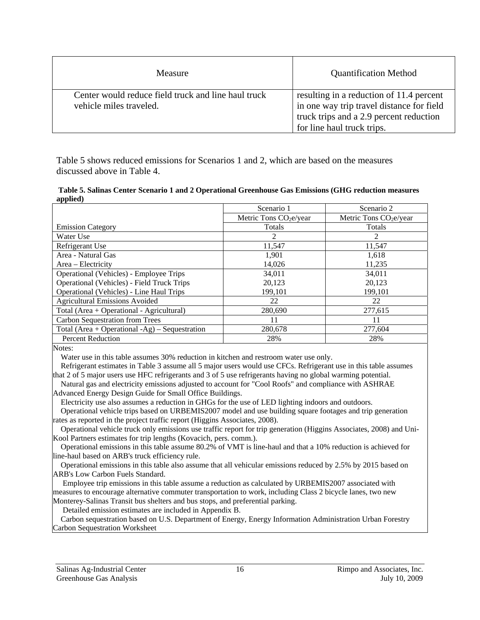| Measure                                                                        | <b>Quantification Method</b>                                                                                                                                   |
|--------------------------------------------------------------------------------|----------------------------------------------------------------------------------------------------------------------------------------------------------------|
| Center would reduce field truck and line haul truck<br>vehicle miles traveled. | resulting in a reduction of 11.4 percent<br>in one way trip travel distance for field<br>truck trips and a 2.9 percent reduction<br>for line haul truck trips. |

Table 5 shows reduced emissions for Scenarios 1 and 2, which are based on the measures discussed above in Table 4.

 **Table 5. Salinas Center Scenario 1 and 2 Operational Greenhouse Gas Emissions (GHG reduction measures applied)** 

|                                                   | Scenario 1              | Scenario 2              |
|---------------------------------------------------|-------------------------|-------------------------|
|                                                   | Metric Tons $CO2e/year$ | Metric Tons $CO2e/year$ |
| <b>Emission Category</b>                          | Totals                  | <b>Totals</b>           |
| Water Use                                         | 2                       | $\mathfrak{D}$          |
| Refrigerant Use                                   | 11,547                  | 11,547                  |
| Area - Natural Gas                                | 1,901                   | 1.618                   |
| Area – Electricity                                | 14,026                  | 11,235                  |
| Operational (Vehicles) - Employee Trips           | 34,011                  | 34,011                  |
| <b>Operational (Vehicles) - Field Truck Trips</b> | 20.123                  | 20.123                  |
| <b>Operational (Vehicles) - Line Haul Trips</b>   | 199.101                 | 199.101                 |
| <b>Agricultural Emissions Avoided</b>             | 22                      | 22                      |
| Total (Area + Operational - Agricultural)         | 280,690                 | 277,615                 |
| <b>Carbon Sequestration from Trees</b>            | 11                      | 11                      |
| Total (Area + Operational -Ag) – Sequestration    | 280,678                 | 277,604                 |
| <b>Percent Reduction</b>                          | 28%                     | 28%                     |

Notes<sup>.</sup>

Water use in this table assumes 30% reduction in kitchen and restroom water use only.

 Refrigerant estimates in Table 3 assume all 5 major users would use CFCs. Refrigerant use in this table assumes that 2 of 5 major users use HFC refrigerants and 3 of 5 use refrigerants having no global warming potential.

 Natural gas and electricity emissions adjusted to account for "Cool Roofs" and compliance with ASHRAE Advanced Energy Design Guide for Small Office Buildings.

Electricity use also assumes a reduction in GHGs for the use of LED lighting indoors and outdoors.

 Operational vehicle trips based on URBEMIS2007 model and use building square footages and trip generation rates as reported in the project traffic report (Higgins Associates, 2008).

 Operational vehicle truck only emissions use traffic report for trip generation (Higgins Associates, 2008) and Uni-Kool Partners estimates for trip lengths (Kovacich, pers. comm.).

 Operational emissions in this table assume 80.2% of VMT is line-haul and that a 10% reduction is achieved for line-haul based on ARB's truck efficiency rule.

 Operational emissions in this table also assume that all vehicular emissions reduced by 2.5% by 2015 based on ARB's Low Carbon Fuels Standard.

 Employee trip emissions in this table assume a reduction as calculated by URBEMIS2007 associated with measures to encourage alternative commuter transportation to work, including Class 2 bicycle lanes, two new Monterey-Salinas Transit bus shelters and bus stops, and preferential parking.

Detailed emission estimates are included in Appendix B.

 Carbon sequestration based on U.S. Department of Energy, Energy Information Administration Urban Forestry Carbon Sequestration Worksheet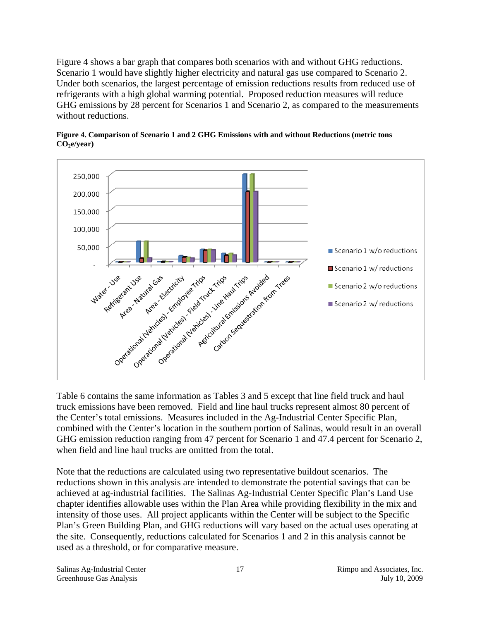Figure 4 shows a bar graph that compares both scenarios with and without GHG reductions. Scenario 1 would have slightly higher electricity and natural gas use compared to Scenario 2. Under both scenarios, the largest percentage of emission reductions results from reduced use of refrigerants with a high global warming potential. Proposed reduction measures will reduce GHG emissions by 28 percent for Scenarios 1 and Scenario 2, as compared to the measurements without reductions.





Table 6 contains the same information as Tables 3 and 5 except that line field truck and haul truck emissions have been removed. Field and line haul trucks represent almost 80 percent of the Center's total emissions. Measures included in the Ag-Industrial Center Specific Plan, combined with the Center's location in the southern portion of Salinas, would result in an overall GHG emission reduction ranging from 47 percent for Scenario 1 and 47.4 percent for Scenario 2, when field and line haul trucks are omitted from the total.

Note that the reductions are calculated using two representative buildout scenarios. The reductions shown in this analysis are intended to demonstrate the potential savings that can be achieved at ag-industrial facilities. The Salinas Ag-Industrial Center Specific Plan's Land Use chapter identifies allowable uses within the Plan Area while providing flexibility in the mix and intensity of those uses. All project applicants within the Center will be subject to the Specific Plan's Green Building Plan, and GHG reductions will vary based on the actual uses operating at the site. Consequently, reductions calculated for Scenarios 1 and 2 in this analysis cannot be used as a threshold, or for comparative measure.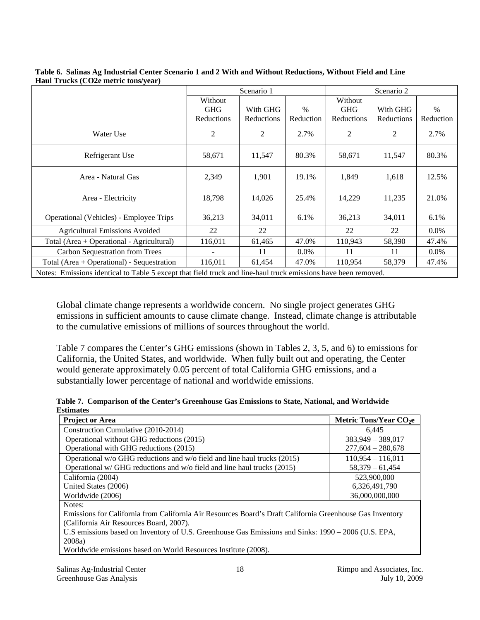|                                                                                                                | Scenario 1 |            | Scenario 2 |            |            |           |
|----------------------------------------------------------------------------------------------------------------|------------|------------|------------|------------|------------|-----------|
|                                                                                                                | Without    |            |            | Without    |            |           |
|                                                                                                                | <b>GHG</b> | With GHG   | $\%$       | <b>GHG</b> | With GHG   | $\%$      |
|                                                                                                                | Reductions | Reductions | Reduction  | Reductions | Reductions | Reduction |
| Water Use                                                                                                      | 2          | 2          | 2.7%       | 2          | 2          | 2.7%      |
| Refrigerant Use                                                                                                | 58,671     | 11,547     | 80.3%      | 58,671     | 11,547     | 80.3%     |
| Area - Natural Gas                                                                                             | 2,349      | 1,901      | 19.1%      | 1,849      | 1,618      | 12.5%     |
| Area - Electricity                                                                                             | 18,798     | 14,026     | 25.4%      | 14,229     | 11,235     | 21.0%     |
| Operational (Vehicles) - Employee Trips                                                                        | 36,213     | 34,011     | 6.1%       | 36,213     | 34,011     | 6.1%      |
| <b>Agricultural Emissions Avoided</b>                                                                          | 22         | 22         |            | 22         | 22         | $0.0\%$   |
| Total (Area + Operational - Agricultural)                                                                      | 116,011    | 61,465     | 47.0%      | 110.943    | 58,390     | 47.4%     |
| Carbon Sequestration from Trees                                                                                |            | 11         | $0.0\%$    | 11         | 11         | $0.0\%$   |
| Total (Area + Operational) - Sequestration                                                                     | 116,011    | 61,454     | 47.0%      | 110,954    | 58,379     | 47.4%     |
| Motor Emissions identical to Table 5 arount that field turnly and line hard turnly amissions have been removed |            |            |            |            |            |           |

**Table 6. Salinas Ag Industrial Center Scenario 1 and 2 With and Without Reductions, Without Field and Line Haul Trucks (CO2e metric tons/year)** 

Notes: Emissions identical to Table 5 except that field truck and line-haul truck emissions have been removed.

Global climate change represents a worldwide concern. No single project generates GHG emissions in sufficient amounts to cause climate change. Instead, climate change is attributable to the cumulative emissions of millions of sources throughout the world.

Table 7 compares the Center's GHG emissions (shown in Tables 2, 3, 5, and 6) to emissions for California, the United States, and worldwide. When fully built out and operating, the Center would generate approximately 0.05 percent of total California GHG emissions, and a substantially lower percentage of national and worldwide emissions.

| Table 7. Comparison of the Center's Greenhouse Gas Emissions to State, National, and Worldwide |  |
|------------------------------------------------------------------------------------------------|--|
| <b>Estimates</b>                                                                               |  |

| <b>Project or Area</b>                                                                                   | Metric Tons/Year CO <sub>2</sub> e |  |
|----------------------------------------------------------------------------------------------------------|------------------------------------|--|
| Construction Cumulative (2010-2014)                                                                      | 6.445                              |  |
| Operational without GHG reductions (2015)                                                                | $383,949 - 389,017$                |  |
| Operational with GHG reductions (2015)                                                                   | $277,604 - 280,678$                |  |
| Operational $w$ GHG reductions and $w$ field and line haul trucks (2015)                                 | $110.954 - 116.011$                |  |
| Operational w/ GHG reductions and w/o field and line haul trucks (2015)                                  | $58.379 - 61.454$                  |  |
| California (2004)                                                                                        | 523,900,000                        |  |
| United States (2006)                                                                                     | 6,326,491,790                      |  |
| Worldwide (2006)                                                                                         | 36,000,000,000                     |  |
| Notes:                                                                                                   |                                    |  |
| Emissions for California from California Air Resources Board's Draft California Greenhouse Gas Inventory |                                    |  |
| (California Air Resources Board, 2007).                                                                  |                                    |  |
| U.S emissions based on Inventory of U.S. Greenhouse Gas Emissions and Sinks: 1990 – 2006 (U.S. EPA,      |                                    |  |
| 2008a)                                                                                                   |                                    |  |
| Worldwide emissions based on World Resources Institute (2008).                                           |                                    |  |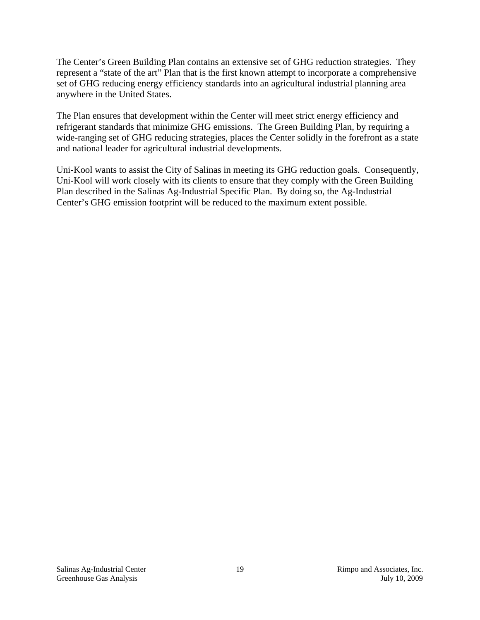The Center's Green Building Plan contains an extensive set of GHG reduction strategies. They represent a "state of the art" Plan that is the first known attempt to incorporate a comprehensive set of GHG reducing energy efficiency standards into an agricultural industrial planning area anywhere in the United States.

The Plan ensures that development within the Center will meet strict energy efficiency and refrigerant standards that minimize GHG emissions. The Green Building Plan, by requiring a wide-ranging set of GHG reducing strategies, places the Center solidly in the forefront as a state and national leader for agricultural industrial developments.

Uni-Kool wants to assist the City of Salinas in meeting its GHG reduction goals. Consequently, Uni-Kool will work closely with its clients to ensure that they comply with the Green Building Plan described in the Salinas Ag-Industrial Specific Plan. By doing so, the Ag-Industrial Center's GHG emission footprint will be reduced to the maximum extent possible.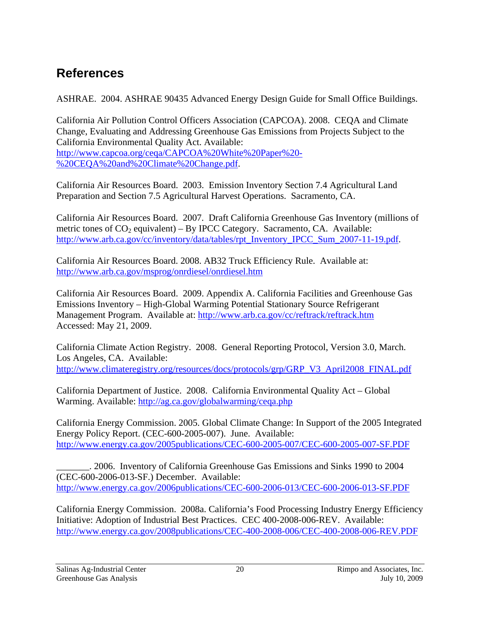# **References**

ASHRAE. 2004. ASHRAE 90435 Advanced Energy Design Guide for Small Office Buildings.

California Air Pollution Control Officers Association (CAPCOA). 2008. CEQA and Climate Change, Evaluating and Addressing Greenhouse Gas Emissions from Projects Subject to the California Environmental Quality Act. Available: http://www.capcoa.org/ceqa/CAPCOA%20White%20Paper%20- %20CEQA%20and%20Climate%20Change.pdf.

California Air Resources Board. 2003. Emission Inventory Section 7.4 Agricultural Land Preparation and Section 7.5 Agricultural Harvest Operations. Sacramento, CA.

California Air Resources Board. 2007. Draft California Greenhouse Gas Inventory (millions of metric tones of  $CO_2$  equivalent) – By IPCC Category. Sacramento, CA. Available: http://www.arb.ca.gov/cc/inventory/data/tables/rpt\_Inventory\_IPCC\_Sum\_2007-11-19.pdf.

California Air Resources Board. 2008. AB32 Truck Efficiency Rule. Available at: http://www.arb.ca.gov/msprog/onrdiesel/onrdiesel.htm

California Air Resources Board. 2009. Appendix A. California Facilities and Greenhouse Gas Emissions Inventory – High-Global Warming Potential Stationary Source Refrigerant Management Program. Available at: http://www.arb.ca.gov/cc/reftrack/reftrack.htm Accessed: May 21, 2009.

California Climate Action Registry. 2008. General Reporting Protocol, Version 3.0, March. Los Angeles, CA. Available: http://www.climateregistry.org/resources/docs/protocols/grp/GRP\_V3\_April2008\_FINAL.pdf

California Department of Justice. 2008. California Environmental Quality Act – Global Warming. Available: http://ag.ca.gov/globalwarming/ceqa.php

California Energy Commission. 2005. Global Climate Change: In Support of the 2005 Integrated Energy Policy Report. (CEC-600-2005-007). June. Available: http://www.energy.ca.gov/2005publications/CEC-600-2005-007/CEC-600-2005-007-SF.PDF

\_\_\_\_\_\_\_. 2006. Inventory of California Greenhouse Gas Emissions and Sinks 1990 to 2004 (CEC-600-2006-013-SF.) December. Available: http://www.energy.ca.gov/2006publications/CEC-600-2006-013/CEC-600-2006-013-SF.PDF

California Energy Commission. 2008a. California's Food Processing Industry Energy Efficiency Initiative: Adoption of Industrial Best Practices. CEC 400-2008-006-REV. Available: http://www.energy.ca.gov/2008publications/CEC-400-2008-006/CEC-400-2008-006-REV.PDF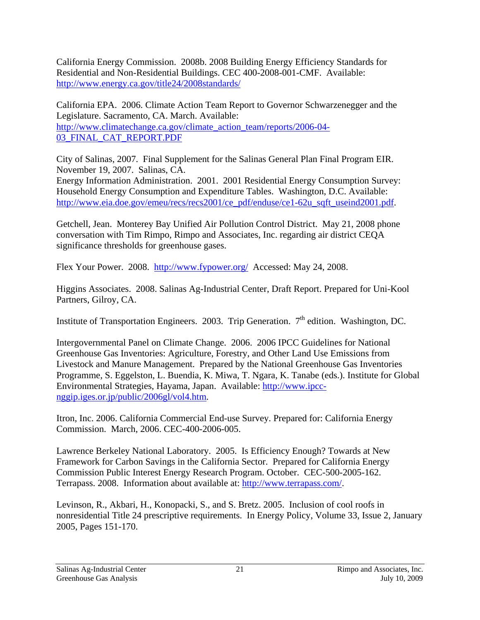California Energy Commission. 2008b. 2008 Building Energy Efficiency Standards for Residential and Non-Residential Buildings. CEC 400-2008-001-CMF. Available: http://www.energy.ca.gov/title24/2008standards/

California EPA. 2006. Climate Action Team Report to Governor Schwarzenegger and the Legislature. Sacramento, CA. March. Available: http://www.climatechange.ca.gov/climate\_action\_team/reports/2006-04-03\_FINAL\_CAT\_REPORT.PDF

City of Salinas, 2007. Final Supplement for the Salinas General Plan Final Program EIR. November 19, 2007. Salinas, CA.

Energy Information Administration. 2001. 2001 Residential Energy Consumption Survey: Household Energy Consumption and Expenditure Tables. Washington, D.C. Available: http://www.eia.doe.gov/emeu/recs/recs2001/ce\_pdf/enduse/ce1-62u\_sqft\_useind2001.pdf.

Getchell, Jean. Monterey Bay Unified Air Pollution Control District. May 21, 2008 phone conversation with Tim Rimpo, Rimpo and Associates, Inc. regarding air district CEQA significance thresholds for greenhouse gases.

Flex Your Power. 2008. http://www.fypower.org/ Accessed: May 24, 2008.

Higgins Associates. 2008. Salinas Ag-Industrial Center, Draft Report. Prepared for Uni-Kool Partners, Gilroy, CA.

Institute of Transportation Engineers. 2003. Trip Generation.  $7<sup>th</sup>$  edition. Washington, DC.

Intergovernmental Panel on Climate Change. 2006. 2006 IPCC Guidelines for National Greenhouse Gas Inventories: Agriculture, Forestry, and Other Land Use Emissions from Livestock and Manure Management. Prepared by the National Greenhouse Gas Inventories Programme, S. Eggelston, L. Buendia, K. Miwa, T. Ngara, K. Tanabe (eds.). Institute for Global Environmental Strategies, Hayama, Japan. Available: http://www.ipccnggip.iges.or.jp/public/2006gl/vol4.htm.

Itron, Inc. 2006. California Commercial End-use Survey. Prepared for: California Energy Commission. March, 2006. CEC-400-2006-005.

Lawrence Berkeley National Laboratory. 2005. Is Efficiency Enough? Towards at New Framework for Carbon Savings in the California Sector. Prepared for California Energy Commission Public Interest Energy Research Program. October. CEC-500-2005-162. Terrapass. 2008. Information about available at: http://www.terrapass.com/.

Levinson, R., Akbari, H., Konopacki, S., and S. Bretz. 2005. Inclusion of cool roofs in nonresidential Title 24 prescriptive requirements. In Energy Policy, Volume 33, Issue 2, January 2005, Pages 151-170.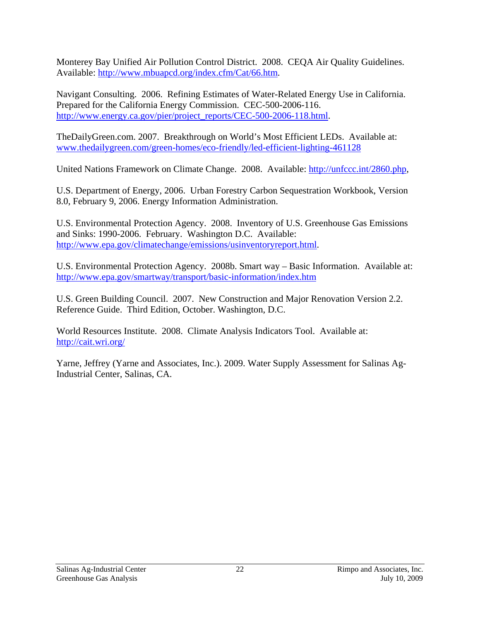Monterey Bay Unified Air Pollution Control District. 2008. CEQA Air Quality Guidelines. Available: http://www.mbuapcd.org/index.cfm/Cat/66.htm.

Navigant Consulting. 2006. Refining Estimates of Water-Related Energy Use in California. Prepared for the California Energy Commission. CEC-500-2006-116. http://www.energy.ca.gov/pier/project\_reports/CEC-500-2006-118.html.

TheDailyGreen.com. 2007. Breakthrough on World's Most Efficient LEDs. Available at: www.thedailygreen.com/green-homes/eco-friendly/led-efficient-lighting-461128

United Nations Framework on Climate Change. 2008. Available: http://unfccc.int/2860.php,

U.S. Department of Energy, 2006. Urban Forestry Carbon Sequestration Workbook, Version 8.0, February 9, 2006. Energy Information Administration.

U.S. Environmental Protection Agency. 2008. Inventory of U.S. Greenhouse Gas Emissions and Sinks: 1990-2006. February. Washington D.C. Available: http://www.epa.gov/climatechange/emissions/usinventoryreport.html.

U.S. Environmental Protection Agency. 2008b. Smart way – Basic Information. Available at: http://www.epa.gov/smartway/transport/basic-information/index.htm

U.S. Green Building Council. 2007. New Construction and Major Renovation Version 2.2. Reference Guide. Third Edition, October. Washington, D.C.

World Resources Institute. 2008. Climate Analysis Indicators Tool. Available at: http://cait.wri.org/

Yarne, Jeffrey (Yarne and Associates, Inc.). 2009. Water Supply Assessment for Salinas Ag-Industrial Center, Salinas, CA.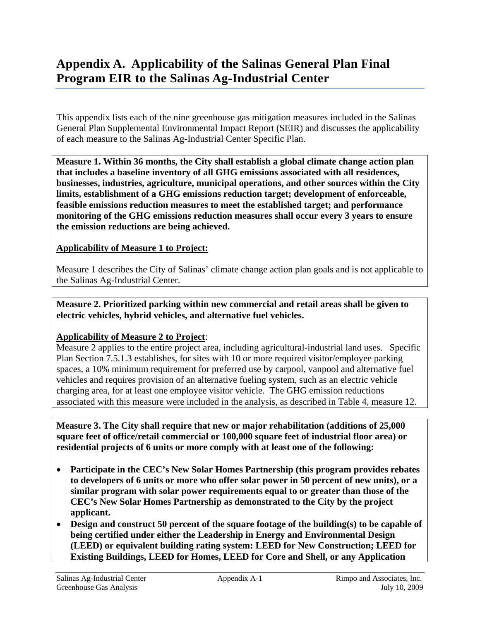## **Appendix A. Applicability of the Salinas General Plan Final Program EIR to the Salinas Ag-Industrial Center**

This appendix lists each of the nine greenhouse gas mitigation measures included in the Salinas General Plan Supplemental Environmental Impact Report (SEIR) and discusses the applicability of each measure to the Salinas Ag-Industrial Center Specific Plan.

**Measure 1. Within 36 months, the City shall establish a global climate change action plan that includes a baseline inventory of all GHG emissions associated with all residences, businesses, industries, agriculture, municipal operations, and other sources within the City limits, establishment of a GHG emissions reduction target; development of enforceable, feasible emissions reduction measures to meet the established target; and performance monitoring of the GHG emissions reduction measures shall occur every 3 years to ensure the emission reductions are being achieved.** 

#### **Applicability of Measure 1 to Project:**

Measure 1 describes the City of Salinas' climate change action plan goals and is not applicable to the Salinas Ag-Industrial Center.

**Measure 2. Prioritized parking within new commercial and retail areas shall be given to electric vehicles, hybrid vehicles, and alternative fuel vehicles.** 

#### **Applicability of Measure 2 to Project**:

Measure 2 applies to the entire project area, including agricultural-industrial land uses. Specific Plan Section 7.5.1.3 establishes, for sites with 10 or more required visitor/employee parking spaces, a 10% minimum requirement for preferred use by carpool, vanpool and alternative fuel vehicles and requires provision of an alternative fueling system, such as an electric vehicle charging area, for at least one employee visitor vehicle. The GHG emission reductions associated with this measure were included in the analysis, as described in Table 4, measure 12.

**Measure 3. The City shall require that new or major rehabilitation (additions of 25,000 square feet of office/retail commercial or 100,000 square feet of industrial floor area) or residential projects of 6 units or more comply with at least one of the following:** 

- **Participate in the CEC's New Solar Homes Partnership (this program provides rebates to developers of 6 units or more who offer solar power in 50 percent of new units), or a similar program with solar power requirements equal to or greater than those of the CEC's New Solar Homes Partnership as demonstrated to the City by the project applicant.**
- **Design and construct 50 percent of the square footage of the building(s) to be capable of being certified under either the Leadership in Energy and Environmental Design (LEED) or equivalent building rating system: LEED for New Construction; LEED for Existing Buildings, LEED for Homes, LEED for Core and Shell, or any Application**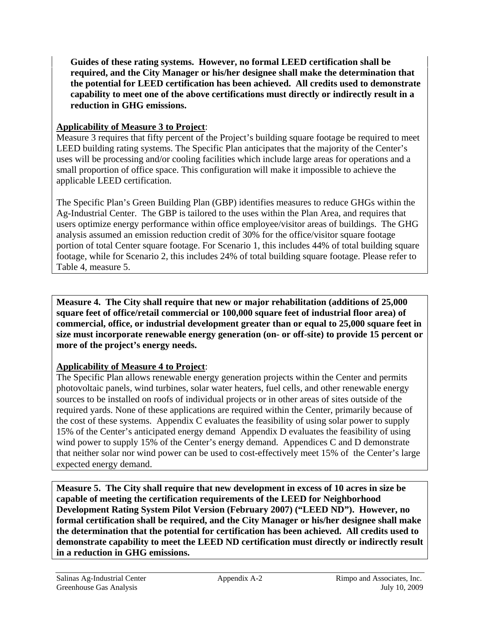**Guides of these rating systems. However, no formal LEED certification shall be required, and the City Manager or his/her designee shall make the determination that the potential for LEED certification has been achieved. All credits used to demonstrate capability to meet one of the above certifications must directly or indirectly result in a reduction in GHG emissions.** 

### **Applicability of Measure 3 to Project**:

Measure 3 requires that fifty percent of the Project's building square footage be required to meet LEED building rating systems. The Specific Plan anticipates that the majority of the Center's uses will be processing and/or cooling facilities which include large areas for operations and a small proportion of office space. This configuration will make it impossible to achieve the applicable LEED certification.

The Specific Plan's Green Building Plan (GBP) identifies measures to reduce GHGs within the Ag-Industrial Center. The GBP is tailored to the uses within the Plan Area, and requires that users optimize energy performance within office employee/visitor areas of buildings. The GHG analysis assumed an emission reduction credit of 30% for the office/visitor square footage portion of total Center square footage. For Scenario 1, this includes 44% of total building square footage, while for Scenario 2, this includes 24% of total building square footage. Please refer to Table 4, measure 5.

**Measure 4. The City shall require that new or major rehabilitation (additions of 25,000 square feet of office/retail commercial or 100,000 square feet of industrial floor area) of commercial, office, or industrial development greater than or equal to 25,000 square feet in size must incorporate renewable energy generation (on- or off-site) to provide 15 percent or more of the project's energy needs.** 

### **Applicability of Measure 4 to Project**:

The Specific Plan allows renewable energy generation projects within the Center and permits photovoltaic panels, wind turbines, solar water heaters, fuel cells, and other renewable energy sources to be installed on roofs of individual projects or in other areas of sites outside of the required yards. None of these applications are required within the Center, primarily because of the cost of these systems. Appendix C evaluates the feasibility of using solar power to supply 15% of the Center's anticipated energy demand Appendix D evaluates the feasibility of using wind power to supply 15% of the Center's energy demand. Appendices C and D demonstrate that neither solar nor wind power can be used to cost-effectively meet 15% of the Center's large expected energy demand.

**Measure 5. The City shall require that new development in excess of 10 acres in size be capable of meeting the certification requirements of the LEED for Neighborhood Development Rating System Pilot Version (February 2007) ("LEED ND"). However, no formal certification shall be required, and the City Manager or his/her designee shall make the determination that the potential for certification has been achieved. All credits used to demonstrate capability to meet the LEED ND certification must directly or indirectly result in a reduction in GHG emissions.**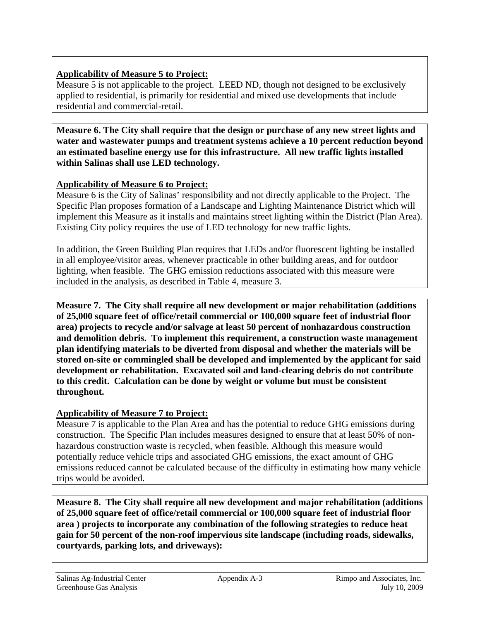### **Applicability of Measure 5 to Project:**

Measure 5 is not applicable to the project. LEED ND, though not designed to be exclusively applied to residential, is primarily for residential and mixed use developments that include residential and commercial-retail.

**Measure 6. The City shall require that the design or purchase of any new street lights and water and wastewater pumps and treatment systems achieve a 10 percent reduction beyond an estimated baseline energy use for this infrastructure. All new traffic lights installed within Salinas shall use LED technology.** 

### **Applicability of Measure 6 to Project:**

Measure 6 is the City of Salinas' responsibility and not directly applicable to the Project. The Specific Plan proposes formation of a Landscape and Lighting Maintenance District which will implement this Measure as it installs and maintains street lighting within the District (Plan Area). Existing City policy requires the use of LED technology for new traffic lights.

In addition, the Green Building Plan requires that LEDs and/or fluorescent lighting be installed in all employee/visitor areas, whenever practicable in other building areas, and for outdoor lighting, when feasible. The GHG emission reductions associated with this measure were included in the analysis, as described in Table 4, measure 3.

**Measure 7. The City shall require all new development or major rehabilitation (additions of 25,000 square feet of office/retail commercial or 100,000 square feet of industrial floor area) projects to recycle and/or salvage at least 50 percent of nonhazardous construction and demolition debris. To implement this requirement, a construction waste management plan identifying materials to be diverted from disposal and whether the materials will be stored on-site or commingled shall be developed and implemented by the applicant for said development or rehabilitation. Excavated soil and land-clearing debris do not contribute to this credit. Calculation can be done by weight or volume but must be consistent throughout.** 

### **Applicability of Measure 7 to Project:**

Measure 7 is applicable to the Plan Area and has the potential to reduce GHG emissions during construction. The Specific Plan includes measures designed to ensure that at least 50% of nonhazardous construction waste is recycled, when feasible. Although this measure would potentially reduce vehicle trips and associated GHG emissions, the exact amount of GHG emissions reduced cannot be calculated because of the difficulty in estimating how many vehicle trips would be avoided.

**Measure 8. The City shall require all new development and major rehabilitation (additions of 25,000 square feet of office/retail commercial or 100,000 square feet of industrial floor area ) projects to incorporate any combination of the following strategies to reduce heat gain for 50 percent of the non-roof impervious site landscape (including roads, sidewalks, courtyards, parking lots, and driveways):**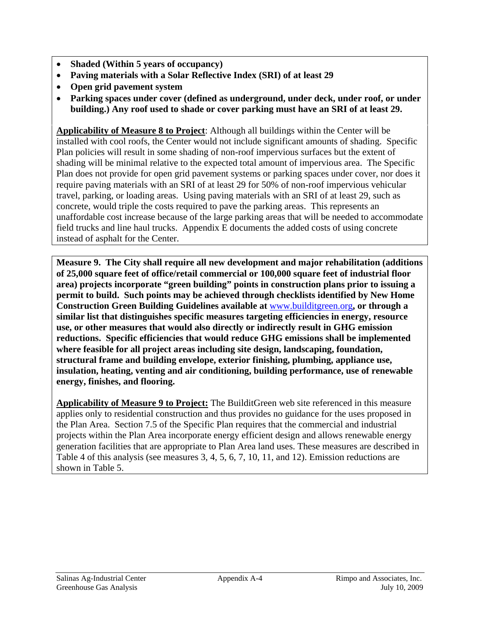- **Shaded (Within 5 years of occupancy)**
- **Paving materials with a Solar Reflective Index (SRI) of at least 29**
- **Open grid pavement system**
- **Parking spaces under cover (defined as underground, under deck, under roof, or under building.) Any roof used to shade or cover parking must have an SRI of at least 29.**

**Applicability of Measure 8 to Project**: Although all buildings within the Center will be installed with cool roofs, the Center would not include significant amounts of shading. Specific Plan policies will result in some shading of non-roof impervious surfaces but the extent of shading will be minimal relative to the expected total amount of impervious area. The Specific Plan does not provide for open grid pavement systems or parking spaces under cover, nor does it require paving materials with an SRI of at least 29 for 50% of non-roof impervious vehicular travel, parking, or loading areas. Using paving materials with an SRI of at least 29, such as concrete, would triple the costs required to pave the parking areas. This represents an unaffordable cost increase because of the large parking areas that will be needed to accommodate field trucks and line haul trucks. Appendix E documents the added costs of using concrete instead of asphalt for the Center.

**Measure 9. The City shall require all new development and major rehabilitation (additions of 25,000 square feet of office/retail commercial or 100,000 square feet of industrial floor area) projects incorporate "green building" points in construction plans prior to issuing a permit to build. Such points may be achieved through checklists identified by New Home Construction Green Building Guidelines available at** www.builditgreen.org**, or through a similar list that distinguishes specific measures targeting efficiencies in energy, resource use, or other measures that would also directly or indirectly result in GHG emission reductions. Specific efficiencies that would reduce GHG emissions shall be implemented where feasible for all project areas including site design, landscaping, foundation, structural frame and building envelope, exterior finishing, plumbing, appliance use, insulation, heating, venting and air conditioning, building performance, use of renewable energy, finishes, and flooring.** 

**Applicability of Measure 9 to Project:** The BuilditGreen web site referenced in this measure applies only to residential construction and thus provides no guidance for the uses proposed in the Plan Area. Section 7.5 of the Specific Plan requires that the commercial and industrial projects within the Plan Area incorporate energy efficient design and allows renewable energy generation facilities that are appropriate to Plan Area land uses. These measures are described in Table 4 of this analysis (see measures 3, 4, 5, 6, 7, 10, 11, and 12). Emission reductions are shown in Table 5.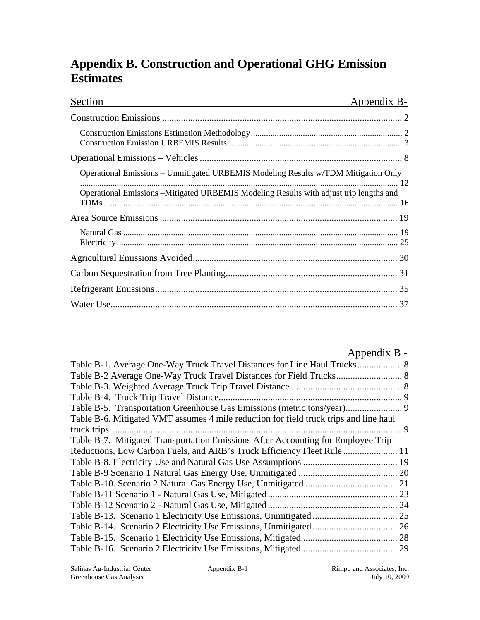## **Appendix B. Construction and Operational GHG Emission Estimates**

| Section                                                                                                                                                                      | Appendix B- |
|------------------------------------------------------------------------------------------------------------------------------------------------------------------------------|-------------|
|                                                                                                                                                                              |             |
|                                                                                                                                                                              |             |
|                                                                                                                                                                              |             |
| Operational Emissions – Unmitigated URBEMIS Modeling Results w/TDM Mitigation Only<br>Operational Emissions -Mitigated URBEMIS Modeling Results with adjust trip lengths and |             |
|                                                                                                                                                                              |             |
|                                                                                                                                                                              |             |
|                                                                                                                                                                              |             |
|                                                                                                                                                                              |             |
|                                                                                                                                                                              |             |
|                                                                                                                                                                              |             |

| Appendix B -                                                                          |
|---------------------------------------------------------------------------------------|
|                                                                                       |
|                                                                                       |
|                                                                                       |
|                                                                                       |
|                                                                                       |
| Table B-6. Mitigated VMT assumes 4 mile reduction for field truck trips and line haul |
|                                                                                       |
| Table B-7. Mitigated Transportation Emissions After Accounting for Employee Trip      |
|                                                                                       |
|                                                                                       |
|                                                                                       |
|                                                                                       |
|                                                                                       |
|                                                                                       |
|                                                                                       |
|                                                                                       |
|                                                                                       |
|                                                                                       |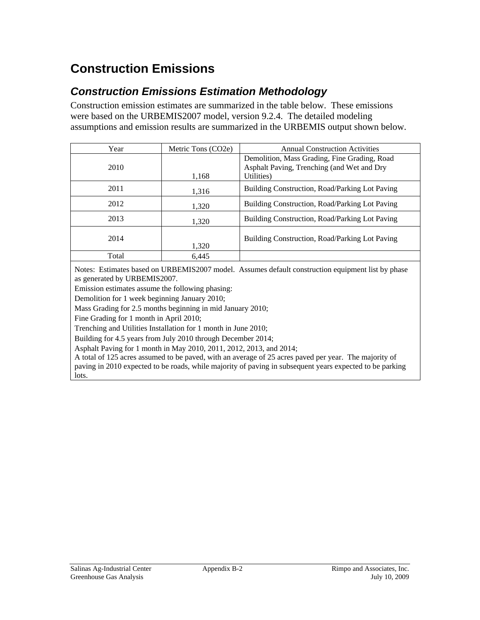# **Construction Emissions**

### *Construction Emissions Estimation Methodology*

Construction emission estimates are summarized in the table below. These emissions were based on the URBEMIS2007 model, version 9.2.4. The detailed modeling assumptions and emission results are summarized in the URBEMIS output shown below.

| Year  | Metric Tons (CO2e) | <b>Annual Construction Activities</b>                                                      |
|-------|--------------------|--------------------------------------------------------------------------------------------|
| 2010  |                    | Demolition, Mass Grading, Fine Grading, Road<br>Asphalt Paving, Trenching (and Wet and Dry |
|       | 1,168              | Utilities)                                                                                 |
| 2011  | 1,316              | Building Construction, Road/Parking Lot Paving                                             |
| 2012  | 1,320              | Building Construction, Road/Parking Lot Paving                                             |
| 2013  | 1,320              | Building Construction, Road/Parking Lot Paving                                             |
| 2014  | 1,320              | Building Construction, Road/Parking Lot Paving                                             |
| Total | 6,445              |                                                                                            |

Notes: Estimates based on URBEMIS2007 model. Assumes default construction equipment list by phase as generated by URBEMIS2007.

Emission estimates assume the following phasing:

Demolition for 1 week beginning January 2010;

Mass Grading for 2.5 months beginning in mid January 2010;

Fine Grading for 1 month in April 2010;

Trenching and Utilities Installation for 1 month in June 2010;

Building for 4.5 years from July 2010 through December 2014;

Asphalt Paving for 1 month in May 2010, 2011, 2012, 2013, and 2014;

A total of 125 acres assumed to be paved, with an average of 25 acres paved per year. The majority of paving in 2010 expected to be roads, while majority of paving in subsequent years expected to be parking lots.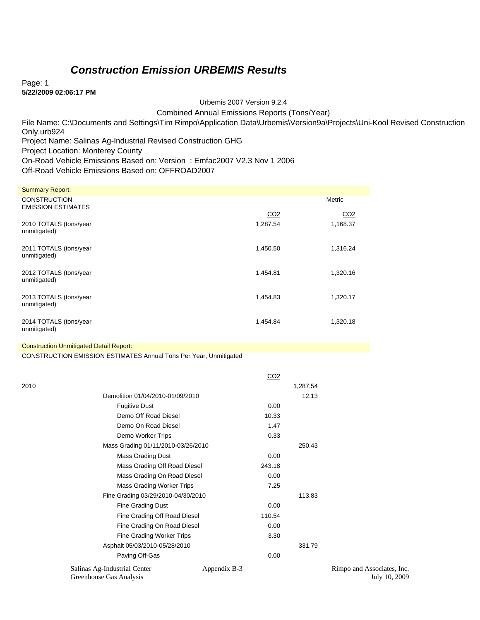### *Construction Emission URBEMIS Results*

Page: 1 **5/22/2009 02:06:17 PM** 

Urbemis 2007 Version 9.2.4

Combined Annual Emissions Reports (Tons/Year)

File Name: C:\Documents and Settings\Tim Rimpo\Application Data\Urbemis\Version9a\Projects\Uni-Kool Revised Construction

Only.urb924

Project Name: Salinas Ag-Industrial Revised Construction GHG

Project Location: Monterey County

On-Road Vehicle Emissions Based on: Version : Emfac2007 V2.3 Nov 1 2006

Off-Road Vehicle Emissions Based on: OFFROAD2007

| <b>Summary Report:</b>                           |                 |                 |
|--------------------------------------------------|-----------------|-----------------|
| <b>CONSTRUCTION</b><br><b>EMISSION ESTIMATES</b> |                 | Metric          |
|                                                  | CO <sub>2</sub> | CO <sub>2</sub> |
| 2010 TOTALS (tons/year<br>unmitigated)           | 1,287.54        | 1,168.37        |
| 2011 TOTALS (tons/year<br>unmitigated)           | 1,450.50        | 1,316.24        |
| 2012 TOTALS (tons/year<br>unmitigated)           | 1,454.81        | 1,320.16        |
| 2013 TOTALS (tons/year<br>unmitigated)           | 1,454.83        | 1,320.17        |
| 2014 TOTALS (tons/year<br>unmitigated)           | 1,454.84        | 1,320.18        |

#### Construction Unmitigated Detail Report:

CONSTRUCTION EMISSION ESTIMATES Annual Tons Per Year, Unmitigated

|      |                                                                         | CO <sub>2</sub> |          |                                             |
|------|-------------------------------------------------------------------------|-----------------|----------|---------------------------------------------|
| 2010 |                                                                         |                 | 1,287.54 |                                             |
|      | Demolition 01/04/2010-01/09/2010                                        |                 | 12.13    |                                             |
|      | <b>Fugitive Dust</b>                                                    | 0.00            |          |                                             |
|      | Demo Off Road Diesel                                                    | 10.33           |          |                                             |
|      | Demo On Road Diesel                                                     | 1.47            |          |                                             |
|      | Demo Worker Trips                                                       | 0.33            |          |                                             |
|      | Mass Grading 01/11/2010-03/26/2010                                      |                 | 250.43   |                                             |
|      | Mass Grading Dust                                                       | 0.00            |          |                                             |
|      | Mass Grading Off Road Diesel                                            | 243.18          |          |                                             |
|      | Mass Grading On Road Diesel                                             | 0.00            |          |                                             |
|      | Mass Grading Worker Trips                                               | 7.25            |          |                                             |
|      | Fine Grading 03/29/2010-04/30/2010                                      |                 | 113.83   |                                             |
|      | Fine Grading Dust                                                       | 0.00            |          |                                             |
|      | Fine Grading Off Road Diesel                                            | 110.54          |          |                                             |
|      | Fine Grading On Road Diesel                                             | 0.00            |          |                                             |
|      | Fine Grading Worker Trips                                               | 3.30            |          |                                             |
|      | Asphalt 05/03/2010-05/28/2010                                           |                 | 331.79   |                                             |
|      | Paving Off-Gas                                                          | 0.00            |          |                                             |
|      | Salinas Ag-Industrial Center<br>Appendix B-3<br>Greenhouse Gas Analysis |                 |          | Rimpo and Associates, Inc.<br>July 10, 2009 |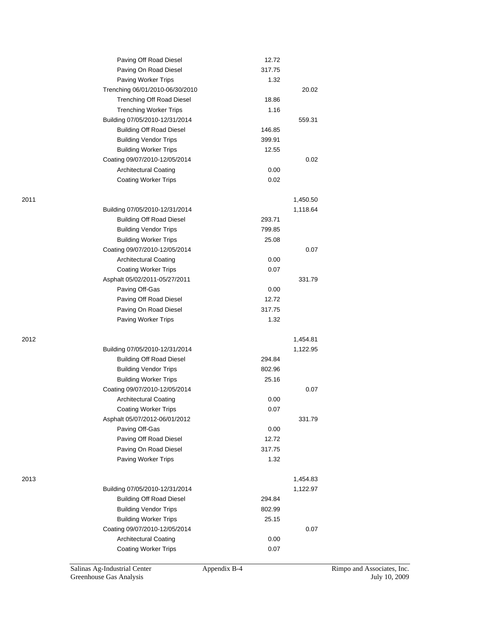|      | Paving Off Road Diesel                       | 12.72          |                      |
|------|----------------------------------------------|----------------|----------------------|
|      | Paving On Road Diesel                        | 317.75         |                      |
|      | Paving Worker Trips                          | 1.32           |                      |
|      | Trenching 06/01/2010-06/30/2010              |                | 20.02                |
|      | <b>Trenching Off Road Diesel</b>             | 18.86          |                      |
|      | <b>Trenching Worker Trips</b>                | 1.16           |                      |
|      | Building 07/05/2010-12/31/2014               |                | 559.31               |
|      | <b>Building Off Road Diesel</b>              | 146.85         |                      |
|      | <b>Building Vendor Trips</b>                 | 399.91         |                      |
|      | <b>Building Worker Trips</b>                 | 12.55          |                      |
|      | Coating 09/07/2010-12/05/2014                |                | 0.02                 |
|      | <b>Architectural Coating</b>                 | 0.00           |                      |
|      | <b>Coating Worker Trips</b>                  | 0.02           |                      |
| 2011 |                                              |                | 1,450.50             |
|      | Building 07/05/2010-12/31/2014               |                | 1,118.64             |
|      | <b>Building Off Road Diesel</b>              | 293.71         |                      |
|      | <b>Building Vendor Trips</b>                 | 799.85         |                      |
|      | <b>Building Worker Trips</b>                 | 25.08          |                      |
|      | Coating 09/07/2010-12/05/2014                |                | 0.07                 |
|      | <b>Architectural Coating</b>                 | 0.00           |                      |
|      | <b>Coating Worker Trips</b>                  | 0.07           |                      |
|      | Asphalt 05/02/2011-05/27/2011                |                | 331.79               |
|      | Paving Off-Gas                               | 0.00           |                      |
|      | Paving Off Road Diesel                       | 12.72          |                      |
|      | Paving On Road Diesel                        | 317.75         |                      |
|      | Paving Worker Trips                          | 1.32           |                      |
|      |                                              |                |                      |
| 2012 | Building 07/05/2010-12/31/2014               |                | 1,454.81<br>1,122.95 |
|      |                                              | 294.84         |                      |
|      | <b>Building Off Road Diesel</b>              |                |                      |
|      | <b>Building Vendor Trips</b>                 | 802.96         |                      |
|      | <b>Building Worker Trips</b>                 | 25.16          | 0.07                 |
|      | Coating 09/07/2010-12/05/2014                |                |                      |
|      | <b>Architectural Coating</b>                 | 0.00           |                      |
|      | <b>Coating Worker Trips</b>                  | 0.07           |                      |
|      | Asphalt 05/07/2012-06/01/2012                |                | 331.79               |
|      | Paving Off-Gas                               | 0.00           |                      |
|      | Paving Off Road Diesel                       | 12.72          |                      |
|      | Paving On Road Diesel<br>Paving Worker Trips | 317.75<br>1.32 |                      |
|      |                                              |                |                      |
| 2013 |                                              |                | 1,454.83             |
|      | Building 07/05/2010-12/31/2014               |                | 1,122.97             |
|      | <b>Building Off Road Diesel</b>              | 294.84         |                      |
|      | <b>Building Vendor Trips</b>                 | 802.99         |                      |
|      | <b>Building Worker Trips</b>                 | 25.15          |                      |
|      | Coating 09/07/2010-12/05/2014                |                | 0.07                 |
|      | <b>Architectural Coating</b>                 | 0.00           |                      |
|      | <b>Coating Worker Trips</b>                  | 0.07           |                      |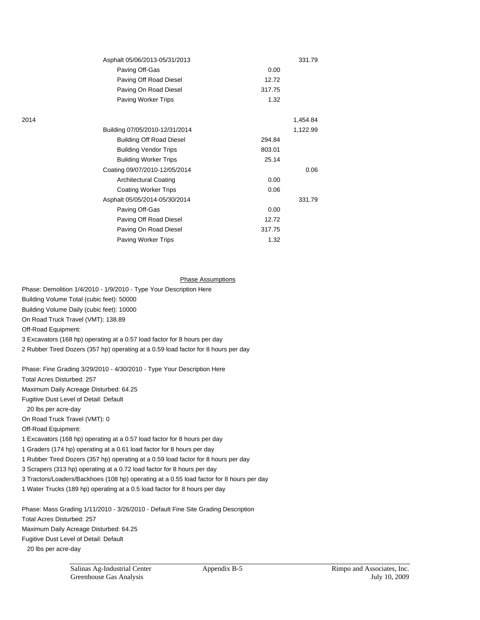|      | Asphalt 05/06/2013-05/31/2013   |        | 331.79   |
|------|---------------------------------|--------|----------|
|      | Paving Off-Gas                  | 0.00   |          |
|      | Paving Off Road Diesel          | 12.72  |          |
|      | Paving On Road Diesel           | 317.75 |          |
|      | Paving Worker Trips             | 1.32   |          |
| 2014 |                                 |        | 1,454.84 |
|      | Building 07/05/2010-12/31/2014  |        | 1,122.99 |
|      | <b>Building Off Road Diesel</b> | 294.84 |          |
|      | <b>Building Vendor Trips</b>    | 803.01 |          |
|      | <b>Building Worker Trips</b>    | 25.14  |          |
|      | Coating 09/07/2010-12/05/2014   |        | 0.06     |
|      | <b>Architectural Coating</b>    | 0.00   |          |
|      | <b>Coating Worker Trips</b>     | 0.06   |          |
|      | Asphalt 05/05/2014-05/30/2014   |        | 331.79   |
|      | Paving Off-Gas                  | 0.00   |          |
|      | Paving Off Road Diesel          | 12.72  |          |
|      | Paving On Road Diesel           | 317.75 |          |
|      | <b>Paving Worker Trips</b>      | 1.32   |          |

#### Phase Assumptions

Phase: Demolition 1/4/2010 - 1/9/2010 - Type Your Description Here Building Volume Total (cubic feet): 50000 Building Volume Daily (cubic feet): 10000 On Road Truck Travel (VMT): 138.89 Off-Road Equipment: 3 Excavators (168 hp) operating at a 0.57 load factor for 8 hours per day 2 Rubber Tired Dozers (357 hp) operating at a 0.59 load factor for 8 hours per day

Phase: Fine Grading 3/29/2010 - 4/30/2010 - Type Your Description Here

Total Acres Disturbed: 257

Maximum Daily Acreage Disturbed: 64.25

Fugitive Dust Level of Detail: Default

20 lbs per acre-day

On Road Truck Travel (VMT): 0

Off-Road Equipment:

1 Excavators (168 hp) operating at a 0.57 load factor for 8 hours per day

1 Graders (174 hp) operating at a 0.61 load factor for 8 hours per day

1 Rubber Tired Dozers (357 hp) operating at a 0.59 load factor for 8 hours per day

3 Scrapers (313 hp) operating at a 0.72 load factor for 8 hours per day

3 Tractors/Loaders/Backhoes (108 hp) operating at a 0.55 load factor for 8 hours per day

1 Water Trucks (189 hp) operating at a 0.5 load factor for 8 hours per day

Phase: Mass Grading 1/11/2010 - 3/26/2010 - Default Fine Site Grading Description Total Acres Disturbed: 257 Maximum Daily Acreage Disturbed: 64.25 Fugitive Dust Level of Detail: Default 20 lbs per acre-day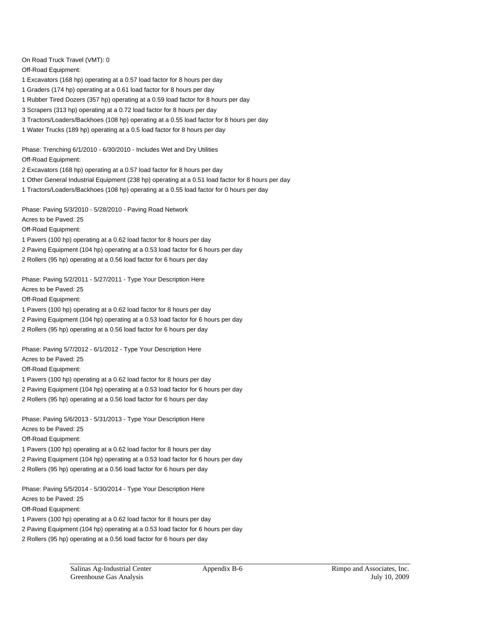On Road Truck Travel (VMT): 0

Off-Road Equipment:

- 1 Excavators (168 hp) operating at a 0.57 load factor for 8 hours per day
- 1 Graders (174 hp) operating at a 0.61 load factor for 8 hours per day
- 1 Rubber Tired Dozers (357 hp) operating at a 0.59 load factor for 8 hours per day
- 3 Scrapers (313 hp) operating at a 0.72 load factor for 8 hours per day
- 3 Tractors/Loaders/Backhoes (108 hp) operating at a 0.55 load factor for 8 hours per day
- 1 Water Trucks (189 hp) operating at a 0.5 load factor for 8 hours per day

Phase: Trenching 6/1/2010 - 6/30/2010 - Includes Wet and Dry Utilities Off-Road Equipment:

- 2 Excavators (168 hp) operating at a 0.57 load factor for 8 hours per day
- 1 Other General Industrial Equipment (238 hp) operating at a 0.51 load factor for 8 hours per day
- 1 Tractors/Loaders/Backhoes (108 hp) operating at a 0.55 load factor for 0 hours per day

Phase: Paving 5/3/2010 - 5/28/2010 - Paving Road Network

Acres to be Paved: 25

Off-Road Equipment:

- 1 Pavers (100 hp) operating at a 0.62 load factor for 8 hours per day
- 2 Paving Equipment (104 hp) operating at a 0.53 load factor for 6 hours per day
- 2 Rollers (95 hp) operating at a 0.56 load factor for 6 hours per day

Phase: Paving 5/2/2011 - 5/27/2011 - Type Your Description Here Acres to be Paved: 25 Off-Road Equipment:

- 1 Pavers (100 hp) operating at a 0.62 load factor for 8 hours per day
- 2 Paving Equipment (104 hp) operating at a 0.53 load factor for 6 hours per day
- 2 Rollers (95 hp) operating at a 0.56 load factor for 6 hours per day

Phase: Paving 5/7/2012 - 6/1/2012 - Type Your Description Here Acres to be Paved: 25

Off-Road Equipment:

- 1 Pavers (100 hp) operating at a 0.62 load factor for 8 hours per day
- 2 Paving Equipment (104 hp) operating at a 0.53 load factor for 6 hours per day
- 2 Rollers (95 hp) operating at a 0.56 load factor for 6 hours per day

Phase: Paving 5/6/2013 - 5/31/2013 - Type Your Description Here Acres to be Paved: 25 Off-Road Equipment:

- 1 Pavers (100 hp) operating at a 0.62 load factor for 8 hours per day
- 2 Paving Equipment (104 hp) operating at a 0.53 load factor for 6 hours per day
- 2 Rollers (95 hp) operating at a 0.56 load factor for 6 hours per day

Phase: Paving 5/5/2014 - 5/30/2014 - Type Your Description Here Acres to be Paved: 25 Off-Road Equipment:

- 1 Pavers (100 hp) operating at a 0.62 load factor for 8 hours per day
- 2 Paving Equipment (104 hp) operating at a 0.53 load factor for 6 hours per day
- 2 Rollers (95 hp) operating at a 0.56 load factor for 6 hours per day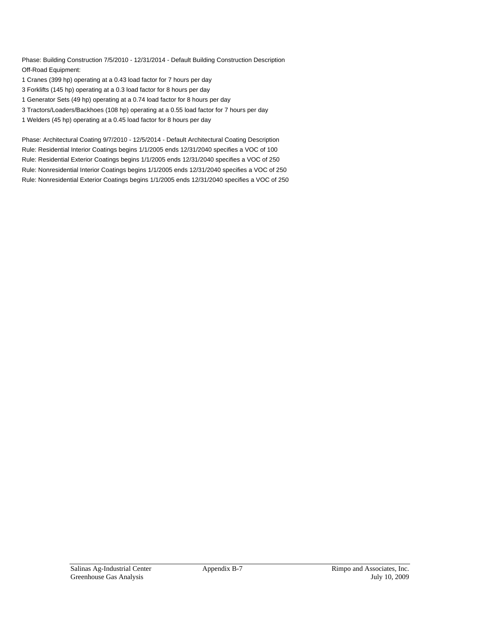Phase: Building Construction 7/5/2010 - 12/31/2014 - Default Building Construction Description Off-Road Equipment:

- 1 Cranes (399 hp) operating at a 0.43 load factor for 7 hours per day
- 3 Forklifts (145 hp) operating at a 0.3 load factor for 8 hours per day
- 1 Generator Sets (49 hp) operating at a 0.74 load factor for 8 hours per day
- 3 Tractors/Loaders/Backhoes (108 hp) operating at a 0.55 load factor for 7 hours per day
- 1 Welders (45 hp) operating at a 0.45 load factor for 8 hours per day

Phase: Architectural Coating 9/7/2010 - 12/5/2014 - Default Architectural Coating Description Rule: Residential Interior Coatings begins 1/1/2005 ends 12/31/2040 specifies a VOC of 100 Rule: Residential Exterior Coatings begins 1/1/2005 ends 12/31/2040 specifies a VOC of 250 Rule: Nonresidential Interior Coatings begins 1/1/2005 ends 12/31/2040 specifies a VOC of 250 Rule: Nonresidential Exterior Coatings begins 1/1/2005 ends 12/31/2040 specifies a VOC of 250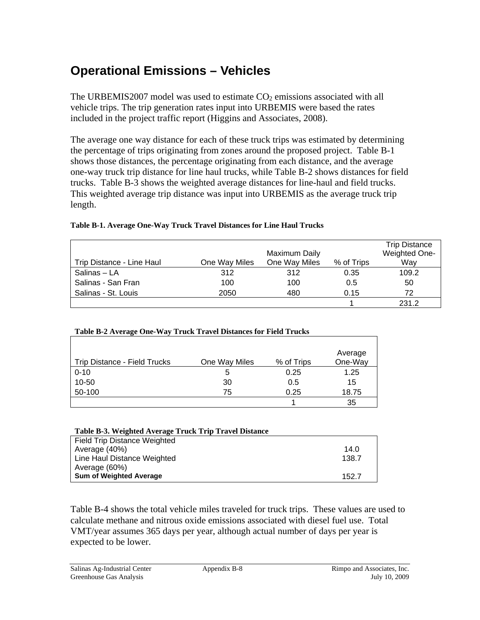# **Operational Emissions – Vehicles**

The URBEMIS2007 model was used to estimate  $CO<sub>2</sub>$  emissions associated with all vehicle trips. The trip generation rates input into URBEMIS were based the rates included in the project traffic report (Higgins and Associates, 2008).

The average one way distance for each of these truck trips was estimated by determining the percentage of trips originating from zones around the proposed project. Table B-1 shows those distances, the percentage originating from each distance, and the average one-way truck trip distance for line haul trucks, while Table B-2 shows distances for field trucks. Table B-3 shows the weighted average distances for line-haul and field trucks. This weighted average trip distance was input into URBEMIS as the average truck trip length.

|                           |               |               |            | <b>Trip Distance</b> |
|---------------------------|---------------|---------------|------------|----------------------|
|                           |               | Maximum Daily |            | Weighted One-        |
| Trip Distance - Line Haul | One Way Miles | One Way Miles | % of Trips | Way                  |
| Salinas - LA              | 312           | 312           | 0.35       | 109.2                |
| Salinas - San Fran        | 100           | 100           | 0.5        | 50                   |
| Salinas - St. Louis       | 2050          | 480           | 0.15       | 72                   |
|                           |               |               |            | 231.2                |

### **Table B-1. Average One-Way Truck Travel Distances for Line Haul Trucks**

| Table B-2 Average One-Way Truck Travel Distances for Field Trucks |  |
|-------------------------------------------------------------------|--|
|                                                                   |  |

| Trip Distance - Field Trucks | One Way Miles | % of Trips | Average<br>One-Way |
|------------------------------|---------------|------------|--------------------|
| $0 - 10$                     | 5             | 0.25       | 1.25               |
| 10-50                        | 30            | 0.5        | 15                 |
| 50-100                       | 75            | 0.25       | 18.75              |
|                              |               |            | 35                 |

| Table B-3. Weighted Average Truck Trip Travel Distance |       |
|--------------------------------------------------------|-------|
| Field Trip Distance Weighted                           |       |
| Average (40%)                                          | 14.0  |
| Line Haul Distance Weighted                            | 138.7 |
| Average (60%)                                          |       |
| <b>Sum of Weighted Average</b>                         | 152.7 |

Table B-4 shows the total vehicle miles traveled for truck trips. These values are used to calculate methane and nitrous oxide emissions associated with diesel fuel use. Total VMT/year assumes 365 days per year, although actual number of days per year is expected to be lower.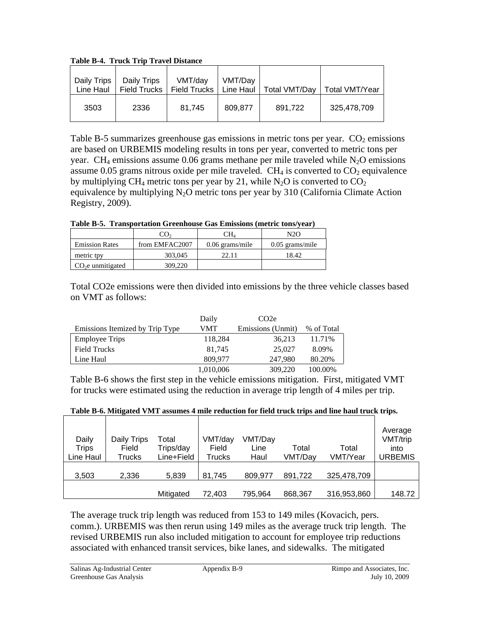**Table B-4. Truck Trip Travel Distance** 

| Daily Trips<br>Line Haul | Daily Trips<br><b>Field Trucks</b> | VMT/dav<br><b>Field Trucks</b> | VMT/Day<br>Line Haul | <b>Total VMT/Day</b> | <b>Total VMT/Year</b> |
|--------------------------|------------------------------------|--------------------------------|----------------------|----------------------|-----------------------|
| 3503                     | 2336                               | 81.745                         | 809.877              | 891,722              | 325,478,709           |

Table B-5 summarizes greenhouse gas emissions in metric tons per year.  $CO<sub>2</sub>$  emissions are based on URBEMIS modeling results in tons per year, converted to metric tons per year. CH<sub>4</sub> emissions assume 0.06 grams methane per mile traveled while  $N_2O$  emissions assume 0.05 grams nitrous oxide per mile traveled.  $CH<sub>4</sub>$  is converted to  $CO<sub>2</sub>$  equivalence by multiplying CH<sub>4</sub> metric tons per year by 21, while N<sub>2</sub>O is converted to CO<sub>2</sub> equivalence by multiplying  $N_2O$  metric tons per year by 310 (California Climate Action Registry, 2009).

**Table B-5. Transportation Greenhouse Gas Emissions (metric tons/year)** 

|                       |                | CН4               | N2O               |
|-----------------------|----------------|-------------------|-------------------|
| <b>Emission Rates</b> | from EMFAC2007 | $0.06$ grams/mile | $0.05$ grams/mile |
| metric tpy            | 303,045        | 22.11             | 18.42             |
| $CO2e$ unmitigated    | 309,220        |                   |                   |

Total CO2e emissions were then divided into emissions by the three vehicle classes based on VMT as follows:

|                                 | Daily     | CO <sub>2</sub> e |            |
|---------------------------------|-----------|-------------------|------------|
| Emissions Itemized by Trip Type | VMT       | Emissions (Unmit) | % of Total |
| <b>Employee Trips</b>           | 118,284   | 36,213            | 11.71%     |
| <b>Field Trucks</b>             | 81.745    | 25,027            | 8.09%      |
| Line Haul                       | 809.977   | 247,980           | 80.20%     |
|                                 | 1,010,006 | 309,220           | 100.00%    |

Table B-6 shows the first step in the vehicle emissions mitigation. First, mitigated VMT for trucks were estimated using the reduction in average trip length of 4 miles per trip.

|  |  |  | Table B-6. Mitigated VMT assumes 4 mile reduction for field truck trips and line haul truck trips. |  |
|--|--|--|----------------------------------------------------------------------------------------------------|--|
|  |  |  |                                                                                                    |  |

| Daily<br><b>Trips</b><br>Line Haul | Daily Trips<br>Field<br>Trucks | Total<br>Trips/day<br>Line+Field | VMT/day<br>Field<br><b>Trucks</b> | VMT/Day<br>Line<br>Haul | Total<br>VMT/Day | Total<br>VMT/Year | Average<br>VMT/trip<br>into<br>URBEMIS |
|------------------------------------|--------------------------------|----------------------------------|-----------------------------------|-------------------------|------------------|-------------------|----------------------------------------|
| 3,503                              | 2,336                          | 5,839                            | 81.745                            | 809.977                 | 891,722          | 325,478,709       |                                        |
|                                    |                                | Mitigated                        | 72.403                            | 795,964                 | 868,367          | 316,953,860       | 148.72                                 |

The average truck trip length was reduced from 153 to 149 miles (Kovacich, pers. comm.). URBEMIS was then rerun using 149 miles as the average truck trip length. The revised URBEMIS run also included mitigation to account for employee trip reductions associated with enhanced transit services, bike lanes, and sidewalks. The mitigated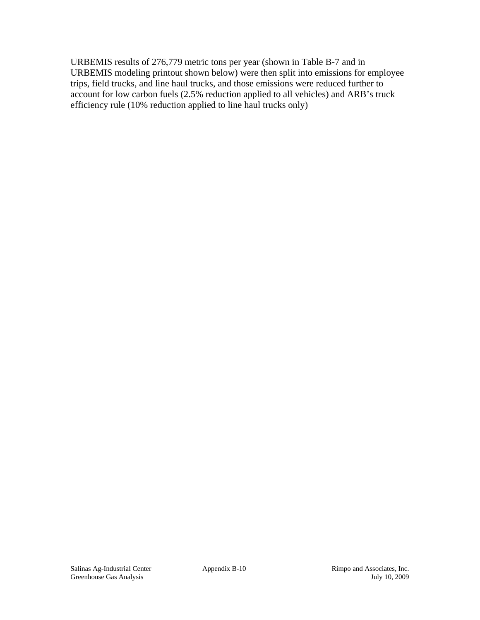URBEMIS results of 276,779 metric tons per year (shown in Table B-7 and in URBEMIS modeling printout shown below) were then split into emissions for employee trips, field trucks, and line haul trucks, and those emissions were reduced further to account for low carbon fuels (2.5% reduction applied to all vehicles) and ARB's truck efficiency rule (10% reduction applied to line haul trucks only)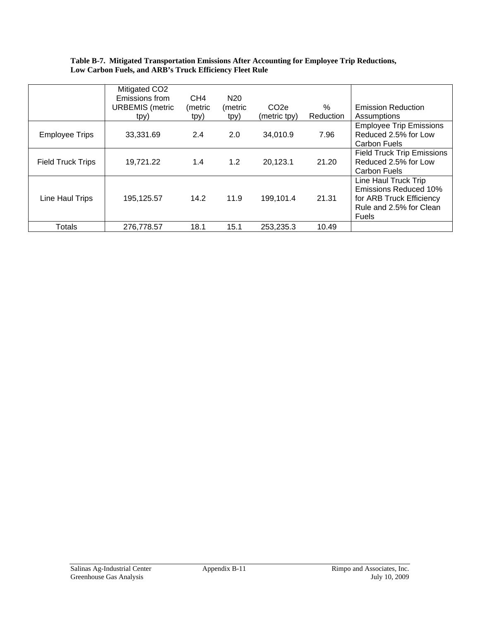#### **Table B-7. Mitigated Transportation Emissions After Accounting for Employee Trip Reductions, Low Carbon Fuels, and ARB's Truck Efficiency Fleet Rule**

|                          | Mitigated CO2<br>Emissions from<br><b>URBEMIS</b> (metric | CH <sub>4</sub><br>(metric | N <sub>20</sub><br>(metric | CO <sub>2e</sub> | $\%$      | <b>Emission Reduction</b>                                                                                            |
|--------------------------|-----------------------------------------------------------|----------------------------|----------------------------|------------------|-----------|----------------------------------------------------------------------------------------------------------------------|
|                          | tpy)                                                      | tpy)                       | tpy)                       | (metric tpy)     | Reduction | Assumptions                                                                                                          |
| <b>Employee Trips</b>    | 33,331.69                                                 | 2.4                        | 2.0                        | 34,010.9         | 7.96      | <b>Employee Trip Emissions</b><br>Reduced 2.5% for Low<br>Carbon Fuels                                               |
| <b>Field Truck Trips</b> | 19,721.22                                                 | 1.4                        | 1.2                        | 20,123.1         | 21.20     | <b>Field Truck Trip Emissions</b><br>Reduced 2.5% for Low<br>Carbon Fuels                                            |
| Line Haul Trips          | 195,125.57                                                | 14.2                       | 11.9                       | 199,101.4        | 21.31     | Line Haul Truck Trip<br><b>Emissions Reduced 10%</b><br>for ARB Truck Efficiency<br>Rule and 2.5% for Clean<br>Fuels |
| Totals                   | 276,778.57                                                | 18.1                       | 15.1                       | 253,235.3        | 10.49     |                                                                                                                      |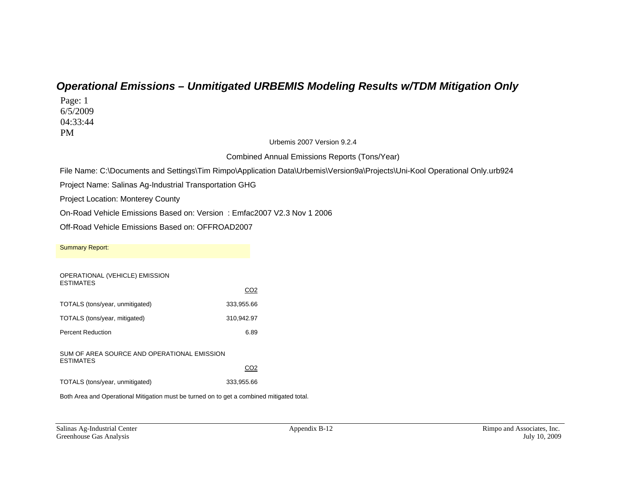## *Operational Emissions – Unmitigated URBEMIS Modeling Results w/TDM Mitigation Only*

Page: 1 6/5/2009 04:33:44 PM

Urbemis 2007 Version 9.2.4

Combined Annual Emissions Reports (Tons/Year)

File Name: C:\Documents and Settings\Tim Rimpo\Application Data\Urbemis\Version9a\Projects\Uni-Kool Operational Only.urb924

Project Name: Salinas Ag-Industrial Transportation GHG

Project Location: Monterey County

On-Road Vehicle Emissions Based on: Version : Emfac2007 V2.3 Nov 1 2006

Off-Road Vehicle Emissions Based on: OFFROAD2007

| <b>Summary Report:</b>                                          |                 |      |
|-----------------------------------------------------------------|-----------------|------|
| OPERATIONAL (VEHICLE) EMISSION<br><b>FSTIMATES</b>              | CO <sub>2</sub> |      |
| TOTALS (tons/year, unmitigated)                                 | 333,955.66      |      |
| TOTALS (tons/year, mitigated)                                   | 310,942.97      |      |
| <b>Percent Reduction</b>                                        |                 | 6.89 |
| SUM OF AREA SOURCE AND OPERATIONAL EMISSION<br><b>ESTIMATES</b> |                 |      |
|                                                                 | CO2             |      |
| TOTALS (tons/year, unmitigated)                                 | 333,955.66      |      |

Both Area and Operational Mitigation must be turned on to get a combined mitigated total.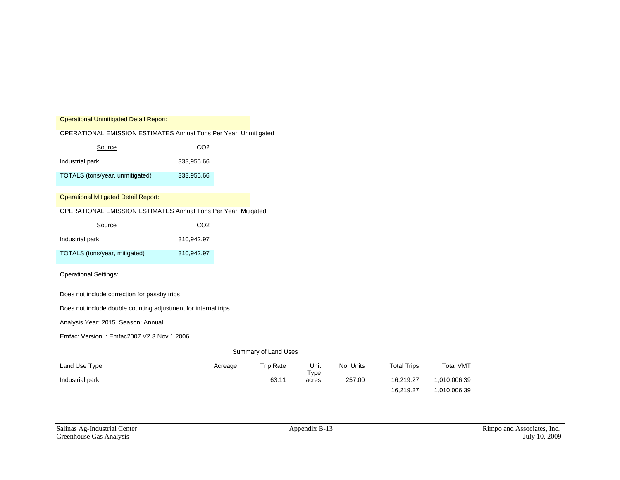Operational Unmitigated Detail Report:

OPERATIONAL EMISSION ESTIMATES Annual Tons Per Year, Unmitigated

| Source                          | CO <sub>2</sub> |
|---------------------------------|-----------------|
| Industrial park                 | 333.955.66      |
| TOTALS (tons/year, unmitigated) | 333,955.66      |

#### Operational Mitigated Detail Report:

#### OPERATIONAL EMISSION ESTIMATES Annual Tons Per Year, Mitigated

| Source                        | CO <sub>2</sub> |
|-------------------------------|-----------------|
| Industrial park               | 310.942.97      |
| TOTALS (tons/year, mitigated) | 310.942.97      |

#### Operational Settings:

Does not include correction for passby trips

Does not include double counting adjustment for internal trips

Analysis Year: 2015 Season: Annual

Emfac: Version : Emfac2007 V2.3 Nov 1 2006

#### **Summary of Land Uses**

| Land Use Type   | Acreage | <b>Trip Rate</b> | Unit          | No. Units | <b>Total Trips</b> | <b>Total VMT</b> |
|-----------------|---------|------------------|---------------|-----------|--------------------|------------------|
| Industrial park |         | 63.11            | Type<br>acres | 257.00    | 16.219.27          | 1,010,006.39     |
|                 |         |                  |               |           | 16,219.27          | 1.010.006.39     |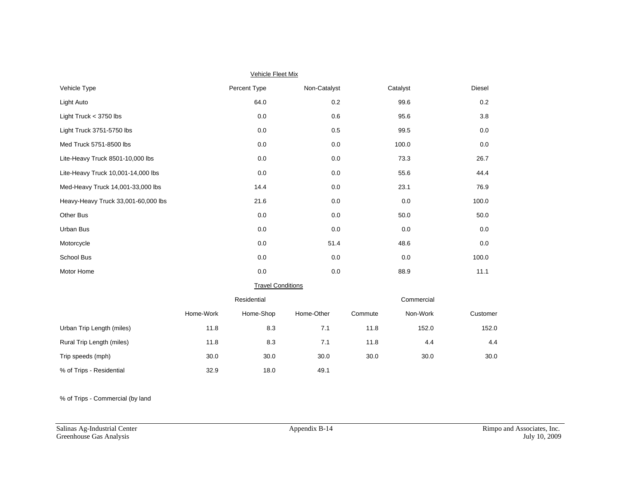| <b>Vehicle Fleet Mix</b>            |           |                          |              |         |            |          |  |  |  |  |  |  |
|-------------------------------------|-----------|--------------------------|--------------|---------|------------|----------|--|--|--|--|--|--|
| Vehicle Type                        |           | Percent Type             | Non-Catalyst |         | Catalyst   | Diesel   |  |  |  |  |  |  |
| Light Auto                          |           | 64.0                     | 0.2          |         | 99.6       | 0.2      |  |  |  |  |  |  |
| Light Truck $<$ 3750 lbs            |           | 0.0                      | 0.6          |         | 95.6       | 3.8      |  |  |  |  |  |  |
| Light Truck 3751-5750 lbs           |           | 0.0                      | 0.5          |         | 99.5       | 0.0      |  |  |  |  |  |  |
| Med Truck 5751-8500 lbs             |           | 0.0                      | 0.0          |         | 100.0      | 0.0      |  |  |  |  |  |  |
| Lite-Heavy Truck 8501-10,000 lbs    |           | 0.0                      | 0.0          |         | 73.3       | 26.7     |  |  |  |  |  |  |
| Lite-Heavy Truck 10,001-14,000 lbs  |           | 0.0                      | 0.0          |         | 55.6       | 44.4     |  |  |  |  |  |  |
| Med-Heavy Truck 14,001-33,000 lbs   |           | 14.4                     | 0.0          |         | 23.1       | 76.9     |  |  |  |  |  |  |
| Heavy-Heavy Truck 33,001-60,000 lbs |           | 21.6                     | 0.0          |         | 0.0        | 100.0    |  |  |  |  |  |  |
| Other Bus                           |           | 0.0                      | 0.0          |         | 50.0       | 50.0     |  |  |  |  |  |  |
| Urban Bus                           |           | 0.0                      | 0.0          |         | 0.0        | 0.0      |  |  |  |  |  |  |
| Motorcycle                          |           | 0.0                      | 51.4         |         | 48.6       | 0.0      |  |  |  |  |  |  |
| School Bus                          |           | 0.0                      | 0.0          |         | 0.0        | 100.0    |  |  |  |  |  |  |
| Motor Home                          |           | $0.0\,$                  | 0.0          |         | 88.9       | 11.1     |  |  |  |  |  |  |
|                                     |           | <b>Travel Conditions</b> |              |         |            |          |  |  |  |  |  |  |
|                                     |           | Residential              |              |         | Commercial |          |  |  |  |  |  |  |
|                                     | Home-Work | Home-Shop                | Home-Other   | Commute | Non-Work   | Customer |  |  |  |  |  |  |
| Urban Trip Length (miles)           | 11.8      | 8.3                      | 7.1          | 11.8    | 152.0      | 152.0    |  |  |  |  |  |  |
| Rural Trip Length (miles)           | 11.8      | 8.3                      | 7.1          | 11.8    | 4.4        | 4.4      |  |  |  |  |  |  |
| Trip speeds (mph)                   | 30.0      | 30.0                     | 30.0         | 30.0    | 30.0       | 30.0     |  |  |  |  |  |  |
| % of Trips - Residential            | 32.9      | 18.0                     | 49.1         |         |            |          |  |  |  |  |  |  |

% of Trips - Commercial (by land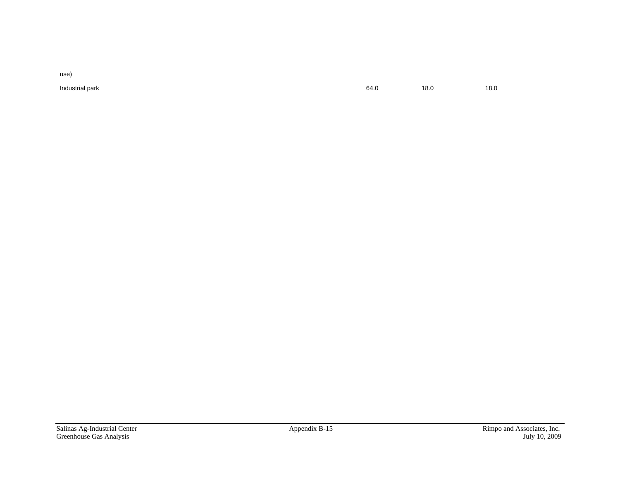use)

Industrial park 64.0 18.0 18.0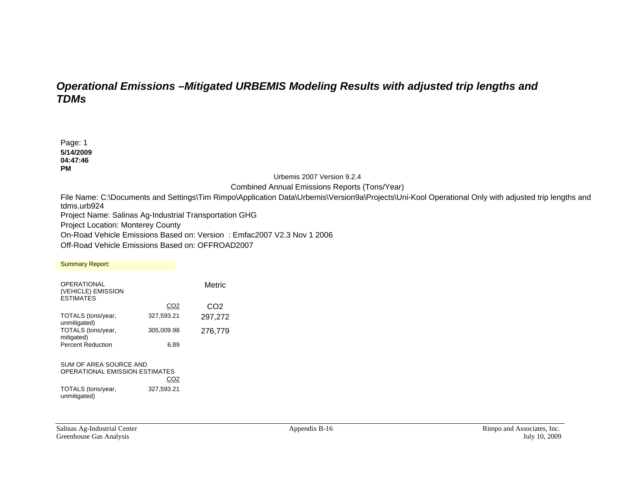## *Operational Emissions –Mitigated URBEMIS Modeling Results with adjusted trip lengths and TDMs*

Page: 1 **5/14/2009 04:47:46 PM** 

Urbemis 2007 Version 9.2.4

Combined Annual Emissions Reports (Tons/Year)

File Name: C:\Documents and Settings\Tim Rimpo\Application Data\Urbemis\Version9a\Projects\Uni-Kool Operational Only with adjusted trip lengths and tdms.urb924

Project Name: Salinas Ag-Industrial Transportation GHG

Project Location: Monterey County

On-Road Vehicle Emissions Based on: Version : Emfac2007 V2.3 Nov 1 2006

Off-Road Vehicle Emissions Based on: OFFROAD2007

Summary Report: **OPERATIONAL** (VEHICLE) EMISSION ESTIMATES Metric CO2 CO2 TOTALS (tons/year, unmitigated) 327,593.21 297,272 TOTALS (tons/year, mitigated) 305,009.98 276,779 Percent Reduction 6.89 SUM OF AREA SOURCE AND OPERATIONAL EMISSION ESTIMATES

**CO2** TOTALS (tons/year, unmitigated) 327,593.21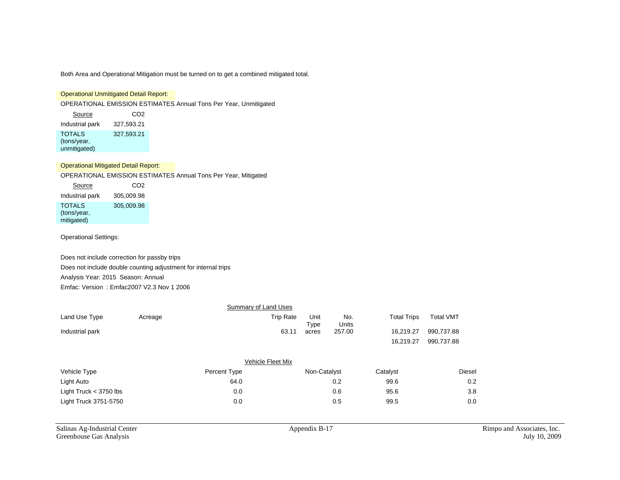Both Area and Operational Mitigation must be turned on to get a combined mitigated total.

#### Operational Unmitigated Detail Report:

OPERATIONAL EMISSION ESTIMATES Annual Tons Per Year, Unmitigated

Source CO<sub>2</sub> Industrial park 327,593.21 TOTALS (tons/year, unmitigated) 327,593.21

Operational Mitigated Detail Report:

OPERATIONAL EMISSION ESTIMATES Annual Tons Per Year, Mitigated

| Source                                     | CO <sub>2</sub> |
|--------------------------------------------|-----------------|
| Industrial park                            | 305,009.98      |
| <b>TOTALS</b><br>(tons/year,<br>mitigated) | 305.009.98      |

Operational Settings:

Does not include correction for passby trips Does not include double counting adjustment for internal trips Analysis Year: 2015 Season: Annual Emfac: Version : Emfac2007 V2.3 Nov 1 2006

|                          |         | Summary of Land Uses |                  |              |              |                    |                  |        |
|--------------------------|---------|----------------------|------------------|--------------|--------------|--------------------|------------------|--------|
| Land Use Type            | Acreage |                      | <b>Trip Rate</b> | Unit<br>Type | No.<br>Units | <b>Total Trips</b> | <b>Total VMT</b> |        |
| Industrial park          |         |                      | 63.11            | acres        | 257.00       | 16,219.27          | 990,737.88       |        |
|                          |         |                      |                  |              |              | 16,219.27          | 990,737.88       |        |
|                          |         | Vehicle Fleet Mix    |                  |              |              |                    |                  |        |
| Vehicle Type             |         | Percent Type         |                  | Non-Catalyst |              | Catalyst           |                  | Diesel |
| Light Auto               |         | 64.0                 |                  |              | 0.2          | 99.6               |                  | 0.2    |
| Light Truck $<$ 3750 lbs |         | 0.0                  |                  |              | 0.6          | 95.6               |                  | 3.8    |
| Light Truck 3751-5750    |         | 0.0                  |                  |              | 0.5          | 99.5               |                  | 0.0    |
|                          |         |                      |                  |              |              |                    |                  |        |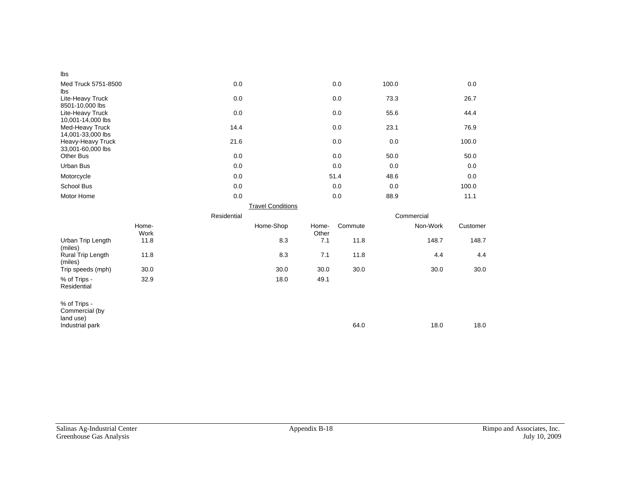| Ibs                                         |               |             |                          |                |         |       |            |          |
|---------------------------------------------|---------------|-------------|--------------------------|----------------|---------|-------|------------|----------|
| Med Truck 5751-8500<br>lbs                  |               | 0.0         |                          |                | 0.0     | 100.0 |            | 0.0      |
| Lite-Heavy Truck<br>8501-10,000 lbs         |               | 0.0         |                          |                | 0.0     | 73.3  |            | 26.7     |
| Lite-Heavy Truck<br>10,001-14,000 lbs       |               | 0.0         |                          |                | 0.0     | 55.6  |            | 44.4     |
| Med-Heavy Truck<br>14,001-33,000 lbs        |               | 14.4        |                          |                | 0.0     | 23.1  |            | 76.9     |
| Heavy-Heavy Truck<br>33,001-60,000 lbs      |               | 21.6        |                          |                | 0.0     | 0.0   |            | 100.0    |
| <b>Other Bus</b>                            |               | 0.0         |                          |                | 0.0     | 50.0  |            | 50.0     |
| Urban Bus                                   |               | 0.0         |                          |                | 0.0     | 0.0   |            | 0.0      |
| Motorcycle                                  |               | 0.0         |                          |                | 51.4    | 48.6  |            | 0.0      |
| School Bus                                  |               | 0.0         |                          |                | 0.0     | 0.0   |            | 100.0    |
| Motor Home                                  |               | 0.0         |                          |                | 0.0     | 88.9  |            | 11.1     |
|                                             |               |             | <b>Travel Conditions</b> |                |         |       |            |          |
|                                             |               | Residential |                          |                |         |       | Commercial |          |
|                                             | Home-<br>Work |             | Home-Shop                | Home-<br>Other | Commute |       | Non-Work   | Customer |
| Urban Trip Length<br>(miles)                | 11.8          |             | 8.3                      | 7.1            | 11.8    |       | 148.7      | 148.7    |
| Rural Trip Length<br>(miles)                | 11.8          |             | 8.3                      | 7.1            | 11.8    |       | 4.4        | 4.4      |
| Trip speeds (mph)                           | 30.0          |             | 30.0                     | 30.0           | 30.0    |       | 30.0       | 30.0     |
| % of Trips -<br>Residential                 | 32.9          |             | 18.0                     | 49.1           |         |       |            |          |
| % of Trips -<br>Commercial (by<br>land use) |               |             |                          |                |         |       |            |          |
| Industrial park                             |               |             |                          |                | 64.0    |       | 18.0       | 18.0     |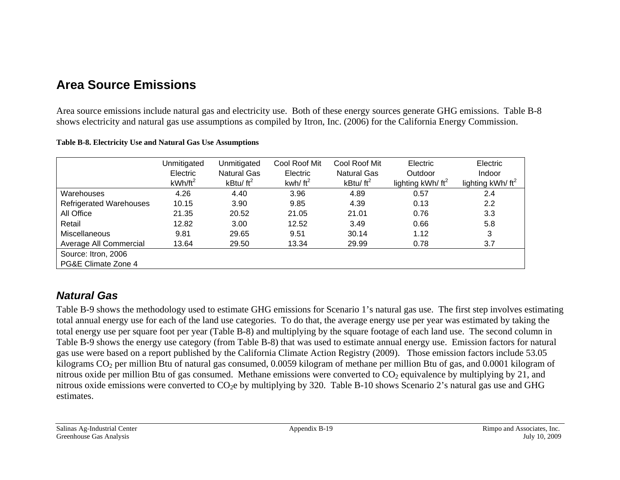# **Area Source Emissions**

Area source emissions include natural gas and electricity use. Both of these energy sources generate GHG emissions. Table B-8 shows electricity and natural gas use assumptions as compiled by Itron, Inc. (2006) for the California Energy Commission.

|                                | Unmitigated | Unmitigated        | Cool Roof Mit | Cool Roof Mit | Electric            | Electric            |
|--------------------------------|-------------|--------------------|---------------|---------------|---------------------|---------------------|
|                                | Electric    | <b>Natural Gas</b> | Electric      | Natural Gas   | Outdoor             | Indoor              |
|                                | $kWh/ft^2$  | kBtu/ $ft^2$       | kwh/ $ft^2$   | kBtu/ $ft^2$  | lighting $kWh/ft^2$ | lighting $kWh/ft^2$ |
| Warehouses                     | 4.26        | 4.40               | 3.96          | 4.89          | 0.57                | 2.4                 |
| <b>Refrigerated Warehouses</b> | 10.15       | 3.90               | 9.85          | 4.39          | 0.13                | 2.2                 |
| All Office                     | 21.35       | 20.52              | 21.05         | 21.01         | 0.76                | 3.3                 |
| Retail                         | 12.82       | 3.00               | 12.52         | 3.49          | 0.66                | 5.8                 |
| <b>Miscellaneous</b>           | 9.81        | 29.65              | 9.51          | 30.14         | 1.12                | 3                   |
| Average All Commercial         | 13.64       | 29.50              | 13.34         | 29.99         | 0.78                | 3.7                 |
| Source: Itron, 2006            |             |                    |               |               |                     |                     |
| PG&E Climate Zone 4            |             |                    |               |               |                     |                     |

#### **Table B-8. Electricity Use and Natural Gas Use Assumptions**

## *Natural Gas*

Table B-9 shows the methodology used to estimate GHG emissions for Scenario 1's natural gas use. The first step involves estimating total annual energy use for each of the land use categories. To do that, the average energy use per year was estimated by taking the total energy use per square foot per year (Table B-8) and multiplying by the square footage of each land use. The second column in Table B-9 shows the energy use category (from Table B-8) that was used to estimate annual energy use. Emission factors for natural gas use were based on a report published by the California Climate Action Registry (2009). Those emission factors include 53.05 kilograms CO<sub>2</sub> per million Btu of natural gas consumed, 0.0059 kilogram of methane per million Btu of gas, and 0.0001 kilogram of nitrous oxide per million Btu of gas consumed. Methane emissions were converted to  $CO<sub>2</sub>$  equivalence by multiplying by 21, and nitrous oxide emissions were converted to CO<sub>2</sub>e by multiplying by 320. Table B-10 shows Scenario 2's natural gas use and GHG estimates.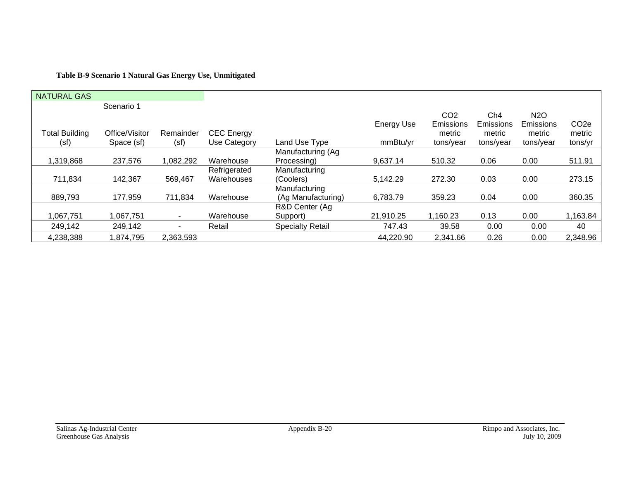### **Table B-9 Scenario 1 Natural Gas Energy Use, Unmitigated**

| <b>NATURAL GAS</b>    |                |           |                   |                         |                   |                 |           |                  |                  |
|-----------------------|----------------|-----------|-------------------|-------------------------|-------------------|-----------------|-----------|------------------|------------------|
|                       | Scenario 1     |           |                   |                         |                   |                 |           |                  |                  |
|                       |                |           |                   |                         |                   | CO <sub>2</sub> | Ch4       | N <sub>2</sub> O |                  |
|                       |                |           |                   |                         | <b>Energy Use</b> | Emissions       | Emissions | Emissions        | CO <sub>2e</sub> |
| <b>Total Building</b> | Office/Visitor | Remainder | <b>CEC</b> Energy |                         |                   | metric          | metric    | metric           | metric           |
| (sf)                  | Space (sf)     | (sf)      | Use Category      | Land Use Type           | mmBtu/yr          | tons/year       | tons/year | tons/year        | tons/yr          |
|                       |                |           |                   | Manufacturing (Ag       |                   |                 |           |                  |                  |
| 1,319,868             | 237,576        | 1,082,292 | Warehouse         | Processing)             | 9,637.14          | 510.32          | 0.06      | 0.00             | 511.91           |
|                       |                |           | Refrigerated      | Manufacturing           |                   |                 |           |                  |                  |
| 711,834               | 142,367        | 569,467   | Warehouses        | (Coolers)               | 5,142.29          | 272.30          | 0.03      | 0.00             | 273.15           |
|                       |                |           |                   | Manufacturing           |                   |                 |           |                  |                  |
| 889,793               | 177,959        | 711,834   | Warehouse         | (Ag Manufacturing)      | 6,783.79          | 359.23          | 0.04      | 0.00             | 360.35           |
|                       |                |           |                   | R&D Center (Ag          |                   |                 |           |                  |                  |
| 1,067,751             | 1,067,751      |           | Warehouse         | Support)                | 21,910.25         | 1,160.23        | 0.13      | 0.00             | 1,163.84         |
| 249,142               | 249,142        |           | Retail            | <b>Specialty Retail</b> | 747.43            | 39.58           | 0.00      | 0.00             | 40               |
| 4,238,388             | 1,874,795      | 2,363,593 |                   |                         | 44,220.90         | 2,341.66        | 0.26      | 0.00             | 2,348.96         |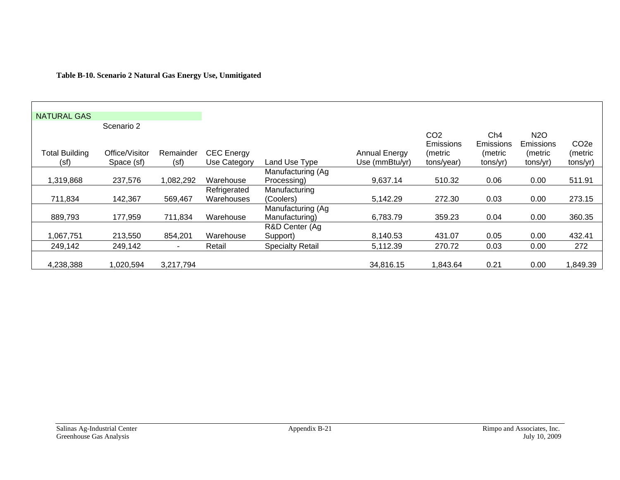### **Table B-10. Scenario 2 Natural Gas Energy Use, Unmitigated**

| <b>NATURAL GAS</b>    |                |                |                   |                         |                      |                                     |                  |                               |                   |
|-----------------------|----------------|----------------|-------------------|-------------------------|----------------------|-------------------------------------|------------------|-------------------------------|-------------------|
|                       | Scenario 2     |                |                   |                         |                      |                                     |                  |                               |                   |
|                       |                |                |                   |                         |                      | CO <sub>2</sub><br><b>Emissions</b> | Ch4<br>Emissions | N <sub>2</sub> O<br>Emissions | CO <sub>2</sub> e |
| <b>Total Building</b> | Office/Visitor | Remainder      | <b>CEC</b> Energy |                         | <b>Annual Energy</b> | (metric                             | (metric          | (metric                       | (metric           |
| (sf)                  | Space (sf)     | (sf)           | Use Category      | Land Use Type           | Use (mmBtu/yr)       | tons/year)                          | tons/yr)         | tons/yr)                      | tons/yr)          |
|                       |                |                |                   | Manufacturing (Ag       |                      |                                     |                  |                               |                   |
| 1,319,868             | 237,576        | 1,082,292      | Warehouse         | Processing)             | 9,637.14             | 510.32                              | 0.06             | 0.00                          | 511.91            |
|                       |                |                | Refrigerated      | Manufacturing           |                      |                                     |                  |                               |                   |
| 711,834               | 142,367        | 569,467        | Warehouses        | (Coolers)               | 5,142.29             | 272.30                              | 0.03             | 0.00                          | 273.15            |
|                       |                |                |                   | Manufacturing (Ag       |                      |                                     |                  |                               |                   |
| 889,793               | 177,959        | 711,834        | Warehouse         | Manufacturing)          | 6,783.79             | 359.23                              | 0.04             | 0.00                          | 360.35            |
|                       |                |                |                   | R&D Center (Ag          |                      |                                     |                  |                               |                   |
| 1,067,751             | 213,550        | 854,201        | Warehouse         | Support)                | 8,140.53             | 431.07                              | 0.05             | 0.00                          | 432.41            |
| 249,142               | 249,142        | $\blacksquare$ | Retail            | <b>Specialty Retail</b> | 5,112.39             | 270.72                              | 0.03             | 0.00                          | 272               |
|                       |                |                |                   |                         |                      |                                     |                  |                               |                   |
| 4,238,388             | 1,020,594      | 3,217,794      |                   |                         | 34,816.15            | 1,843.64                            | 0.21             | 0.00                          | 849.39            |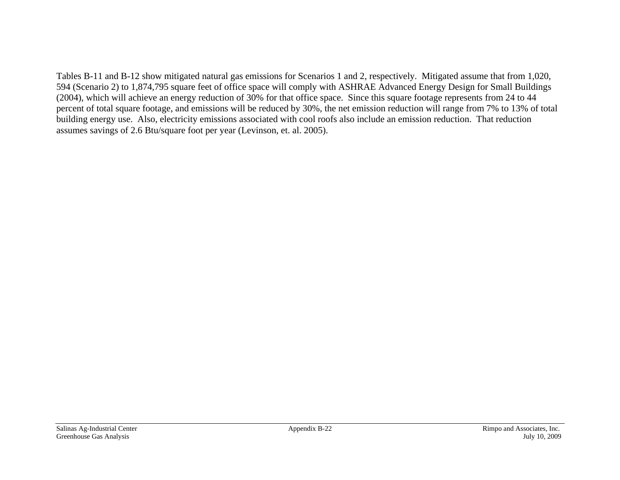Tables B-11 and B-12 show mitigated natural gas emissions for Scenarios 1 and 2, respectively. Mitigated assume that from 1,020, 594 (Scenario 2) to 1,874,795 square feet of office space will comply with ASHRAE Advanced Energy Design for Small Buildings (2004), which will achieve an energy reduction of 30% for that office space. Since this square footage represents from 24 to 44 percent of total square footage, and emissions will be reduced by 30%, the net emission reduction will range from 7% to 13% of total building energy use. Also, electricity emissions associated with cool roofs also include an emission reduction. That reduction assumes savings of 2.6 Btu/square foot per year (Levinson, et. al. 2005).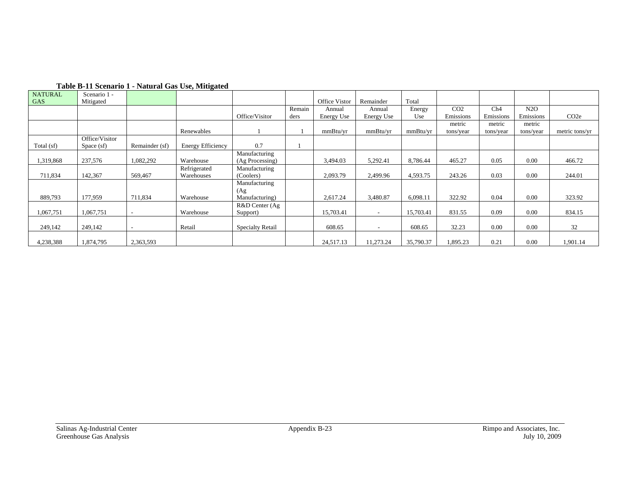| <b>NATURAL</b> | Scenario 1 -   |                | $\sim$                   |                         |        |                   |                          |           |                 |           |           |                   |
|----------------|----------------|----------------|--------------------------|-------------------------|--------|-------------------|--------------------------|-----------|-----------------|-----------|-----------|-------------------|
| <b>GAS</b>     | Mitigated      |                |                          |                         |        | Office Vistor     | Remainder                | Total     |                 |           |           |                   |
|                |                |                |                          |                         | Remain | Annual            | Annual                   | Energy    | CO <sub>2</sub> | Ch4       | N2O       |                   |
|                |                |                |                          | Office/Visitor          | ders   | <b>Energy Use</b> | <b>Energy Use</b>        | Use       | Emissions       | Emissions | Emissions | CO <sub>2</sub> e |
|                |                |                |                          |                         |        |                   |                          |           | metric          | metric    | metric    |                   |
|                |                |                | Renewables               |                         |        | mmBtu/vr          | mmBtu/vr                 | mmBtu/yr  | tons/year       | tons/year | tons/year | metric tons/yr    |
|                | Office/Visitor |                |                          |                         |        |                   |                          |           |                 |           |           |                   |
| Total (sf)     | Space (sf)     | Remainder (sf) | <b>Energy Efficiency</b> | 0.7                     |        |                   |                          |           |                 |           |           |                   |
|                |                |                |                          | Manufacturing           |        |                   |                          |           |                 |           |           |                   |
| 1,319,868      | 237,576        | 1,082,292      | Warehouse                | $(Ag$ Processing)       |        | 3,494.03          | 5,292.41                 | 8,786.44  | 465.27          | 0.05      | 0.00      | 466.72            |
|                |                |                | Refrigerated             | Manufacturing           |        |                   |                          |           |                 |           |           |                   |
| 711,834        | 142,367        | 569,467        | Warehouses               | (Coolers)               |        | 2,093.79          | 2,499.96                 | 4,593.75  | 243.26          | 0.03      | 0.00      | 244.01            |
|                |                |                |                          | Manufacturing           |        |                   |                          |           |                 |           |           |                   |
|                |                |                |                          | (Ag)                    |        |                   |                          |           |                 |           |           |                   |
| 889,793        | 177,959        | 711,834        | Warehouse                | Manufacturing)          |        | 2,617.24          | 3,480.87                 | 6,098.11  | 322.92          | 0.04      | 0.00      | 323.92            |
|                |                |                |                          | R&D Center (Ag          |        |                   |                          |           |                 |           |           |                   |
| 1,067,751      | 1,067,751      |                | Warehouse                | Support)                |        | 15,703.41         | $\overline{\phantom{a}}$ | 15,703.41 | 831.55          | 0.09      | 0.00      | 834.15            |
|                |                |                |                          |                         |        |                   |                          |           |                 |           |           |                   |
| 249,142        | 249,142        |                | Retail                   | <b>Specialty Retail</b> |        | 608.65            | $\overline{\phantom{a}}$ | 608.65    | 32.23           | 0.00      | 0.00      | 32                |
|                |                |                |                          |                         |        |                   |                          |           |                 |           |           |                   |
| 4,238,388      | 1,874,795      | 2,363,593      |                          |                         |        | 24,517.13         | 11,273.24                | 35,790.37 | 1,895.23        | 0.21      | 0.00      | 1,901.14          |

#### **Table B-11 Scenario 1 - Natural Gas Use, Mitigated**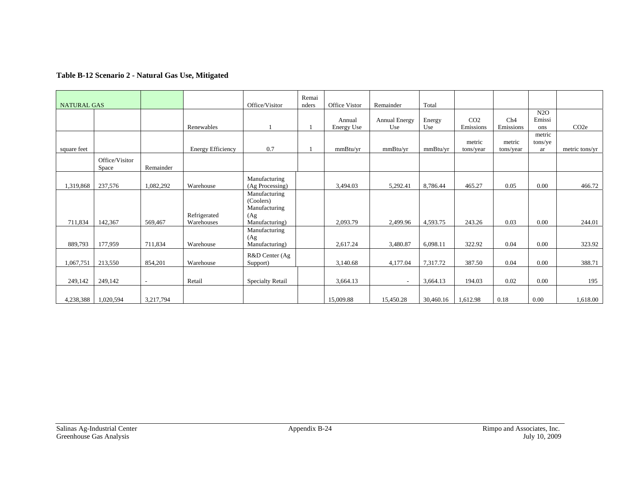### **Table B-12 Scenario 2 - Natural Gas Use, Mitigated**

| <b>NATURAL GAS</b> |                         |           |                          | Office/Visitor          | Remai<br>nders | Office Vistor | Remainder            | Total     |                 |           |         |                  |
|--------------------|-------------------------|-----------|--------------------------|-------------------------|----------------|---------------|----------------------|-----------|-----------------|-----------|---------|------------------|
|                    |                         |           |                          |                         |                |               |                      |           |                 |           | N2O     |                  |
|                    |                         |           |                          |                         |                | Annual        | <b>Annual Energy</b> | Energy    | CO <sub>2</sub> | Ch4       | Emissi  |                  |
|                    |                         |           | Renewables               |                         |                | Energy Use    | Use                  | Use       | Emissions       | Emissions | ons     | CO <sub>2e</sub> |
|                    |                         |           |                          |                         |                |               |                      |           |                 |           | metric  |                  |
|                    |                         |           |                          |                         |                |               |                      |           | metric          | metric    | tons/ye |                  |
| square feet        |                         |           | <b>Energy Efficiency</b> | 0.7                     |                | mmBtu/vr      | mmBtu/yr             | mmBtu/vr  | tons/year       | tons/year | ar      | metric tons/yr   |
|                    | Office/Visitor<br>Space | Remainder |                          |                         |                |               |                      |           |                 |           |         |                  |
|                    |                         |           |                          | Manufacturing           |                |               |                      |           |                 |           |         |                  |
| 1,319,868          | 237,576                 | 1,082,292 | Warehouse                | (Ag Processing)         |                | 3,494.03      | 5,292.41             | 8,786.44  | 465.27          | 0.05      | 0.00    | 466.72           |
|                    |                         |           |                          | Manufacturing           |                |               |                      |           |                 |           |         |                  |
|                    |                         |           |                          | (Coolers)               |                |               |                      |           |                 |           |         |                  |
|                    |                         |           |                          | Manufacturing           |                |               |                      |           |                 |           |         |                  |
|                    |                         |           | Refrigerated             | (Ag)                    |                |               |                      |           |                 |           |         |                  |
| 711,834            | 142,367                 | 569,467   | Warehouses               | Manufacturing)          |                | 2,093.79      | 2,499.96             | 4,593.75  | 243.26          | 0.03      | 0.00    | 244.01           |
|                    |                         |           |                          | Manufacturing           |                |               |                      |           |                 |           |         |                  |
|                    |                         |           |                          | (Ag)                    |                |               |                      |           |                 |           |         |                  |
| 889,793            | 177,959                 | 711,834   | Warehouse                | Manufacturing)          |                | 2,617.24      | 3,480.87             | 6,098.11  | 322.92          | 0.04      | 0.00    | 323.92           |
|                    |                         |           |                          | R&D Center (Ag          |                |               |                      |           |                 |           |         |                  |
| 1,067,751          | 213,550                 | 854,201   | Warehouse                | Support)                |                | 3,140.68      | 4,177.04             | 7,317.72  | 387.50          | 0.04      | 0.00    | 388.71           |
|                    |                         |           |                          |                         |                |               |                      |           |                 |           |         |                  |
| 249,142            | 249,142                 | L,        | Retail                   | <b>Specialty Retail</b> |                | 3,664.13      | $\blacksquare$       | 3,664.13  | 194.03          | 0.02      | 0.00    | 195              |
|                    |                         |           |                          |                         |                |               |                      |           |                 |           |         |                  |
| 4,238,388          | 1,020,594               | 3,217,794 |                          |                         |                | 15,009.88     | 15,450.28            | 30,460.16 | 1,612.98        | 0.18      | 0.00    | 1,618.00         |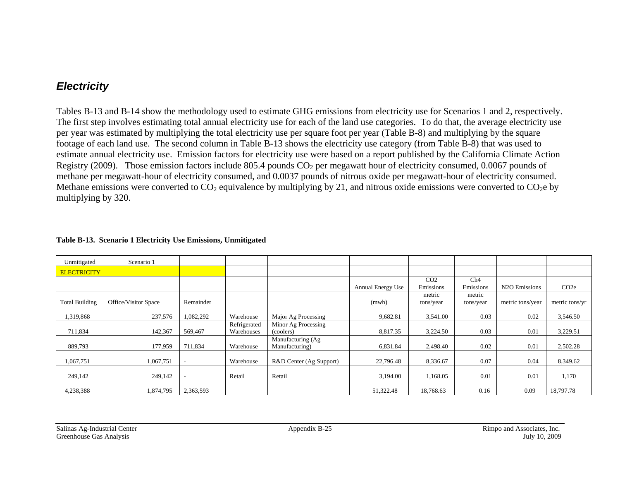## *Electricity*

Tables B-13 and B-14 show the methodology used to estimate GHG emissions from electricity use for Scenarios 1 and 2, respectively. The first step involves estimating total annual electricity use for each of the land use categories. To do that, the average electricity use per year was estimated by multiplying the total electricity use per square foot per year (Table B-8) and multiplying by the square footage of each land use. The second column in Table B-13 shows the electricity use category (from Table B-8) that was used to estimate annual electricity use. Emission factors for electricity use were based on a report published by the California Climate Action Registry (2009). Those emission factors include 805.4 pounds  $CO<sub>2</sub>$  per megawatt hour of electricity consumed, 0.0067 pounds of methane per megawatt-hour of electricity consumed, and 0.0037 pounds of nitrous oxide per megawatt-hour of electricity consumed. Methane emissions were converted to  $CO_2$  equivalence by multiplying by 21, and nitrous oxide emissions were converted to  $CO_2$ e by multiplying by 320.

| Unmitigated           | Scenario 1           |                          |                            |                                     |                          |                              |                     |                            |                   |
|-----------------------|----------------------|--------------------------|----------------------------|-------------------------------------|--------------------------|------------------------------|---------------------|----------------------------|-------------------|
| <b>ELECTRICITY</b>    |                      |                          |                            |                                     |                          |                              |                     |                            |                   |
|                       |                      |                          |                            |                                     | <b>Annual Energy Use</b> | CO <sub>2</sub><br>Emissions | Ch4<br>Emissions    | N <sub>2</sub> O Emissions | CO <sub>2</sub> e |
| <b>Total Building</b> | Office/Visitor Space | Remainder                |                            |                                     | (mwh)                    | metric<br>tons/year          | metric<br>tons/year | metric tons/year           | metric tons/yr    |
| 1,319,868             | 237,576              | 1,082,292                | Warehouse                  | Major Ag Processing                 | 9,682.81                 | 3,541.00                     | 0.03                | 0.02                       | 3,546.50          |
| 711,834               | 142,367              | 569,467                  | Refrigerated<br>Warehouses | Minor Ag Processing<br>(coolers)    | 8,817.35                 | 3,224.50                     | 0.03                | 0.01                       | 3,229.51          |
| 889,793               | 177,959              | 711,834                  | Warehouse                  | Manufacturing (Ag<br>Manufacturing) | 6,831.84                 | 2,498.40                     | 0.02                | 0.01                       | 2,502.28          |
| 1,067,751             | 1,067,751            |                          | Warehouse                  | R&D Center (Ag Support)             | 22,796.48                | 8,336.67                     | 0.07                | 0.04                       | 8,349.62          |
| 249,142               | 249,142              | $\overline{\phantom{a}}$ | Retail                     | Retail                              | 3,194.00                 | 1,168.05                     | 0.01                | 0.01                       | 1,170             |
| 4,238,388             | 1,874,795            | 2,363,593                |                            |                                     | 51,322.48                | 18,768.63                    | 0.16                | 0.09                       | 18,797.78         |

#### **Table B-13. Scenario 1 Electricity Use Emissions, Unmitigated**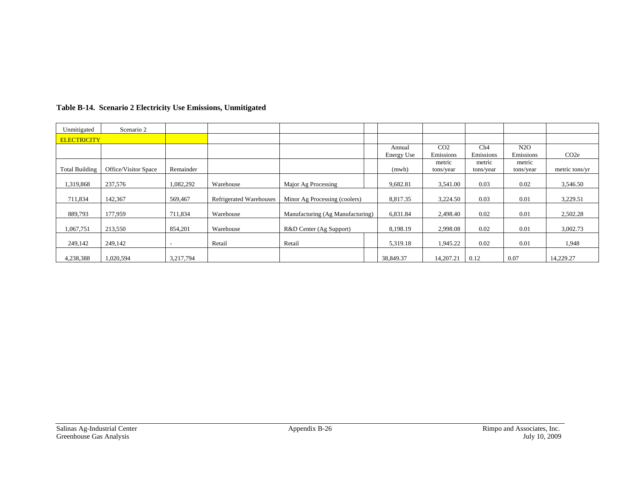| Unmitigated           | Scenario 2           |                          |                         |                                  |                      |                              |                     |                     |                   |
|-----------------------|----------------------|--------------------------|-------------------------|----------------------------------|----------------------|------------------------------|---------------------|---------------------|-------------------|
| <b>ELECTRICITY</b>    |                      |                          |                         |                                  |                      |                              |                     |                     |                   |
|                       |                      |                          |                         |                                  | Annual<br>Energy Use | CO <sub>2</sub><br>Emissions | Ch4<br>Emissions    | N2O<br>Emissions    | CO <sub>2</sub> e |
| <b>Total Building</b> | Office/Visitor Space | Remainder                |                         |                                  | (mwh)                | metric<br>tons/year          | metric<br>tons/year | metric<br>tons/year | metric tons/yr    |
| 1,319,868             | 237,576              | 1,082,292                | Warehouse               | Major Ag Processing              | 9,682.81             | 3,541.00                     | 0.03                | 0.02                | 3,546.50          |
| 711,834               | 142,367              | 569,467                  | Refrigerated Warehouses | Minor Ag Processing (coolers)    | 8,817.35             | 3,224.50                     | 0.03                | 0.01                | 3,229.51          |
| 889,793               | 177,959              | 711,834                  | Warehouse               | Manufacturing (Ag Manufacturing) | 6,831.84             | 2,498.40                     | 0.02                | 0.01                | 2,502.28          |
| 1,067,751             | 213,550              | 854,201                  | Warehouse               | R&D Center (Ag Support)          | 8,198.19             | 2,998.08                     | 0.02                | 0.01                | 3,002.73          |
| 249,142               | 249,142              | $\overline{\phantom{a}}$ | Retail                  | Retail                           | 5.319.18             | 1,945.22                     | 0.02                | 0.01                | 1,948             |
| 4,238,388             | 1,020,594            | 3,217,794                |                         |                                  | 38,849.37            | 14,207.21                    | 0.12                | 0.07                | 14,229.27         |

#### **Table B-14. Scenario 2 Electricity Use Emissions, Unmitigated**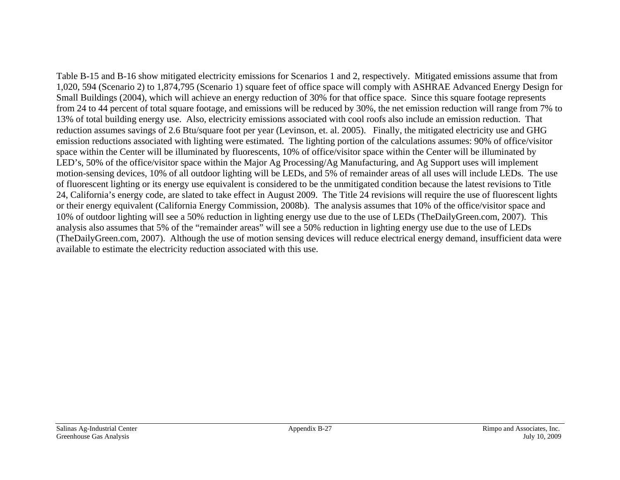Table B-15 and B-16 show mitigated electricity emissions for Scenarios 1 and 2, respectively. Mitigated emissions assume that from 1,020, 594 (Scenario 2) to 1,874,795 (Scenario 1) square feet of office space will comply with ASHRAE Advanced Energy Design for Small Buildings (2004), which will achieve an energy reduction of 30% for that office space. Since this square footage represents from 24 to 44 percent of total square footage, and emissions will be reduced by 30%, the net emission reduction will range from 7% to 13% of total building energy use. Also, electricity emissions associated with cool roofs also include an emission reduction. That reduction assumes savings of 2.6 Btu/square foot per year (Levinson, et. al. 2005). Finally, the mitigated electricity use and GHG emission reductions associated with lighting were estimated. The lighting portion of the calculations assumes: 90% of office/visitor space within the Center will be illuminated by fluorescents, 10% of office/visitor space within the Center will be illuminated by LED's, 50% of the office/visitor space within the Major Ag Processing/Ag Manufacturing, and Ag Support uses will implement motion-sensing devices, 10% of all outdoor lighting will be LEDs, and 5% of remainder areas of all uses will include LEDs. The use of fluorescent lighting or its energy use equivalent is considered to be the unmitigated condition because the latest revisions to Title 24, California's energy code, are slated to take effect in August 2009. The Title 24 revisions will require the use of fluorescent lights or their energy equivalent (California Energy Commission, 2008b). The analysis assumes that 10% of the office/visitor space and 10% of outdoor lighting will see a 50% reduction in lighting energy use due to the use of LEDs (TheDailyGreen.com, 2007). This analysis also assumes that 5% of the "remainder areas" will see a 50% reduction in lighting energy use due to the use of LEDs (TheDailyGreen.com, 2007). Although the use of motion sensing devices will reduce electrical energy demand, insufficient data were available to estimate the electricity reduction associated with this use.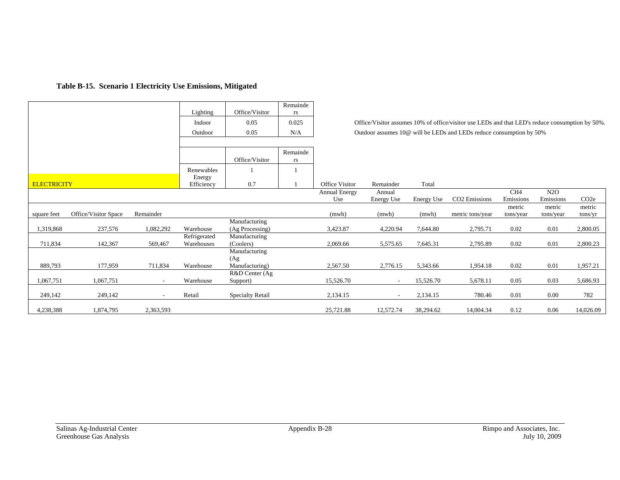### **Table B-15. Scenario 1 Electricity Use Emissions, Mitigated**

|                    |                      |           | Lighting     | Office/Visitor          | Remainde<br>rs |                       |            |            |                                                                                                 |                 |           |                   |
|--------------------|----------------------|-----------|--------------|-------------------------|----------------|-----------------------|------------|------------|-------------------------------------------------------------------------------------------------|-----------------|-----------|-------------------|
|                    |                      |           |              |                         |                |                       |            |            |                                                                                                 |                 |           |                   |
|                    |                      |           | Indoor       | 0.05                    | 0.025          |                       |            |            | Office/Visitor assumes 10% of office/visitor use LEDs and that LED's reduce consumption by 50%. |                 |           |                   |
|                    |                      |           | Outdoor      | 0.05                    | N/A            |                       |            |            | Outdoor assumes 10@ will be LEDs and LEDs reduce consumption by 50%                             |                 |           |                   |
|                    |                      |           |              |                         |                |                       |            |            |                                                                                                 |                 |           |                   |
|                    |                      |           |              |                         | Remainde       |                       |            |            |                                                                                                 |                 |           |                   |
|                    |                      |           |              | Office/Visitor          | rs             |                       |            |            |                                                                                                 |                 |           |                   |
|                    |                      |           | Renewables   |                         |                |                       |            |            |                                                                                                 |                 |           |                   |
|                    |                      |           | Energy       |                         |                |                       |            |            |                                                                                                 |                 |           |                   |
| <b>ELECTRICITY</b> |                      |           | Efficiency   | 0.7                     |                | <b>Office Visitor</b> | Remainder  | Total      |                                                                                                 |                 |           |                   |
|                    |                      |           |              |                         |                | <b>Annual Energy</b>  | Annual     |            |                                                                                                 | CH <sub>4</sub> | N2O       |                   |
|                    |                      |           |              |                         |                | Use                   | Energy Use | Energy Use | CO2 Emissions                                                                                   | Emissions       | Emissions | CO <sub>2</sub> e |
|                    |                      |           |              |                         |                |                       |            |            |                                                                                                 | metric          | metric    | metric            |
| square feet        | Office/Visitor Space | Remainder |              |                         |                | (mwh)                 | (mwh)      | (mwh)      | metric tons/year                                                                                | tons/year       | tons/year | tons/yr           |
|                    |                      |           |              | Manufacturing           |                |                       |            |            |                                                                                                 |                 |           |                   |
| 1,319,868          | 237,576              | 1,082,292 | Warehouse    | (Ag Processing)         |                | 3,423.87              | 4,220.94   | 7,644.80   | 2,795.71                                                                                        | 0.02            | 0.01      | 2,800.05          |
|                    |                      |           | Refrigerated | Manufacturing           |                |                       |            |            |                                                                                                 |                 |           |                   |
| 711,834            | 142,367              | 569,467   | Warehouses   | (Coolers)               |                | 2,069.66              | 5,575.65   | 7,645.31   | 2,795.89                                                                                        | 0.02            | 0.01      | 2,800.23          |
|                    |                      |           |              | Manufacturing           |                |                       |            |            |                                                                                                 |                 |           |                   |
| 889,793            | 177,959              | 711,834   | Warehouse    | (Ag)<br>Manufacturing)  |                | 2,567.50              | 2,776.15   | 5,343.66   | 1,954.18                                                                                        | 0.02            | 0.01      | 1,957.21          |
|                    |                      |           |              | R&D Center (Ag          |                |                       |            |            |                                                                                                 |                 |           |                   |
| 1,067,751          | 1,067,751            |           | Warehouse    | Support)                |                | 15,526.70             |            | 15,526.70  | 5,678.11                                                                                        | 0.05            | 0.03      | 5,686.93          |
|                    |                      |           |              |                         |                |                       |            |            |                                                                                                 |                 |           |                   |
| 249,142            | 249,142              |           | Retail       | <b>Specialty Retail</b> |                | 2,134.15              |            | 2,134.15   | 780.46                                                                                          | 0.01            | 0.00      | 782               |
| 4,238,388          | 1,874,795            | 2,363,593 |              |                         |                | 25,721.88             | 12,572.74  | 38,294.62  | 14,004.34                                                                                       | 0.12            | 0.06      | 14,026.09         |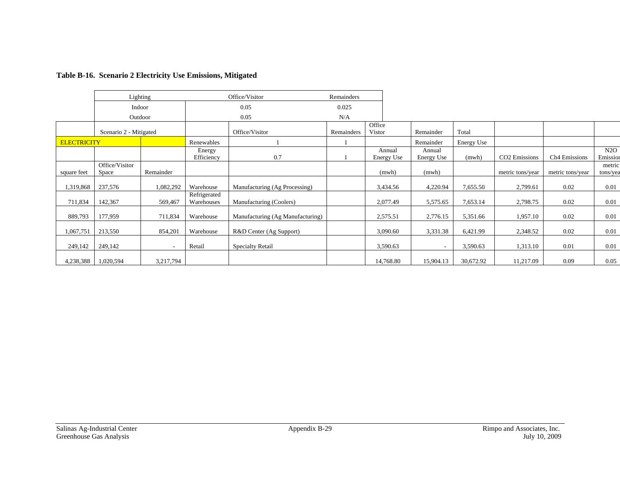|                    |                         | Lighting                 |                            | Office/Visitor                   | Remainders |                      |                          |            |                           |                           |                    |
|--------------------|-------------------------|--------------------------|----------------------------|----------------------------------|------------|----------------------|--------------------------|------------|---------------------------|---------------------------|--------------------|
|                    | Indoor                  |                          |                            | 0.05                             | 0.025      |                      |                          |            |                           |                           |                    |
|                    | Outdoor                 |                          |                            | 0.05                             | N/A        |                      |                          |            |                           |                           |                    |
|                    | Scenario 2 - Mitigated  |                          | Office/Visitor             |                                  | Remainders | Office<br>Vistor     | Remainder                | Total      |                           |                           |                    |
| <b>ELECTRICITY</b> |                         |                          | Renewables                 |                                  |            |                      | Remainder                | Energy Use |                           |                           |                    |
|                    |                         |                          | Energy<br>Efficiency       | 0.7                              |            | Annual<br>Energy Use | Annual<br>Energy Use     | (mwh)      | CO <sub>2</sub> Emissions | Ch <sub>4</sub> Emissions | N2O<br>Emission    |
| square feet        | Office/Visitor<br>Space | Remainder                |                            |                                  |            | (mwh)                | (mwh)                    |            | metric tons/year          | metric tons/year          | metric<br>tons/yea |
| 1,319,868          | 237,576                 | 1,082,292                | Warehouse                  | Manufacturing (Ag Processing)    |            | 3,434.56             | 4,220.94                 | 7,655.50   | 2,799.61                  | 0.02                      | 0.01               |
| 711,834            | 142,367                 | 569,467                  | Refrigerated<br>Warehouses | Manufacturing (Coolers)          |            | 2,077.49             | 5,575.65                 | 7,653.14   | 2,798.75                  | 0.02                      | 0.01               |
| 889,793            | 177,959                 | 711,834                  | Warehouse                  | Manufacturing (Ag Manufacturing) |            | 2,575.51             | 2,776.15                 | 5,351.66   | 1,957.10                  | 0.02                      | 0.01               |
| 1,067,751          | 213,550                 | 854,201                  | Warehouse                  | R&D Center (Ag Support)          |            | 3,090.60             | 3,331.38                 | 6,421.99   | 2,348.52                  | 0.02                      | 0.01               |
| 249,142            | 249,142                 | $\overline{\phantom{a}}$ | Retail                     | <b>Specialty Retail</b>          |            | 3,590.63             | $\overline{\phantom{a}}$ | 3,590.63   | 1,313.10                  | 0.01                      | 0.01               |
| 4,238,388          | 1,020,594               | 3,217,794                |                            |                                  |            | 14,768.80            | 15,904.13                | 30,672.92  | 11,217.09                 | 0.09                      | 0.05               |

### **Table B-16. Scenario 2 Electricity Use Emissions, Mitigated**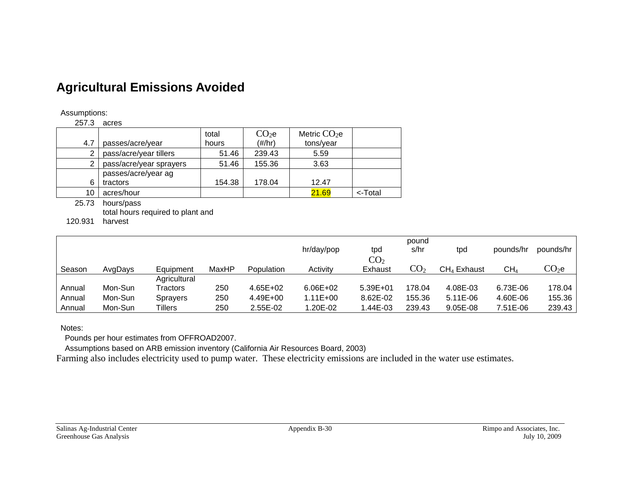# **Agricultural Emissions Avoided**

#### Assumptions:

257.3 acres

| 4.7 | passes/acre/year        | total<br>hours | CO <sub>2</sub> e<br>$(\#/hr)$ | Metric $CO2e$<br>tons/year |         |
|-----|-------------------------|----------------|--------------------------------|----------------------------|---------|
|     |                         |                |                                |                            |         |
| 2   | pass/acre/year tillers  | 51.46          | 239.43                         | 5.59                       |         |
| 2   | pass/acre/year sprayers | 51.46          | 155.36                         | 3.63                       |         |
|     | passes/acre/year ag     |                |                                |                            |         |
| 6   | tractors                | 154.38         | 178.04                         | 12.47                      |         |
| 10  | acres/hour              |                |                                | 21.69                      | <-Total |

25.73 hours/pass total hours required to plant and

120.931 harvest

|        |         |                 |       |            |              |                 | pound           |               |                 |                   |
|--------|---------|-----------------|-------|------------|--------------|-----------------|-----------------|---------------|-----------------|-------------------|
|        |         |                 |       |            | hr/day/pop   | tpd             | s/hr            | tpd           | pounds/hr       | pounds/hr         |
|        |         |                 |       |            |              | CO <sub>2</sub> |                 |               |                 |                   |
| Season | AvgDays | Equipment       | MaxHP | Population | Activity     | Exhaust         | CO <sub>2</sub> | $CH4$ Exhaust | CH <sub>4</sub> | $\mathrm{CO}_2$ e |
|        |         | Agricultural    |       |            |              |                 |                 |               |                 |                   |
| Annual | Mon-Sun | Tractors        | 250   | 4.65E+02   | $6.06E + 02$ | 5.39E+01        | 178.04          | 4.08E-03      | 6.73E-06        | 178.04            |
| Annual | Mon-Sun | <b>Sprayers</b> | 250   | 4.49E+00   | $1.11E + 00$ | 8.62E-02        | 155.36          | 5.11E-06      | 4.60E-06        | 155.36            |
| Annual | Mon-Sun | Tillers         | 250   | 2.55E-02   | 1.20E-02     | 1.44E-03        | 239.43          | 9.05E-08      | 7.51E-06        | 239.43            |

Notes:

Pounds per hour estimates from OFFROAD2007.

Assumptions based on ARB emission inventory (California Air Resources Board, 2003)

Farming also includes electricity used to pump water. These electricity emissions are included in the water use estimates.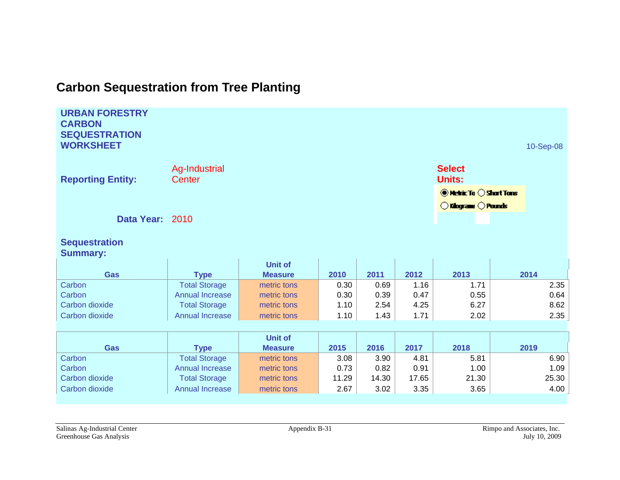# **Carbon Sequestration from Tree Planting**

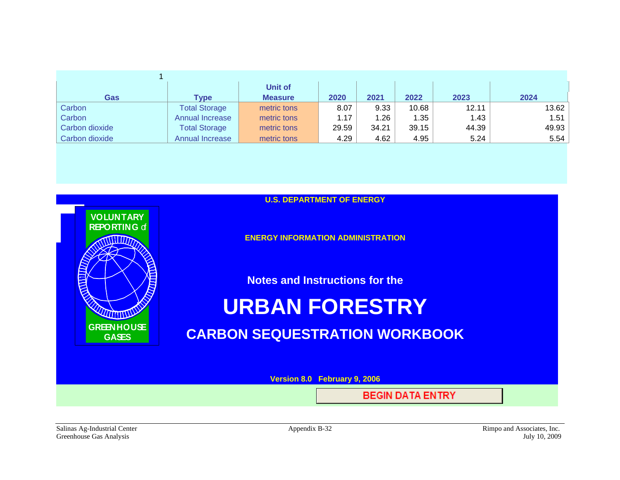|                |                      | Unit of        |       |         |       |       |       |
|----------------|----------------------|----------------|-------|---------|-------|-------|-------|
| Gas            | Type                 | <b>Measure</b> | 2020  | 2021    | 2022  | 2023  | 2024  |
| Carbon         | <b>Total Storage</b> | metric tons    | 8.07  | 9.33    | 10.68 | 12.11 | 13.62 |
| Carbon         | Annual Increase      | metric tons    | 1.17  | . 26. ا | .35   | 1.43  | 1.51  |
| Carbon dioxide | <b>Total Storage</b> | metric tons    | 29.59 | 34.21   | 39.15 | 44.39 | 49.93 |
| Carbon dioxide | Annual Increase      | metric tons    | 4.29  | 4.62    | 4.95  | 5.24  | 5.54  |



Salinas Ag-Industrial Center **Appendix B-32** Appendix B-32 Rimpo and Associates, Inc. Greenhouse Gas Analysis July 10, 2009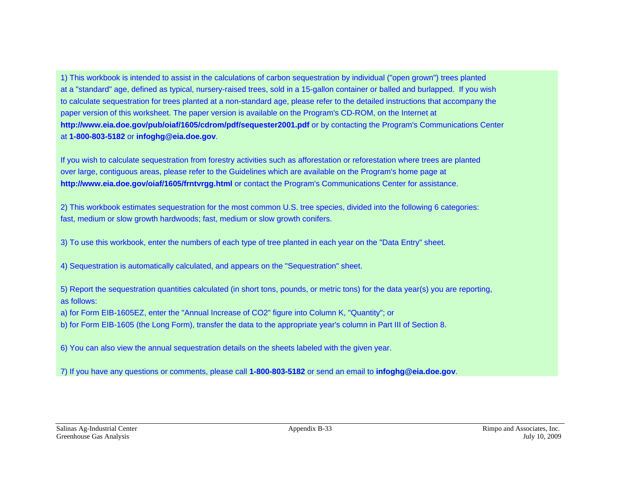1) This workbook is intended to assist in the calculations of carbon sequestration by individual ("open grown") trees planted at a "standard" age, defined as typical, nursery-raised trees, sold in a 15-gallon container or balled and burlapped. If you wish to calculate sequestration for trees planted at a non-standard age, please refer to the detailed instructions that accompany the paper version of this worksheet. The paper version is available on the Program's CD-ROM, on the Internet at **http://www.eia.doe.gov/pub/oiaf/1605/cdrom/pdf/sequester2001.pdf** or by contacting the Program's Communications Center at **1-800-803-5182** or **infoghg@eia.doe.gov**.

If you wish to calculate sequestration from forestry activities such as afforestation or reforestation where trees are planted over large, contiguous areas, please refer to the Guidelines which are available on the Program's home page at **http://www.eia.doe.gov/oiaf/1605/frntvrgg.html** or contact the Program's Communications Center for assistance.

2) This workbook estimates sequestration for the most common U.S. tree species, divided into the following 6 categories: fast, medium or slow growth hardwoods; fast, medium or slow growth conifers.

3) To use this workbook, enter the numbers of each type of tree planted in each year on the "Data Entry" sheet.

4) Sequestration is automatically calculated, and appears on the "Sequestration" sheet.

5) Report the sequestration quantities calculated (in short tons, pounds, or metric tons) for the data year(s) you are reporting, as follows:

a) for Form EIB-1605EZ, enter the "Annual Increase of CO2" figure into Column K, "Quantity"; or

b) for Form EIB-1605 (the Long Form), transfer the data to the appropriate year's column in Part III of Section 8.

6) You can also view the annual sequestration details on the sheets labeled with the given year.

7) If you have any questions or comments, please call **1-800-803-5182** or send an email to **infoghg@eia.doe.gov**.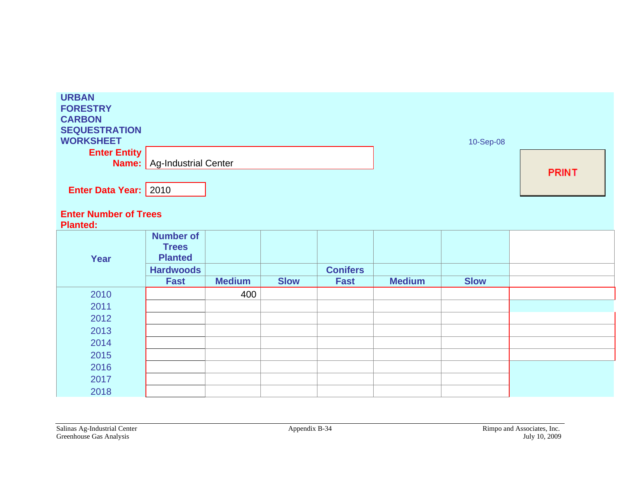| <b>URBAN</b><br><b>FORESTRY</b><br><b>CARBON</b><br><b>SEQUESTRATION</b><br><b>WORKSHEET</b> |                                                    |               |             |                 |               | 10-Sep-08   |              |
|----------------------------------------------------------------------------------------------|----------------------------------------------------|---------------|-------------|-----------------|---------------|-------------|--------------|
| <b>Enter Entity</b>                                                                          | <b>Name:</b> Ag-Industrial Center                  |               |             |                 |               |             |              |
|                                                                                              |                                                    |               |             |                 |               |             | <b>PRINT</b> |
| <b>Enter Data Year: 2010</b>                                                                 |                                                    |               |             |                 |               |             |              |
| <b>Enter Number of Trees</b><br><b>Planted:</b>                                              |                                                    |               |             |                 |               |             |              |
| Year                                                                                         | <b>Number of</b><br><b>Trees</b><br><b>Planted</b> |               |             |                 |               |             |              |
|                                                                                              | <b>Hardwoods</b>                                   |               |             | <b>Conifers</b> |               |             |              |
|                                                                                              | <b>Fast</b>                                        | <b>Medium</b> | <b>Slow</b> | <b>Fast</b>     | <b>Medium</b> | <b>Slow</b> |              |
| 2010                                                                                         |                                                    | 400           |             |                 |               |             |              |
| 2011                                                                                         |                                                    |               |             |                 |               |             |              |
| 2012                                                                                         |                                                    |               |             |                 |               |             |              |
| 2013                                                                                         |                                                    |               |             |                 |               |             |              |
| 2014                                                                                         |                                                    |               |             |                 |               |             |              |
| 2015                                                                                         |                                                    |               |             |                 |               |             |              |
| 2016                                                                                         |                                                    |               |             |                 |               |             |              |
| 2017                                                                                         |                                                    |               |             |                 |               |             |              |
| 2018                                                                                         |                                                    |               |             |                 |               |             |              |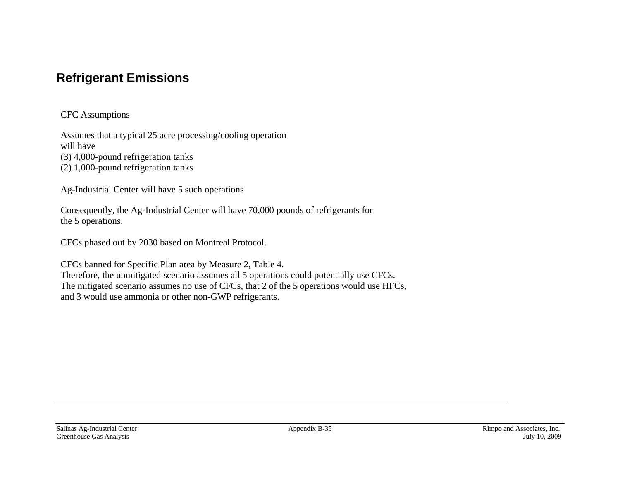# **Refrigerant Emissions**

CFC Assumptions

Assumes that a typical 25 acre processing/cooling operation will have (3) 4,000-pound refrigeration tanks

(2) 1,000-pound refrigeration tanks

Ag-Industrial Center will have 5 such operations

Consequently, the Ag-Industrial Center will have 70,000 pounds of refrigerants for the 5 operations.

CFCs phased out by 2030 based on Montreal Protocol.

CFCs banned for Specific Plan area by Measure 2, Table 4. Therefore, the unmitigated scenario assumes all 5 operations could potentially use CFCs. The mitigated scenario assumes no use of CFCs, that 2 of the 5 operations would use HFCs, and 3 would use ammonia or other non-GWP refrigerants.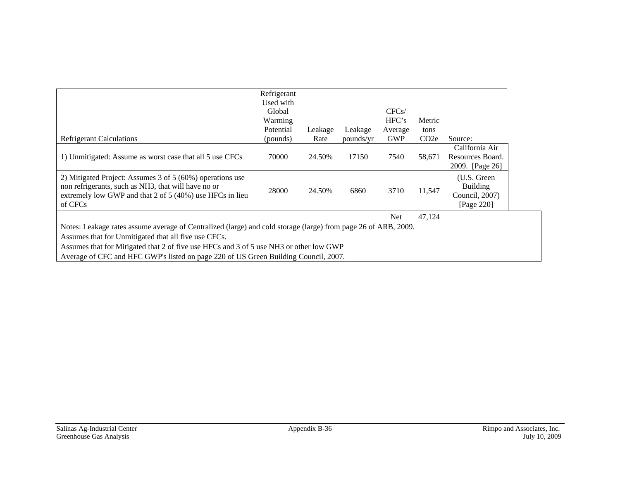|                                                                                                                                                                                                                                                                                                                                                         | Refrigerant<br>Used with<br>Global<br>Warming<br>Potential | Leakage | Leakage   | CFCs/<br>HFC's<br>Average | Metric<br>tons    |                                                                |  |  |  |  |
|---------------------------------------------------------------------------------------------------------------------------------------------------------------------------------------------------------------------------------------------------------------------------------------------------------------------------------------------------------|------------------------------------------------------------|---------|-----------|---------------------------|-------------------|----------------------------------------------------------------|--|--|--|--|
| <b>Refrigerant Calculations</b>                                                                                                                                                                                                                                                                                                                         | (pounds)                                                   | Rate    | pounds/yr | <b>GWP</b>                | CO <sub>2</sub> e | Source:                                                        |  |  |  |  |
| 1) Unmitigated: Assume as worst case that all 5 use CFCs                                                                                                                                                                                                                                                                                                | 70000                                                      | 24.50%  | 17150     | 7540                      | 58,671            | California Air<br>Resources Board.<br>2009. [Page 26]          |  |  |  |  |
| 2) Mitigated Project: Assumes 3 of $5(60%)$ operations use<br>non refrigerants, such as NH3, that will have no or<br>extremely low GWP and that 2 of 5 (40%) use HFCs in lieu<br>of CFCs                                                                                                                                                                | 28000                                                      | 24.50%  | 6860      | 3710                      | 11,547            | (U.S. Green<br><b>Building</b><br>Council, 2007)<br>[Page 220] |  |  |  |  |
|                                                                                                                                                                                                                                                                                                                                                         |                                                            |         |           | Net                       | 47,124            |                                                                |  |  |  |  |
| Notes: Leakage rates assume average of Centralized (large) and cold storage (large) from page 26 of ARB, 2009.<br>Assumes that for Unmitigated that all five use CFCs.<br>Assumes that for Mitigated that 2 of five use HFCs and 3 of 5 use NH3 or other low GWP<br>Average of CFC and HFC GWP's listed on page 220 of US Green Building Council, 2007. |                                                            |         |           |                           |                   |                                                                |  |  |  |  |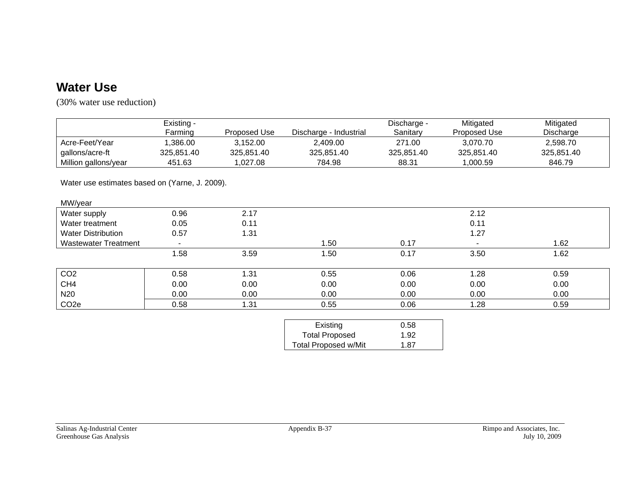# **Water Use**

(30% water use reduction)

|                                                | Existing -            |              |                             | Discharge - | Mitigated    | Mitigated  |
|------------------------------------------------|-----------------------|--------------|-----------------------------|-------------|--------------|------------|
|                                                | Farming               | Proposed Use | Discharge - Industrial      | Sanitary    | Proposed Use | Discharge  |
| Acre-Feet/Year                                 | 1,386.00              | 3,152.00     | 2,409.00                    | 271.00      | 3,070.70     | 2,598.70   |
| gallons/acre-ft                                | 325,851.40            | 325,851.40   | 325,851.40                  | 325,851.40  | 325,851.40   | 325,851.40 |
| Million gallons/year                           | 451.63                | 1,027.08     | 784.98                      | 88.31       | 1,000.59     | 846.79     |
| Water use estimates based on (Yarne, J. 2009). |                       |              |                             |             |              |            |
| MW/year                                        |                       |              |                             |             |              |            |
| Water supply                                   | 0.96                  | 2.17         |                             |             | 2.12         |            |
| Water treatment                                | 0.05                  | 0.11         |                             |             | 0.11         |            |
| <b>Water Distribution</b>                      | 0.57                  | 1.31         |                             |             | 1.27         |            |
| <b>Wastewater Treatment</b>                    | $\tilde{\phantom{a}}$ |              | 1.50                        | 0.17        |              | 1.62       |
|                                                | 1.58                  | 3.59         | 1.50                        | 0.17        | 3.50         | 1.62       |
| CO <sub>2</sub>                                | 0.58                  | 1.31         | 0.55                        | 0.06        | 1.28         | 0.59       |
| CH <sub>4</sub>                                | 0.00                  | 0.00         | 0.00                        | 0.00        | 0.00         | 0.00       |
| N <sub>20</sub>                                | 0.00                  | 0.00         | 0.00                        | 0.00        | 0.00         | 0.00       |
| CO <sub>2e</sub>                               | 0.58                  | 1.31         | 0.55                        | 0.06        | 1.28         | 0.59       |
|                                                |                       |              |                             |             |              |            |
|                                                |                       |              | Existing                    | 0.58        |              |            |
|                                                |                       |              | <b>Total Proposed</b>       | 1.92        |              |            |
|                                                |                       |              | <b>Total Proposed w/Mit</b> | 1.87        |              |            |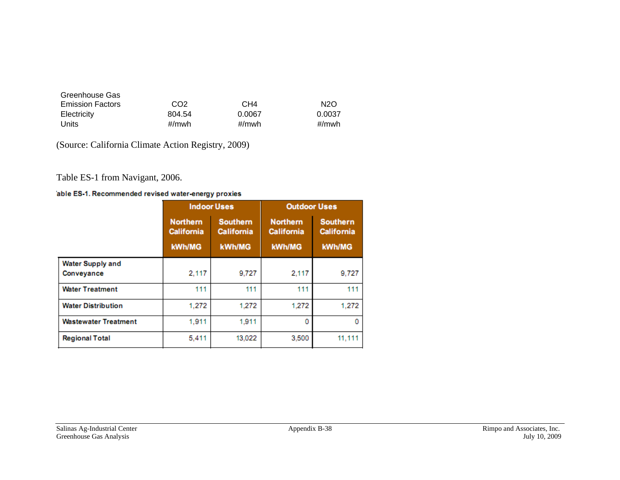| Greenhouse Gas          |                 |                 |                  |
|-------------------------|-----------------|-----------------|------------------|
| <b>Emission Factors</b> | CO <sub>2</sub> | CH <sub>4</sub> | N <sub>2</sub> O |
| Electricity             | 804.54          | 0.0067          | 0.0037           |
| Units                   | #/mwh           | #/mwh           | #/mwh            |

(Source: California Climate Action Registry, 2009)

Table ES-1 from Navigant, 2006.

#### able ES-1. Recommended revised water-energy proxies

|                                       |                                                                              | <b>Indoor Uses</b> | <b>Outdoor Uses</b>                  |                                      |  |
|---------------------------------------|------------------------------------------------------------------------------|--------------------|--------------------------------------|--------------------------------------|--|
|                                       | <b>Northern</b><br><b>Southern</b><br><b>California</b><br><b>California</b> |                    | <b>Northern</b><br><b>California</b> | <b>Southern</b><br><b>California</b> |  |
|                                       | kWh/MG                                                                       | <b>kWh/MG</b>      | <b>kWh/MG</b>                        | <b>kWh/MG</b>                        |  |
| <b>Water Supply and</b><br>Conveyance | 2,117                                                                        | 9,727              | 2,117                                | 9,727                                |  |
| <b>Water Treatment</b>                | 111                                                                          | 111                | 111                                  | 111                                  |  |
| <b>Water Distribution</b>             | 1,272                                                                        | 1,272              | 1,272                                | 1,272                                |  |
| <b>Wastewater Treatment</b>           | 1,911                                                                        | 1.911              | 0                                    |                                      |  |
| <b>Regional Total</b>                 | 5.411                                                                        | 13.022             | 3,500                                | 11,111                               |  |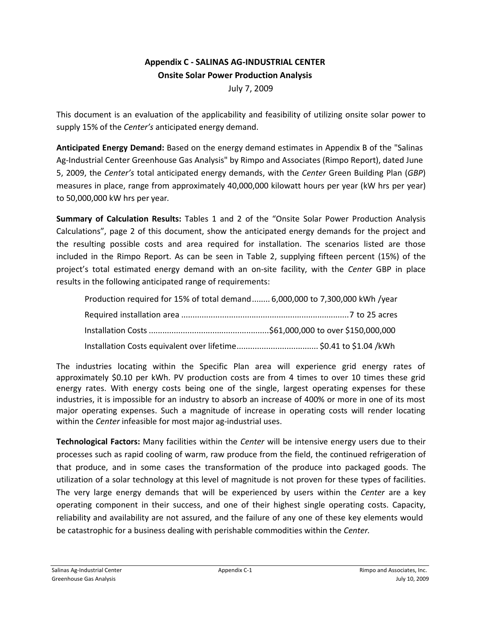## **Appendix C ‐ SALINAS AG‐INDUSTRIAL CENTER Onsite Solar Power Production Analysis**

July 7, 2009

This document is an evaluation of the applicability and feasibility of utilizing onsite solar power to supply 15% of the *Center's* anticipated energy demand.

**Anticipated Energy Demand:** Based on the energy demand estimates in Appendix B of the "Salinas Ag-Industrial Center Greenhouse Gas Analysis" by Rimpo and Associates (Rimpo Report), dated June 5, 2009, the *Center's* total anticipated energy demands, with the *Center* Green Building Plan (*GBP*) measures in place, range from approximately 40,000,000 kilowatt hours per year (kW hrs per year) to 50,000,000 kW hrs per year*.*

**Summary of Calculation Results:** Tables 1 and 2 of the "Onsite Solar Power Production Analysis Calculations", page 2 of this document, show the anticipated energy demands for the project and the resulting possible costs and area required for installation. The scenarios listed are those included in the Rimpo Report. As can be seen in Table 2, supplying fifteen percent (15%) of the project's total estimated energy demand with an on‐site facility, with the *Center* GBP in place results in the following anticipated range of requirements:

| Production required for 15% of total demand 6,000,000 to 7,300,000 kWh /year |  |
|------------------------------------------------------------------------------|--|
|                                                                              |  |
|                                                                              |  |
|                                                                              |  |

The industries locating within the Specific Plan area will experience grid energy rates of approximately \$0.10 per kWh. PV production costs are from 4 times to over 10 times these grid energy rates. With energy costs being one of the single, largest operating expenses for these industries, it is impossible for an industry to absorb an increase of 400% or more in one of its most major operating expenses. Such a magnitude of increase in operating costs will render locating within the *Center* infeasible for most major ag-industrial uses.

**Technological Factors:** Many facilities within the *Center* will be intensive energy users due to their processes such as rapid cooling of warm, raw produce from the field, the continued refrigeration of that produce, and in some cases the transformation of the produce into packaged goods. The utilization of a solar technology at this level of magnitude is not proven for these types of facilities. The very large energy demands that will be experienced by users within the *Center* are a key operating component in their success, and one of their highest single operating costs. Capacity, reliability and availability are not assured, and the failure of any one of these key elements would be catastrophic for a business dealing with perishable commodities within the *Center.*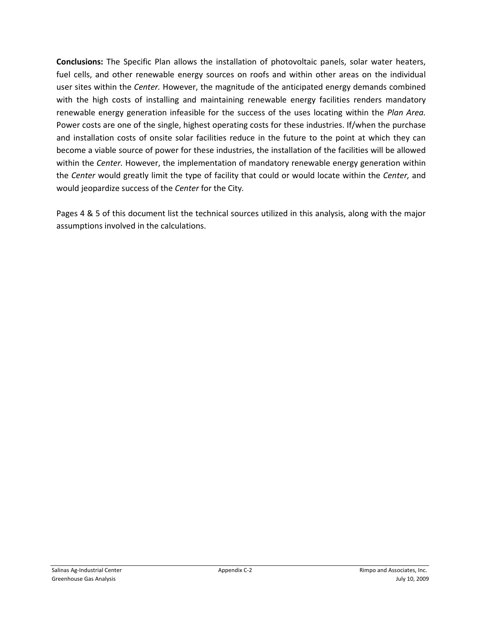**Conclusions:** The Specific Plan allows the installation of photovoltaic panels, solar water heaters, fuel cells, and other renewable energy sources on roofs and within other areas on the individual user sites within the *Center.* However, the magnitude of the anticipated energy demands combined with the high costs of installing and maintaining renewable energy facilities renders mandatory renewable energy generation infeasible for the success of the uses locating within the *Plan Area.* Power costs are one of the single, highest operating costs for these industries. If/when the purchase and installation costs of onsite solar facilities reduce in the future to the point at which they can become a viable source of power for these industries, the installation of the facilities will be allowed within the *Center.* However, the implementation of mandatory renewable energy generation within the *Center* would greatly limit the type of facility that could or would locate within the *Center,* and would jeopardize success of the *Center* for the City*.*

Pages 4 & 5 of this document list the technical sources utilized in this analysis, along with the major assumptions involved in the calculations.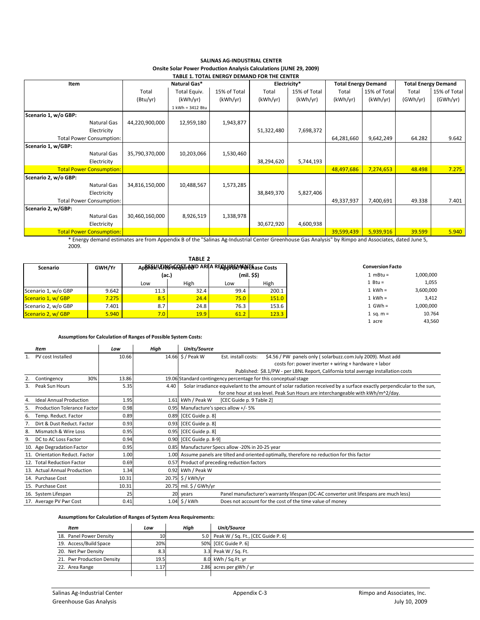| TABLE 1. TOTAL ENERGY DEMAND FOR THE CENTER |                |                  |              |            |              |            |                            |                            |              |
|---------------------------------------------|----------------|------------------|--------------|------------|--------------|------------|----------------------------|----------------------------|--------------|
| Item                                        |                | Natural Gas*     |              |            | Electricity* |            | <b>Total Energy Demand</b> | <b>Total Energy Demand</b> |              |
|                                             | Total          | Total Equiv.     | 15% of Total | Total      | 15% of Total | Total      | 15% of Total               | Total                      | 15% of Total |
|                                             | (Btu/yr)       | (kWh/yr)         | (kWh/yr)     | (kWh/yr)   | (kWh/yr)     | (kWh/vr)   | (kWh/yr)                   | (GWh/yr)                   | (GWh/yr)     |
|                                             |                | 1 kWh = 3412 Btu |              |            |              |            |                            |                            |              |
| Scenario 1, w/o GBP:                        |                |                  |              |            |              |            |                            |                            |              |
| Natural Gas                                 | 44,220,900,000 | 12,959,180       | 1,943,877    |            |              |            |                            |                            |              |
| Electricity                                 |                |                  |              | 51,322,480 | 7,698,372    |            |                            |                            |              |
| <b>Total Power Consumption:</b>             |                |                  |              |            |              | 64,281,660 | 9,642,249                  | 64.282                     | 9.642        |
| Scenario 1, w/GBP:                          |                |                  |              |            |              |            |                            |                            |              |
| Natural Gas                                 | 35,790,370,000 | 10,203,066       | 1,530,460    |            |              |            |                            |                            |              |
| Electricity                                 |                |                  |              | 38,294,620 | 5,744,193    |            |                            |                            |              |
| <b>Total Power Consumption:</b>             |                |                  |              |            |              | 48,497,686 | 7,274,653                  | 48.498                     | 7.275        |
| Scenario 2, w/o GBP:                        |                |                  |              |            |              |            |                            |                            |              |
| Natural Gas                                 | 34,816,150,000 | 10,488,567       | 1,573,285    |            |              |            |                            |                            |              |
| Electricity                                 |                |                  |              | 38,849,370 | 5,827,406    |            |                            |                            |              |
| <b>Total Power Consumption:</b>             |                |                  |              |            |              | 49,337,937 | 7,400,691                  | 49.338                     | 7.401        |
| Scenario 2, w/GBP:                          |                |                  |              |            |              |            |                            |                            |              |
| Natural Gas                                 | 30,460,160,000 | 8,926,519        | 1,338,978    |            |              |            |                            |                            |              |
| Electricity                                 |                |                  |              | 30,672,920 | 4,600,938    |            |                            |                            |              |
| <b>Total Power Consumption:</b>             |                |                  |              |            |              | 39,599,439 | 5,939,916                  | 39.599                     | 5.940        |

### **SALINAS AG‐INDUSTRIAL CENTER Onsite Solar Power Production Analysis Calculations (JUNE 29, 2009)**

\* Energy demand estimates are from Appendix B of the "Salinas Ag‐Industrial Center Greenhouse Gas Analysis" by Rimpo and Associates, dated June 5, 2009.

|                     |        |       | TABLE <sub>2</sub>                                  |      |             |                         |           |
|---------------------|--------|-------|-----------------------------------------------------|------|-------------|-------------------------|-----------|
| Scenario            | GWH/Yr |       | AppFSk!LAH&GRGQ&TrAND AREA REQUURENTENTE Aase Costs |      |             | <b>Conversion Facto</b> |           |
|                     |        | (ac.) |                                                     |      | (mil. \$\$) | 1 $mBtu =$              |           |
|                     |        | Low   | High                                                | Low  | High        | 1 Btu =                 |           |
| Scenario 1, w/o GBP | 9.642  | 11.3  | 32.4                                                | 99.4 | 200.1       | $1$ kWh =               | 3,600,000 |
| Scenario 1, w/GBP   | 7.275  | 8.5   | 24.4                                                | 75.0 | 151.0       | $1$ kWh =               |           |
| Scenario 2, w/o GBP | 7.401  | 8.7   | 24.8                                                | 76.3 | 153.6       | $1$ GWh =               |           |
| Scenario 2, w/GBP   | 5.940  | 7.0   | 19.9                                                | 61.2 | 123.3       | 1 sq. $m =$             |           |
|                     |        |       |                                                     |      |             | 1 acre                  |           |

### **Assumptionsfor Calculation of Ranges of Possible System Costs:**

|    | <b>Item</b>                        | Low   | High  | Units/Source                                                                                                         |
|----|------------------------------------|-------|-------|----------------------------------------------------------------------------------------------------------------------|
|    | PV cost Installed                  | 10.66 |       | 14.66 \$ / Peak W<br>\$4.56 / PW panels only (solarbuzz.com July 2009). Must add<br>Est. install costs:              |
|    |                                    |       |       | costs for: power inverter + wiring + hardware + labor                                                                |
|    |                                    |       |       | Published: \$8.1/PW - per LBNL Report, California total average installation costs                                   |
|    | 30%<br>Contingency                 | 13.86 |       | 19.06 Standard contingency percentage for this conceptual stage                                                      |
|    | Peak Sun Hours                     | 5.35  | 4.40  | Solar irradiance equivelant to the amount of solar radiation received by a surface exactly perpendicular to the sun, |
|    |                                    |       |       | for one hour at sea level. Peak Sun Hours are interchangeable with kWh/m^2/day.                                      |
| 4. | <b>Ideal Annual Production</b>     | 1.95  | 1.61  | kWh / Peak W<br>[CEC Guide p. 9 Table 2]                                                                             |
| 5. | <b>Production Tolerance Factor</b> | 0.98  | 0.95  | Manufacture's specs allow +/- 5%                                                                                     |
| 6. | Temp. Reduct. Factor               | 0.89  | 0.89  | [CEC Guide p. 8]                                                                                                     |
|    | Dirt & Dust Reduct. Factor         | 0.93  | 0.93  | [CEC Guide p. 8]                                                                                                     |
| 8. | Mismatch & Wire Loss               | 0.95  | 0.95  | [CEC Guide p. 8]                                                                                                     |
| 9. | DC to AC Loss Factor               | 0.94  | 0.90  | [CEC Guide p. 8-9]                                                                                                   |
|    | 10. Age Degradation Factor         | 0.95  | 0.85  | Manufacturer Specs allow -20% in 20-25 year                                                                          |
|    | 11. Orientation Reduct, Factor     | 1.00  | 1.00  | Assume panels are tilted and oriented optimally, therefore no reduction for this factor                              |
|    | 12. Total Reduction Factor         | 0.69  | 0.57  | Product of preceding reduction factors                                                                               |
|    | 13. Actual Annual Production       | 1.34  |       | 0.92 kWh / Peak W                                                                                                    |
|    | 14. Purchase Cost                  | 10.31 | 20.75 | \$/kWh/yr                                                                                                            |
|    | 15. Purchase Cost                  | 10.31 |       | 20.75 mil. \$ / GWh/yr                                                                                               |
|    | 16. System Lifespan                | 25    | 20    | Panel manufacturer's warranty lifespan (DC-AC converter unit lifespans are much less)<br>years                       |
|    | 17. Average PV Pwr Cost            | 0.41  |       | $1.04$ \$ / kWh<br>Does not account for the cost of the time value of money                                          |

### **Assumptionsfor Calculation of Ranges of System Area Requirements:**

| Item                       | Low  | High | <b>Unit/Source</b>                     |
|----------------------------|------|------|----------------------------------------|
| 18. Panel Power Density    | 10   |      | 5.0 Peak W / Sq. Ft., [CEC Guide P. 6] |
| 19. Access/Build Space     | 20%  |      | 50% [CEC Guide P. 6]                   |
| 20. Net Pwr Density        | 8.3  |      | 3.3 Peak W / Sq. Ft.                   |
| 21. Pwr Production Density | 19.5 |      | 8.0 kWh / Sq.Ft. yr                    |
| 22. Area Range             | 1.17 |      | 2.86 acres per gWh / yr                |
|                            |      |      |                                        |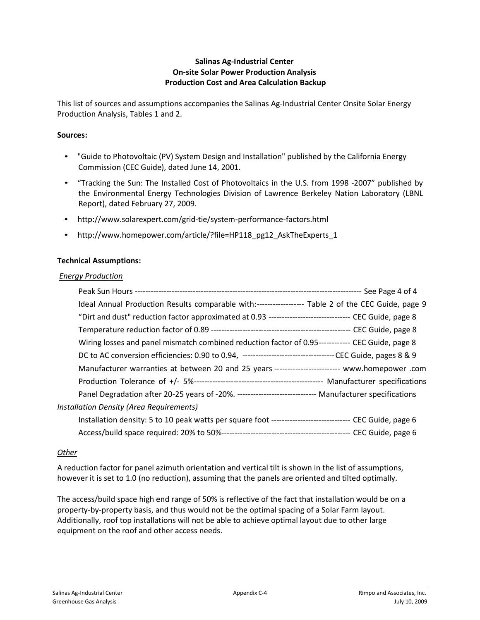### **Salinas Ag‐Industrial Center On‐site Solar Power Production Analysis Production Cost and Area Calculation Backup**

This list of sources and assumptions accompanies the Salinas Ag‐Industrial Center Onsite Solar Energy Production Analysis, Tables 1 and 2.

### **Sources:**

- "Guide to Photovoltaic (PV) System Design and Installation" published by the California Energy Commission (CEC Guide), dated June 14, 2001.
- "Tracking the Sun: The Installed Cost of Photovoltaics in the U.S. from 1998 ‐2007" published by the Environmental Energy Technologies Division of Lawrence Berkeley Nation Laboratory (LBNL Report), dated February 27, 2009.
- http://www.solarexpert.com/grid‐tie/system‐performance‐factors.html
- http://www.homepower.com/article/?file=HP118\_pg12\_AskTheExperts\_1

### **Technical Assumptions:**

### *Energy Production*

| Ideal Annual Production Results comparable with:------------------ Table 2 of the CEC Guide, page 9         |  |
|-------------------------------------------------------------------------------------------------------------|--|
| "Dirt and dust" reduction factor approximated at 0.93 --------------------------------- CEC Guide, page 8   |  |
|                                                                                                             |  |
| Wiring losses and panel mismatch combined reduction factor of 0.95------------- CEC Guide, page 8           |  |
|                                                                                                             |  |
| Manufacturer warranties at between 20 and 25 years ------------------------- www.homepower .com             |  |
|                                                                                                             |  |
| Panel Degradation after 20-25 years of -20%. ------------------------------ Manufacturer specifications     |  |
| Installation Density (Area Requirements)                                                                    |  |
| Installation density: 5 to 10 peak watts per square foot -------------------------------- CEC Guide, page 6 |  |
|                                                                                                             |  |

### *Other*

A reduction factor for panel azimuth orientation and vertical tilt is shown in the list of assumptions, however it is set to 1.0 (no reduction), assuming that the panels are oriented and tilted optimally.

The access/build space high end range of 50% is reflective of the fact that installation would be on a property‐by‐property basis, and thus would not be the optimal spacing of a Solar Farm layout. Additionally, roof top installations will not be able to achieve optimal layout due to other large equipment on the roof and other access needs.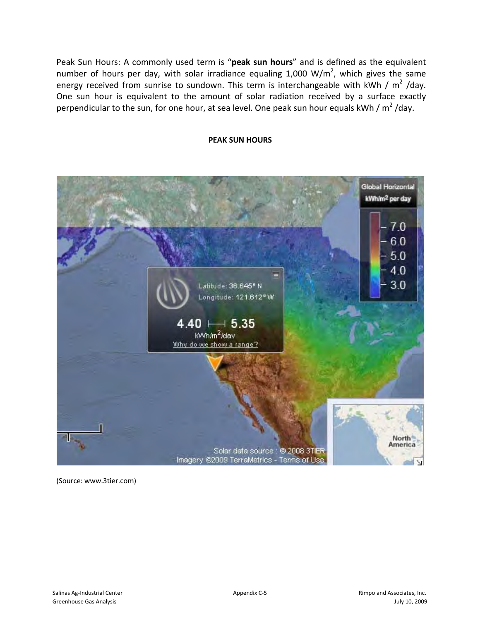Peak Sun Hours: A commonly used term is "**peak sun hours**" and is defined as the equivalent number of hours per day, with solar irradiance equaling 1,000 W/m<sup>2</sup>, which gives the same energy received from sunrise to sundown. This term is interchangeable with kWh /  $m^2$  /day. One sun hour is equivalent to the amount of solar radiation received by a surface exactly perpendicular to the sun, for one hour, at sea level. One peak sun hour equals kWh /  $m^2$ /day.

### **PEAK SUN HOURS**



(Source: www.3tier.com)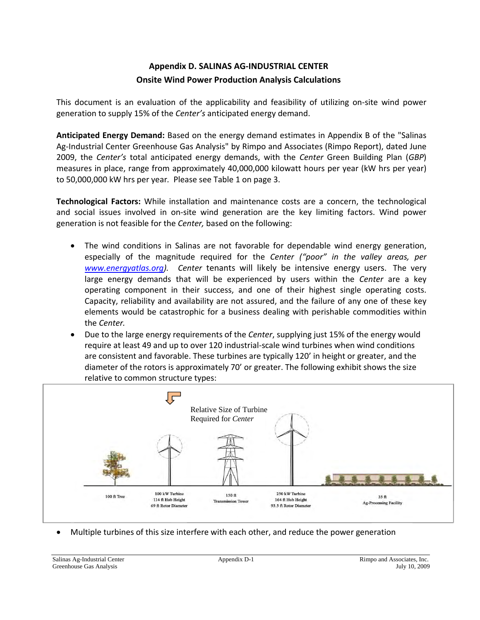# **Appendix D. SALINAS AG‐INDUSTRIAL CENTER Onsite Wind Power Production Analysis Calculations**

This document is an evaluation of the applicability and feasibility of utilizing on‐site wind power generation to supply 15% of the *Center's* anticipated energy demand.

**Anticipated Energy Demand:** Based on the energy demand estimates in Appendix B of the "Salinas Ag-Industrial Center Greenhouse Gas Analysis" by Rimpo and Associates (Rimpo Report), dated June 2009, the *Center's* total anticipated energy demands, with the *Center* Green Building Plan (*GBP*) measures in place, range from approximately 40,000,000 kilowatt hours per year (kW hrs per year) to 50,000,000 kW hrs per year*.* Please see Table 1 on page 3.

**Technological Factors:** While installation and maintenance costs are a concern, the technological and social issues involved in on‐site wind generation are the key limiting factors. Wind power generation is not feasible for the *Center,* based on the following:

- The wind conditions in Salinas are not favorable for dependable wind energy generation, especially of the magnitude required for the *Center ("poor" in the valley areas, per* www.energyatlas.org). *Center* tenants will likely be intensive energy users. The very large energy demands that will be experienced by users within the Center are a key operating component in their success, and one of their highest single operating costs. Capacity, reliability and availability are not assured, and the failure of any one of these key elements would be catastrophic for a business dealing with perishable commodities within the *Center.*
- Due to the large energy requirements of the *Center*, supplying just 15% of the energy would require at least 49 and up to over 120 industrial‐scale wind turbines when wind conditions are consistent and favorable. These turbines are typically 120' in height or greater, and the diameter of the rotors is approximately 70' or greater. The following exhibit shows the size relative to common structure types:



Multiple turbines of this size interfere with each other, and reduce the power generation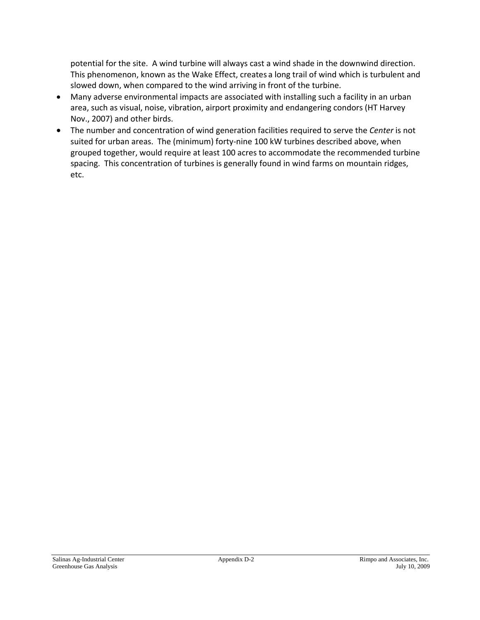potential for the site. A wind turbine will always cast a wind shade in the downwind direction. This phenomenon, known as the Wake Effect, creates a long trail of wind which is turbulent and slowed down, when compared to the wind arriving in front of the turbine.

- Many adverse environmental impacts are associated with installing such a facility in an urban area, such as visual, noise, vibration, airport proximity and endangering condors (HT Harvey Nov., 2007) and other birds.
- The number and concentration of wind generation facilities required to serve the *Center* is not suited for urban areas. The (minimum) forty-nine 100 kW turbines described above, when grouped together, would require at least 100 acres to accommodate the recommended turbine spacing. This concentration of turbines is generally found in wind farms on mountain ridges, etc.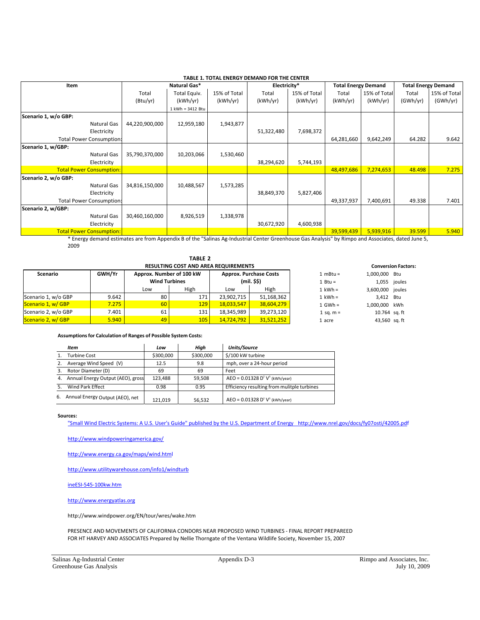| <b>TABLE 1. TOTAL ENERGY DEMAND FOR THE CENTER</b> |                |                  |              |              |              |                            |               |                            |              |
|----------------------------------------------------|----------------|------------------|--------------|--------------|--------------|----------------------------|---------------|----------------------------|--------------|
| Item                                               |                | Natural Gas*     |              | Electricity* |              | <b>Total Energy Demand</b> |               | <b>Total Energy Demand</b> |              |
|                                                    | Total          | Total Equiv.     | 15% of Total | Total        | 15% of Total | Total                      | 15% of Totall | Total                      | 15% of Total |
|                                                    | (Btu/yr)       | (kWh/yr)         | (kWh/yr)     | (kWh/yr)     | (kWh/yr)     | (kWh/yr)                   | (kWh/yr)      | (GWh/yr)                   | (GWh/yr)     |
|                                                    |                | 1 kWh = 3412 Btu |              |              |              |                            |               |                            |              |
| Scenario 1, w/o GBP:                               |                |                  |              |              |              |                            |               |                            |              |
| Natural Gas                                        | 44,220,900,000 | 12,959,180       | 1,943,877    |              |              |                            |               |                            |              |
| Electricity                                        |                |                  |              | 51,322,480   | 7,698,372    |                            |               |                            |              |
| <b>Total Power Consumption:</b>                    |                |                  |              |              |              | 64,281,660                 | 9,642,249     | 64.282                     | 9.642        |
| Scenario 1, w/GBP:                                 |                |                  |              |              |              |                            |               |                            |              |
| Natural Gas                                        | 35,790,370,000 | 10,203,066       | 1,530,460    |              |              |                            |               |                            |              |
| Electricity                                        |                |                  |              | 38,294,620   | 5,744,193    |                            |               |                            |              |
| <b>Total Power Consumption:</b>                    |                |                  |              |              |              | 48,497,686                 | 7,274,653     | 48.498                     | 7.275        |
| Scenario 2, w/o GBP:                               |                |                  |              |              |              |                            |               |                            |              |
| Natural Gas                                        | 34,816,150,000 | 10,488,567       | 1,573,285    |              |              |                            |               |                            |              |
| Electricity                                        |                |                  |              | 38,849,370   | 5,827,406    |                            |               |                            |              |
| <b>Total Power Consumption:</b>                    |                |                  |              |              |              | 49,337,937                 | 7,400,691     | 49.338                     | 7.401        |
| Scenario 2, w/GBP:                                 |                |                  |              |              |              |                            |               |                            |              |
| Natural Gas                                        | 30,460,160,000 | 8,926,519        | 1,338,978    |              |              |                            |               |                            |              |
| Electricity                                        |                |                  |              | 30,672,920   | 4,600,938    |                            |               |                            |              |
| <b>Total Power Consumption:</b>                    |                |                  |              |              |              | 39,599,439                 | 5,939,916     | 39.599                     | 5.940        |

\* Energy demand estimates are from Appendix B of the "Salinas Ag‐Industrial Center Greenhouse Gas Analysis" by Rimpo and Associates, dated June 5, 2009

|                     |               |                          |      | <b>Conversion Factors:</b> |                               |             |                  |              |  |  |  |
|---------------------|---------------|--------------------------|------|----------------------------|-------------------------------|-------------|------------------|--------------|--|--|--|
| Scenario            | <b>GWH/Yr</b> | Approx. Number of 100 kW |      |                            | <b>Approx. Purchase Costs</b> | $1 mBtu =$  | 1,000,000 Btu    |              |  |  |  |
|                     |               | <b>Wind Turbines</b>     |      | (mil. \$\$)                |                               | 1 Btu =     |                  | 1,055 joules |  |  |  |
|                     |               | Low                      | High | Low                        | High                          | $1$ kWh =   | 3,600,000 joules |              |  |  |  |
| Scenario 1, w/o GBP | 9.642         | 80                       | 171  | 23,902,715                 | 51,168,362                    | $1$ kWh =   | 3.412 Btu        |              |  |  |  |
| Scenario 1, w/ GBP  | 7.275         | 60                       | 129  | 18,033,547                 | 38,604,279                    | $1$ GWh =   | 1,000,000 kWh    |              |  |  |  |
| Scenario 2, w/o GBP | 7.401         | 61                       | 131  | 18,345,989                 | 39,273,120                    | 1 sq. $m =$ | 10.764 sq. ft    |              |  |  |  |
| Scenario 2, w/ GBP  | 5.940         | 49                       | 105  | 14,724,792                 | 31,521,252                    | 1 acre      | 43,560 sq. ft    |              |  |  |  |

**TABLE 2**

### **Assumptionsfor Calculation of Ranges of Possible System Costs:**

|    | Item                              | Low       | Hiah      | Units/Source                                |
|----|-----------------------------------|-----------|-----------|---------------------------------------------|
|    | Turbine Cost                      | \$300,000 | \$300,000 | \$/100 kW turbine                           |
|    | Average Wind Speed (V)            | 12.5      | 9.8       | mph, over a 24-hour period                  |
|    | Rotor Diameter (D)                | 69        | 69        | Feet                                        |
| 4. | Annual Energy Output (AEO), gross | 123.488   | 59.508    | $AEO = 0.01328 D2 V3 (kWh/year)$            |
|    | Wind Park Effect                  | 0.98      | 0.95      | Efficiency resulting from mulitple turbines |
| 6. | Annual Energy Output (AEO), net   | 121.019   | 56.532    | $AEO = 0.01328 D2 V3 (kWh/year)$            |

**Sources:**

"Small Wind Electric Systems: A U.S. User's Guide" published by the U.S. Department of Energy http://www.nrel.gov/docs/fy07osti/42005.pdf

http://www.windpoweringamerica.gov/

http://www.energy.ca.gov/maps/wind.html

http://www.utilitywarehouse.com/info1/windturb

ineESI‐545‐100kw.htm

http://www.energyatlas.org

http://www.windpower.org/EN/tour/wres/wake.htm

PRESENCE AND MOVEMENTS OF CALIFORNIA CONDORS NEAR PROPOSED WIND TURBINES ‐ FINAL REPORT PREPAREED FOR HT HARVEY AND ASSOCIATES Prepared by Nellie Thorngate of the Ventana Wildlife Society, November 15, 2007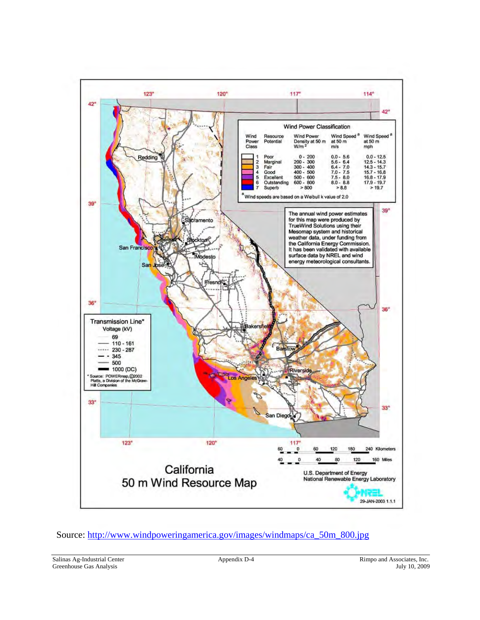

## Source: http://www.windpoweringamerica.gov/images/windmaps/ca\_50m\_800.jpg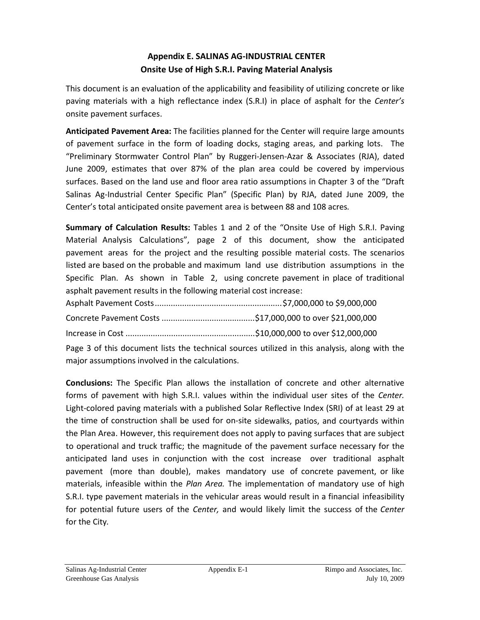# **Appendix E. SALINAS AG‐INDUSTRIAL CENTER Onsite Use of High S.R.I. Paving Material Analysis**

This document is an evaluation of the applicability and feasibility of utilizing concrete or like paving materials with a high reflectance index (S.R.I) in place of asphalt for the *Center's* onsite pavement surfaces.

**Anticipated Pavement Area:** The facilities planned for the Center will require large amounts of pavement surface in the form of loading docks, staging areas, and parking lots. The "Preliminary Stormwater Control Plan" by Ruggeri‐Jensen‐Azar & Associates (RJA), dated June 2009, estimates that over 87% of the plan area could be covered by impervious surfaces. Based on the land use and floor area ratio assumptions in Chapter 3 of the "Draft Salinas Ag-Industrial Center Specific Plan" (Specific Plan) by RJA, dated June 2009, the Center's total anticipated onsite pavement area is between 88 and 108 acres*.*

**Summary of Calculation Results:** Tables 1 and 2 of the "Onsite Use of High S.R.I. Paving Material Analysis Calculations", page 2 of this document, show the anticipated pavement areas for the project and the resulting possible material costs. The scenarios listed are based on the probable and maximum land use distribution assumptions in the Specific Plan. As shown in Table 2, using concrete pavement in place of traditional asphalt pavement results in the following material cost increase:

Page 3 of this document lists the technical sources utilized in this analysis, along with the major assumptions involved in the calculations.

**Conclusions:** The Specific Plan allows the installation of concrete and other alternative forms of pavement with high S.R.I. values within the individual user sites of the *Center.* Light‐colored paving materials with a published Solar Reflective Index (SRI) of at least 29 at the time of construction shall be used for on‐site sidewalks, patios, and courtyards within the Plan Area. However, this requirement does not apply to paving surfaces that are subject to operational and truck traffic; the magnitude of the pavement surface necessary for the anticipated land uses in conjunction with the cost increase over traditional asphalt pavement (more than double), makes mandatory use of concrete pavement, or like materials, infeasible within the *Plan Area.* The implementation of mandatory use of high S.R.I. type pavement materials in the vehicular areas would result in a financial infeasibility for potential future users of the *Center,* and would likely limit the success of the *Center* for the City*.*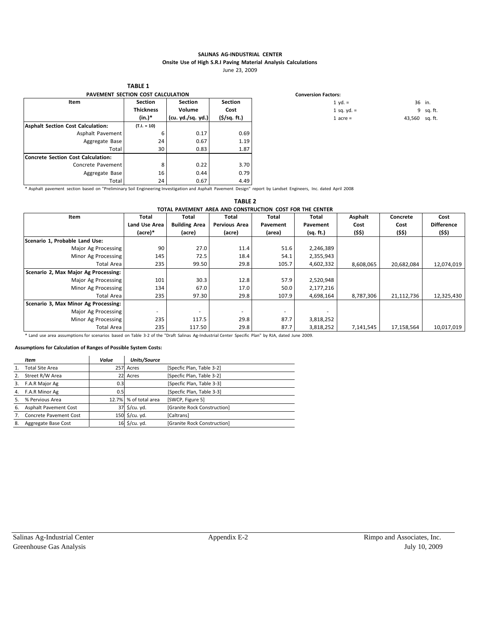### **SALINAS AG‐INDUSTRIAL CENTER Onsite Use of High S.R.I Paving Material Analysis Calculations**

June 23, 2009

**PAVEMENT SECTION COST CALCULATION Conversion Factors: Item Section Thickness (in.)\* Section Volume (cu. yd./sq. yd.) Section Cost (\$/sq. ft.) Asphalt Section Cost Calculation:** Asphalt Pavement Aggregate Base Total **(T.I. = 10)** 6 24 30 0.17 0.67 0.83 0.69 1.19 1.87 **Concrete Section Cost Calculation:** Concrete Pavement Aggregate Base Total 8 16 24 0.22 0.44 0.67 3.70 0.79 4.49

**TABLE 1**

1 yd. = 36 in. 1 sq. yd. =  $9$  sq. ft. 1 acre = 43,560 sq. ft.

\* Asphalt pavement section based on "Preliminary Soil Engineering Investigation and Asphalt Pavement Design" report by Landset Engineers, Inc. dated April 2008

| <b>TABLE 2</b>                                                                  |                                                          |                      |                      |          |           |           |            |                   |  |  |
|---------------------------------------------------------------------------------|----------------------------------------------------------|----------------------|----------------------|----------|-----------|-----------|------------|-------------------|--|--|
|                                                                                 | TOTAL PAVEMENT AREA AND CONSTRUCTION COST FOR THE CENTER |                      |                      |          |           |           |            |                   |  |  |
| Item<br>Total<br>Total<br><b>Total</b><br>Asphalt<br>Total<br>Total<br>Concrete |                                                          |                      |                      |          |           |           |            |                   |  |  |
|                                                                                 | Land Use Area                                            | <b>Building Area</b> | <b>Pervious Area</b> | Pavement | Pavement  | Cost      | Cost       | <b>Difference</b> |  |  |
|                                                                                 | (acre)*                                                  | (acre)               | (acre)               | (area)   | (sq. ft.) | (\$\$)    | (\$\$)     | (\$\$)            |  |  |
| Scenario 1, Probable Land Use:                                                  |                                                          |                      |                      |          |           |           |            |                   |  |  |
| Major Ag Processing                                                             | 90                                                       | 27.0                 | 11.4                 | 51.6     | 2,246,389 |           |            |                   |  |  |
| Minor Ag Processing                                                             | 145                                                      | 72.5                 | 18.4                 | 54.1     | 2,355,943 |           |            |                   |  |  |
| Total Area                                                                      | 235                                                      | 99.50                | 29.8                 | 105.7    | 4,602,332 | 8,608,065 | 20,682,084 | 12,074,019        |  |  |
| Scenario 2, Max Major Ag Processing:                                            |                                                          |                      |                      |          |           |           |            |                   |  |  |
| Major Ag Processing                                                             | 101                                                      | 30.3                 | 12.8                 | 57.9     | 2,520,948 |           |            |                   |  |  |
| Minor Ag Processing                                                             | 134                                                      | 67.0                 | 17.0                 | 50.0     | 2,177,216 |           |            |                   |  |  |
| Total Area                                                                      | 235                                                      | 97.30                | 29.8                 | 107.9    | 4,698,164 | 8,787,306 | 21,112,736 | 12,325,430        |  |  |
| Scenario 3, Max Minor Ag Processing:                                            |                                                          |                      |                      |          |           |           |            |                   |  |  |
| Major Ag Processing                                                             |                                                          | ٠                    |                      | ۰        |           |           |            |                   |  |  |
| Minor Ag Processing                                                             | 235                                                      | 117.5                | 29.8                 | 87.7     | 3,818,252 |           |            |                   |  |  |
| Total Area                                                                      | 235                                                      | 117.50               | 29.8                 | 87.7     | 3,818,252 | 7,141,545 | 17,158,564 | 10,017,019        |  |  |

\* Land use area assumptions for scenarios based on Table 3‐2 of the "Draft Salinas Ag‐Industrial Center Specific Plan" by RJA, dated June 2009.

### **Assumptions for Calculation of Ranges of Possible System Costs:**

|    | <b>Item</b>                  | Value | Units/Source           |                             |
|----|------------------------------|-------|------------------------|-----------------------------|
|    | <b>Total Site Area</b>       | 257   | Acres                  | [Specfic Plan, Table 3-2]   |
|    | Street R/W Area              | 22    | Acres                  | [Specfic Plan, Table 3-2]   |
| 3. | F.A.R Major Ag               | 0.3   |                        | [Specfic Plan, Table 3-3]   |
| 4. | F.A.R Minor Ag               | 0.5   |                        | [Specfic Plan, Table 3-3]   |
|    | % Pervious Area              | 12.7% | % of total area        | [SWCP, Figure 5]            |
| 6. | <b>Asphalt Pavement Cost</b> | 37    | $\frac{1}{2}$ /cu. yd. | [Granite Rock Construction] |
|    | Concrete Pavement Cost       | 150   | \$/cu. yd.             | [Caltrans]                  |
| 8. | Aggregate Base Cost          | 16    | $\frac{1}{2}$ /cu. yd. | [Granite Rock Construction] |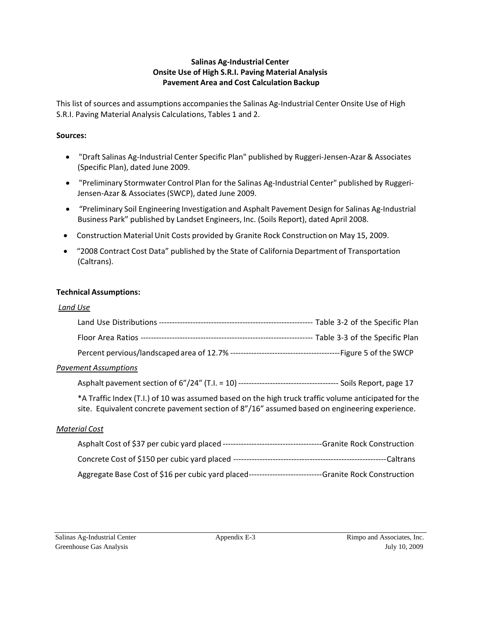### **Salinas Ag‐Industrial Center Onsite Use of High S.R.I. Paving Material Analysis Pavement Area and Cost Calculation Backup**

This list of sources and assumptions accompanies the Salinas Ag-Industrial Center Onsite Use of High S.R.I. Paving Material Analysis Calculations, Tables 1 and 2.

### **Sources:**

- "Draft Salinas Ag‐Industrial Center Specific Plan" published by Ruggeri‐Jensen‐Azar& Associates (Specific Plan), dated June 2009.
- "Preliminary Stormwater Control Plan for the Salinas Ag-Industrial Center" published by Ruggeri-Jensen‐Azar & Associates(SWCP), dated June 2009.
- "Preliminary Soil Engineering Investigation and Asphalt Pavement Design for Salinas Ag-Industrial Business Park" published by Landset Engineers, Inc. (Soils Report), dated April 2008.
- Construction Material Unit Costs provided by Granite Rock Construction on May 15, 2009.
- "2008 Contract Cost Data" published by the State of California Department of Transportation (Caltrans).

### **Technical Assumptions:**

### *Land Use*

|                      | <b>Pavement Assumptions</b>                                                                                                                                                                           |  |
|----------------------|-------------------------------------------------------------------------------------------------------------------------------------------------------------------------------------------------------|--|
|                      |                                                                                                                                                                                                       |  |
|                      | *A Traffic Index (T.I.) of 10 was assumed based on the high truck traffic volume anticipated for the<br>site. Equivalent concrete pavement section of 8"/16" assumed based on engineering experience. |  |
| <b>Material Cost</b> |                                                                                                                                                                                                       |  |

| Asphalt Cost of \$37 per cubic yard placed ---      | -Granite Rock Construction  |
|-----------------------------------------------------|-----------------------------|
| Concrete Cost of \$150 per cubic yard placed ---    | ---Caltrans                 |
| Aggregate Base Cost of \$16 per cubic yard placed-- | --Granite Rock Construction |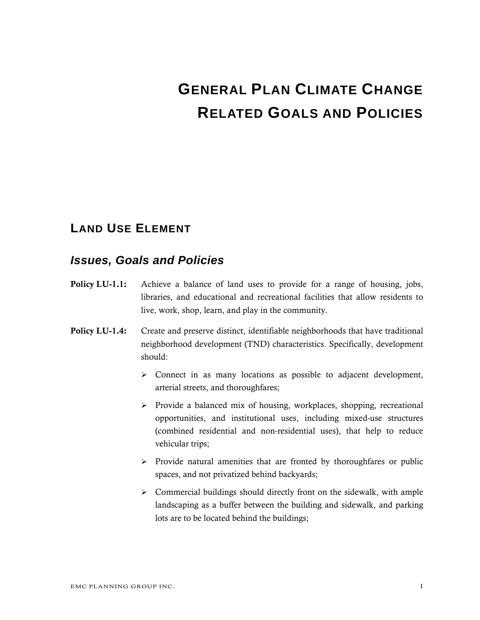# **GENERAL PLAN CLIMATE CHANGE RELATED GOALS AND POLICIES**

# **LAND USE ELEMENT**

- Policy LU-1.1: Achieve a balance of land uses to provide for a range of housing, jobs, libraries, and educational and recreational facilities that allow residents to live, work, shop, learn, and play in the community.
- Policy LU-1.4: Create and preserve distinct, identifiable neighborhoods that have traditional neighborhood development (TND) characteristics. Specifically, development should:
	- $\triangleright$  Connect in as many locations as possible to adjacent development, arterial streets, and thoroughfares;
	- $\triangleright$  Provide a balanced mix of housing, workplaces, shopping, recreational opportunities, and institutional uses, including mixed-use structures (combined residential and non-residential uses), that help to reduce vehicular trips;
	- $\triangleright$  Provide natural amenities that are fronted by thoroughfares or public spaces, and not privatized behind backyards;
	- $\triangleright$  Commercial buildings should directly front on the sidewalk, with ample landscaping as a buffer between the building and sidewalk, and parking lots are to be located behind the buildings;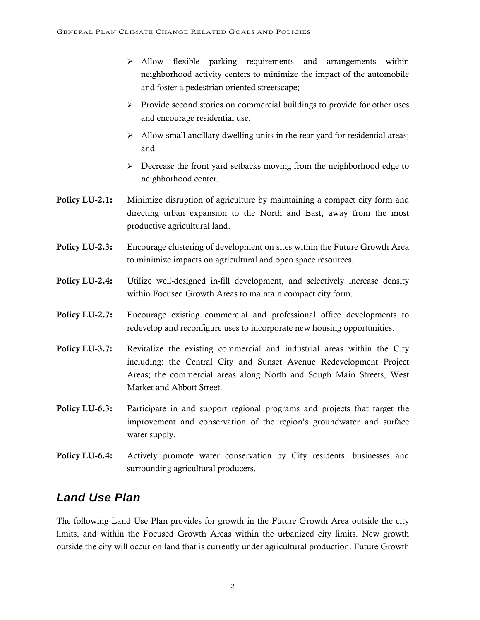- $\triangleright$  Allow flexible parking requirements and arrangements within neighborhood activity centers to minimize the impact of the automobile and foster a pedestrian oriented streetscape;
- $\triangleright$  Provide second stories on commercial buildings to provide for other uses and encourage residential use;
- $\triangleright$  Allow small ancillary dwelling units in the rear yard for residential areas; and
- $\triangleright$  Decrease the front yard setbacks moving from the neighborhood edge to neighborhood center.
- **Policy LU-2.1:** Minimize disruption of agriculture by maintaining a compact city form and directing urban expansion to the North and East, away from the most productive agricultural land.
- Policy LU-2.3: Encourage clustering of development on sites within the Future Growth Area to minimize impacts on agricultural and open space resources.
- Policy LU-2.4: Utilize well-designed in-fill development, and selectively increase density within Focused Growth Areas to maintain compact city form.
- Policy LU-2.7: Encourage existing commercial and professional office developments to redevelop and reconfigure uses to incorporate new housing opportunities.
- Policy LU-3.7: Revitalize the existing commercial and industrial areas within the City including: the Central City and Sunset Avenue Redevelopment Project Areas; the commercial areas along North and Sough Main Streets, West Market and Abbott Street.
- Policy LU-6.3: Participate in and support regional programs and projects that target the improvement and conservation of the region's groundwater and surface water supply.
- Policy LU-6.4: Actively promote water conservation by City residents, businesses and surrounding agricultural producers.

# *Land Use Plan*

The following Land Use Plan provides for growth in the Future Growth Area outside the city limits, and within the Focused Growth Areas within the urbanized city limits. New growth outside the city will occur on land that is currently under agricultural production. Future Growth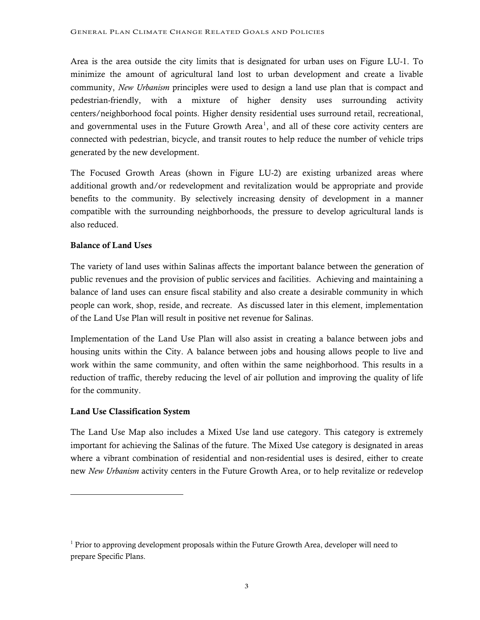Area is the area outside the city limits that is designated for urban uses on Figure LU-1. To minimize the amount of agricultural land lost to urban development and create a livable community, *New Urbanism* principles were used to design a land use plan that is compact and pedestrian-friendly, with a mixture of higher density uses surrounding activity centers/neighborhood focal points. Higher density residential uses surround retail, recreational, and governmental uses in the Future Growth Area<sup>[1](#page-85-0)</sup>, and all of these core activity centers are connected with pedestrian, bicycle, and transit routes to help reduce the number of vehicle trips generated by the new development.

The Focused Growth Areas (shown in Figure LU-2) are existing urbanized areas where additional growth and/or redevelopment and revitalization would be appropriate and provide benefits to the community. By selectively increasing density of development in a manner compatible with the surrounding neighborhoods, the pressure to develop agricultural lands is also reduced.

### Balance of Land Uses

The variety of land uses within Salinas affects the important balance between the generation of public revenues and the provision of public services and facilities. Achieving and maintaining a balance of land uses can ensure fiscal stability and also create a desirable community in which people can work, shop, reside, and recreate. As discussed later in this element, implementation of the Land Use Plan will result in positive net revenue for Salinas.

Implementation of the Land Use Plan will also assist in creating a balance between jobs and housing units within the City. A balance between jobs and housing allows people to live and work within the same community, and often within the same neighborhood. This results in a reduction of traffic, thereby reducing the level of air pollution and improving the quality of life for the community.

### Land Use Classification System

l

The Land Use Map also includes a Mixed Use land use category. This category is extremely important for achieving the Salinas of the future. The Mixed Use category is designated in areas where a vibrant combination of residential and non-residential uses is desired, either to create new *New Urbanism* activity centers in the Future Growth Area, or to help revitalize or redevelop

<span id="page-85-0"></span><sup>&</sup>lt;sup>1</sup> Prior to approving development proposals within the Future Growth Area, developer will need to prepare Specific Plans.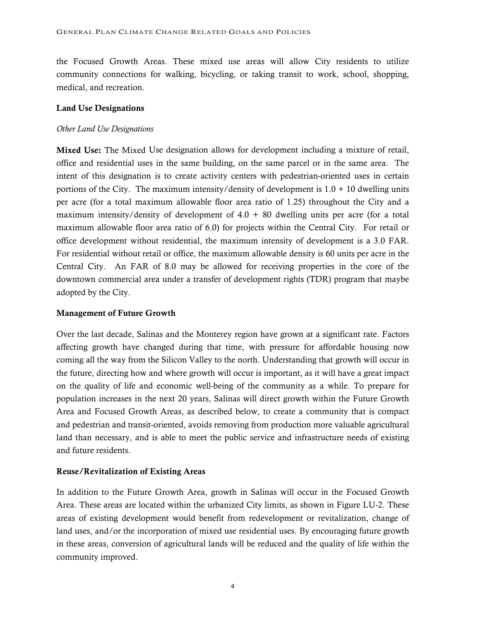the Focused Growth Areas. These mixed use areas will allow City residents to utilize community connections for walking, bicycling, or taking transit to work, school, shopping, medical, and recreation.

### Land Use Designations

### *Other Land Use Designations*

Mixed Use: The Mixed Use designation allows for development including a mixture of retail, office and residential uses in the same building, on the same parcel or in the same area. The intent of this designation is to create activity centers with pedestrian-oriented uses in certain portions of the City. The maximum intensity/density of development is  $1.0 + 10$  dwelling units per acre (for a total maximum allowable floor area ratio of 1.25) throughout the City and a maximum intensity/density of development of  $4.0 + 80$  dwelling units per acre (for a total maximum allowable floor area ratio of 6.0) for projects within the Central City. For retail or office development without residential, the maximum intensity of development is a 3.0 FAR. For residential without retail or office, the maximum allowable density is 60 units per acre in the Central City. An FAR of 8.0 may be allowed for receiving properties in the core of the downtown commercial area under a transfer of development rights (TDR) program that maybe adopted by the City.

### Management of Future Growth

Over the last decade, Salinas and the Monterey region have grown at a significant rate. Factors affecting growth have changed during that time, with pressure for affordable housing now coming all the way from the Silicon Valley to the north. Understanding that growth will occur in the future, directing how and where growth will occur is important, as it will have a great impact on the quality of life and economic well-being of the community as a while. To prepare for population increases in the next 20 years, Salinas will direct growth within the Future Growth Area and Focused Growth Areas, as described below, to create a community that is compact and pedestrian and transit-oriented, avoids removing from production more valuable agricultural land than necessary, and is able to meet the public service and infrastructure needs of existing and future residents.

### Reuse/Revitalization of Existing Areas

In addition to the Future Growth Area, growth in Salinas will occur in the Focused Growth Area. These areas are located within the urbanized City limits, as shown in Figure LU-2. These areas of existing development would benefit from redevelopment or revitalization, change of land uses, and/or the incorporation of mixed use residential uses. By encouraging future growth in these areas, conversion of agricultural lands will be reduced and the quality of life within the community improved.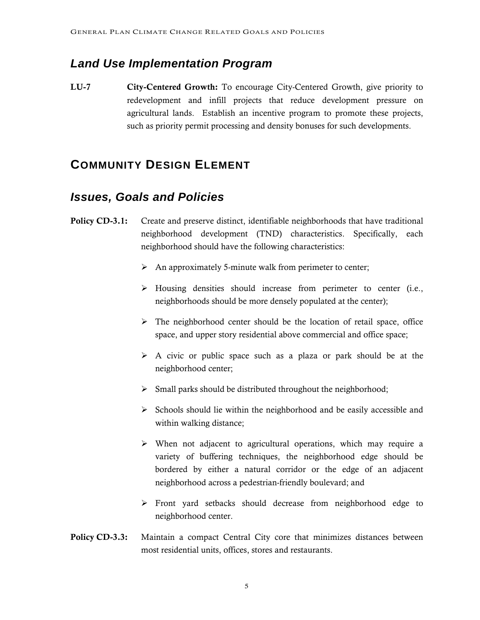# *Land Use Implementation Program*

LU-7 City-Centered Growth: To encourage City-Centered Growth, give priority to redevelopment and infill projects that reduce development pressure on agricultural lands. Establish an incentive program to promote these projects, such as priority permit processing and density bonuses for such developments.

# **COMMUNITY DESIGN ELEMENT**

- **Policy CD-3.1:** Create and preserve distinct, identifiable neighborhoods that have traditional neighborhood development (TND) characteristics. Specifically, each neighborhood should have the following characteristics:
	- $\triangleright$  An approximately 5-minute walk from perimeter to center;
	- $\triangleright$  Housing densities should increase from perimeter to center (i.e., neighborhoods should be more densely populated at the center);
	- $\triangleright$  The neighborhood center should be the location of retail space, office space, and upper story residential above commercial and office space;
	- $\triangleright$  A civic or public space such as a plaza or park should be at the neighborhood center;
	- $\triangleright$  Small parks should be distributed throughout the neighborhood;
	- $\triangleright$  Schools should lie within the neighborhood and be easily accessible and within walking distance;
	- $\triangleright$  When not adjacent to agricultural operations, which may require a variety of buffering techniques, the neighborhood edge should be bordered by either a natural corridor or the edge of an adjacent neighborhood across a pedestrian-friendly boulevard; and
	- ¾ Front yard setbacks should decrease from neighborhood edge to neighborhood center.
- **Policy CD-3.3:** Maintain a compact Central City core that minimizes distances between most residential units, offices, stores and restaurants.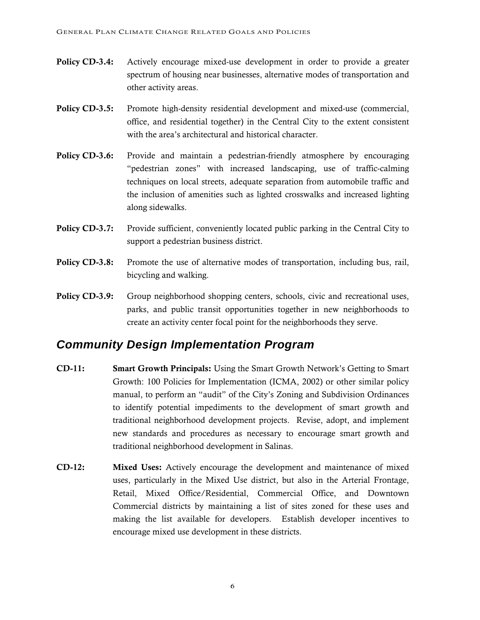- Policy CD-3.4: Actively encourage mixed-use development in order to provide a greater spectrum of housing near businesses, alternative modes of transportation and other activity areas.
- Policy CD-3.5: Promote high-density residential development and mixed-use (commercial, office, and residential together) in the Central City to the extent consistent with the area's architectural and historical character.
- Policy CD-3.6: Provide and maintain a pedestrian-friendly atmosphere by encouraging "pedestrian zones" with increased landscaping, use of traffic-calming techniques on local streets, adequate separation from automobile traffic and the inclusion of amenities such as lighted crosswalks and increased lighting along sidewalks.
- Policy CD-3.7: Provide sufficient, conveniently located public parking in the Central City to support a pedestrian business district.
- **Policy CD-3.8:** Promote the use of alternative modes of transportation, including bus, rail, bicycling and walking.
- Policy CD-3.9: Group neighborhood shopping centers, schools, civic and recreational uses, parks, and public transit opportunities together in new neighborhoods to create an activity center focal point for the neighborhoods they serve.

# *Community Design Implementation Program*

- CD-11: Smart Growth Principals: Using the Smart Growth Network's Getting to Smart Growth: 100 Policies for Implementation (ICMA, 2002) or other similar policy manual, to perform an "audit" of the City's Zoning and Subdivision Ordinances to identify potential impediments to the development of smart growth and traditional neighborhood development projects. Revise, adopt, and implement new standards and procedures as necessary to encourage smart growth and traditional neighborhood development in Salinas.
- CD-12: Mixed Uses: Actively encourage the development and maintenance of mixed uses, particularly in the Mixed Use district, but also in the Arterial Frontage, Retail, Mixed Office/Residential, Commercial Office, and Downtown Commercial districts by maintaining a list of sites zoned for these uses and making the list available for developers. Establish developer incentives to encourage mixed use development in these districts.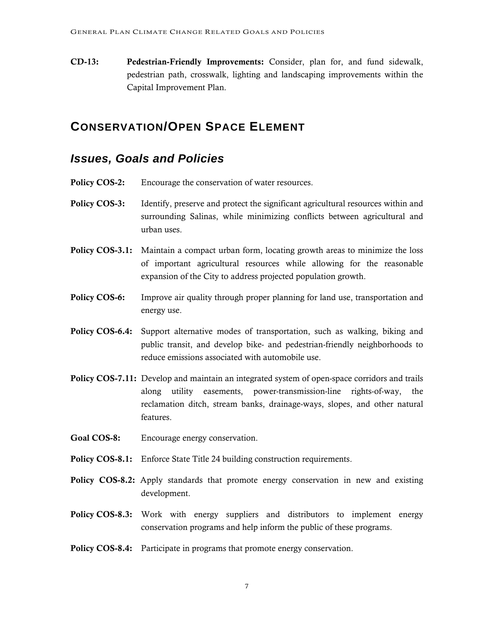CD-13: Pedestrian-Friendly Improvements: Consider, plan for, and fund sidewalk, pedestrian path, crosswalk, lighting and landscaping improvements within the Capital Improvement Plan.

# **CONSERVATION/OPEN SPACE ELEMENT**

- Policy COS-2: Encourage the conservation of water resources.
- **Policy COS-3:** Identify, preserve and protect the significant agricultural resources within and surrounding Salinas, while minimizing conflicts between agricultural and urban uses.
- Policy COS-3.1: Maintain a compact urban form, locating growth areas to minimize the loss of important agricultural resources while allowing for the reasonable expansion of the City to address projected population growth.
- **Policy COS-6:** Improve air quality through proper planning for land use, transportation and energy use.
- Policy COS-6.4: Support alternative modes of transportation, such as walking, biking and public transit, and develop bike- and pedestrian-friendly neighborhoods to reduce emissions associated with automobile use.
- Policy COS-7.11: Develop and maintain an integrated system of open-space corridors and trails along utility easements, power-transmission-line rights-of-way, the reclamation ditch, stream banks, drainage-ways, slopes, and other natural features.
- Goal COS-8: Encourage energy conservation.
- Policy COS-8.1: Enforce State Title 24 building construction requirements.
- Policy COS-8.2: Apply standards that promote energy conservation in new and existing development.
- **Policy COS-8.3:** Work with energy suppliers and distributors to implement energy conservation programs and help inform the public of these programs.
- Policy COS-8.4: Participate in programs that promote energy conservation.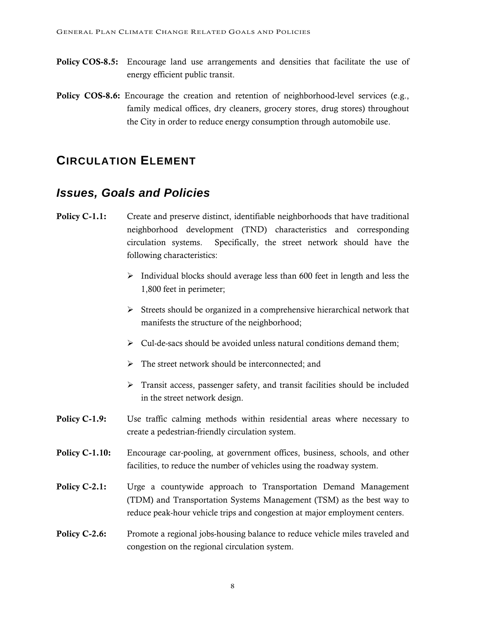- Policy COS-8.5: Encourage land use arrangements and densities that facilitate the use of energy efficient public transit.
- Policy COS-8.6: Encourage the creation and retention of neighborhood-level services (e.g., family medical offices, dry cleaners, grocery stores, drug stores) throughout the City in order to reduce energy consumption through automobile use.

# **CIRCULATION ELEMENT**

- **Policy C-1.1:** Create and preserve distinct, identifiable neighborhoods that have traditional neighborhood development (TND) characteristics and corresponding circulation systems. Specifically, the street network should have the following characteristics:
	- $\triangleright$  Individual blocks should average less than 600 feet in length and less the 1,800 feet in perimeter;
	- $\triangleright$  Streets should be organized in a comprehensive hierarchical network that manifests the structure of the neighborhood;
	- $\triangleright$  Cul-de-sacs should be avoided unless natural conditions demand them;
	- $\triangleright$  The street network should be interconnected; and
	- $\triangleright$  Transit access, passenger safety, and transit facilities should be included in the street network design.
- **Policy C-1.9:** Use traffic calming methods within residential areas where necessary to create a pedestrian-friendly circulation system.
- Policy C-1.10: Encourage car-pooling, at government offices, business, schools, and other facilities, to reduce the number of vehicles using the roadway system.
- Policy C-2.1: Urge a countywide approach to Transportation Demand Management (TDM) and Transportation Systems Management (TSM) as the best way to reduce peak-hour vehicle trips and congestion at major employment centers.
- Policy C-2.6: Promote a regional jobs-housing balance to reduce vehicle miles traveled and congestion on the regional circulation system.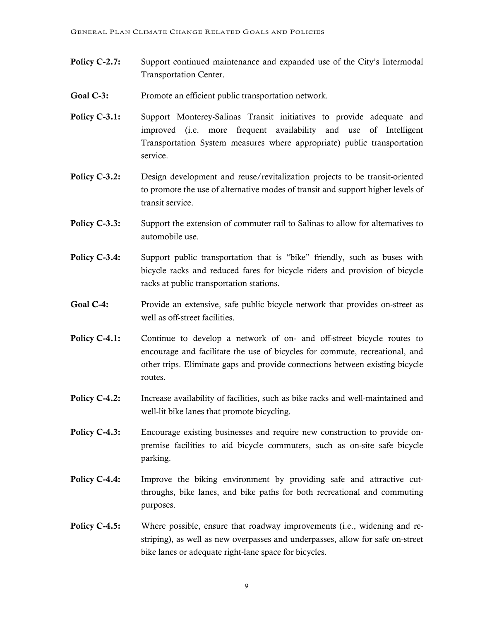- Policy C-2.7: Support continued maintenance and expanded use of the City's Intermodal Transportation Center.
- Goal C-3: Promote an efficient public transportation network.
- **Policy C-3.1:** Support Monterey-Salinas Transit initiatives to provide adequate and improved (i.e. more frequent availability and use of Intelligent Transportation System measures where appropriate) public transportation service.
- Policy C-3.2: Design development and reuse/revitalization projects to be transit-oriented to promote the use of alternative modes of transit and support higher levels of transit service.
- **Policy C-3.3:** Support the extension of commuter rail to Salinas to allow for alternatives to automobile use.
- **Policy C-3.4:** Support public transportation that is "bike" friendly, such as buses with bicycle racks and reduced fares for bicycle riders and provision of bicycle racks at public transportation stations.
- Goal C-4: Provide an extensive, safe public bicycle network that provides on-street as well as off-street facilities.
- **Policy C-4.1:** Continue to develop a network of on- and off-street bicycle routes to encourage and facilitate the use of bicycles for commute, recreational, and other trips. Eliminate gaps and provide connections between existing bicycle routes.
- **Policy C-4.2:** Increase availability of facilities, such as bike racks and well-maintained and well-lit bike lanes that promote bicycling.
- **Policy C-4.3:** Encourage existing businesses and require new construction to provide onpremise facilities to aid bicycle commuters, such as on-site safe bicycle parking.
- **Policy C-4.4:** Improve the biking environment by providing safe and attractive cutthroughs, bike lanes, and bike paths for both recreational and commuting purposes.
- **Policy C-4.5:** Where possible, ensure that roadway improvements (i.e., widening and restriping), as well as new overpasses and underpasses, allow for safe on-street bike lanes or adequate right-lane space for bicycles.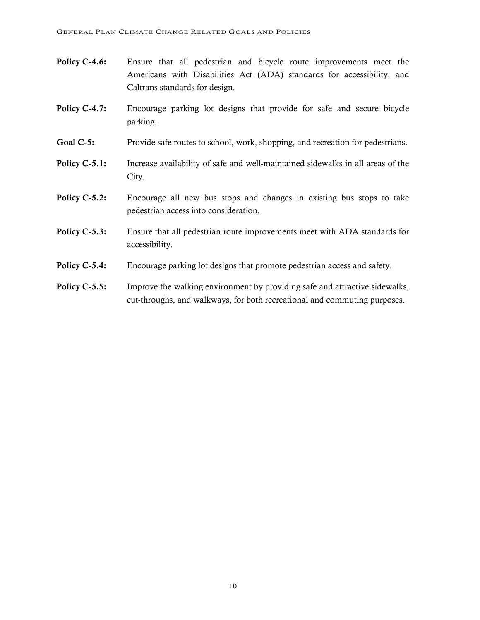- Policy C-4.6: Ensure that all pedestrian and bicycle route improvements meet the Americans with Disabilities Act (ADA) standards for accessibility, and Caltrans standards for design.
- Policy C-4.7: Encourage parking lot designs that provide for safe and secure bicycle parking.
- Goal C-5: Provide safe routes to school, work, shopping, and recreation for pedestrians.
- Policy C-5.1: Increase availability of safe and well-maintained sidewalks in all areas of the City.
- Policy C-5.2: Encourage all new bus stops and changes in existing bus stops to take pedestrian access into consideration.
- **Policy C-5.3:** Ensure that all pedestrian route improvements meet with ADA standards for accessibility.
- **Policy C-5.4:** Encourage parking lot designs that promote pedestrian access and safety.
- Policy C-5.5: Improve the walking environment by providing safe and attractive sidewalks, cut-throughs, and walkways, for both recreational and commuting purposes.